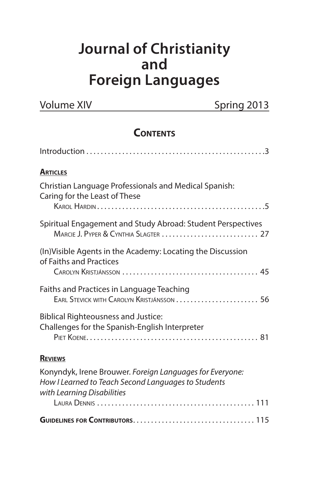# **Journal of Christianity and Foreign Languages**

| <b>Volume XIV</b> |  |
|-------------------|--|
|-------------------|--|

Spring 2013

# **CONTENTS**

| <b>ARTICLES</b>                                                                                                                               |
|-----------------------------------------------------------------------------------------------------------------------------------------------|
| Christian Language Professionals and Medical Spanish:<br>Caring for the Least of These                                                        |
| Spiritual Engagement and Study Abroad: Student Perspectives                                                                                   |
| (In) Visible Agents in the Academy: Locating the Discussion<br>of Faiths and Practices                                                        |
| Faiths and Practices in Language Teaching<br>EARL STEVICK WITH CAROLYN KRISTJÁNSSON  56                                                       |
| <b>Biblical Righteousness and Justice:</b><br>Challenges for the Spanish-English Interpreter                                                  |
| <b>REVIEWS</b>                                                                                                                                |
| Konyndyk, Irene Brouwer. Foreign Languages for Everyone:<br>How I Learned to Teach Second Languages to Students<br>with Learning Disabilities |
|                                                                                                                                               |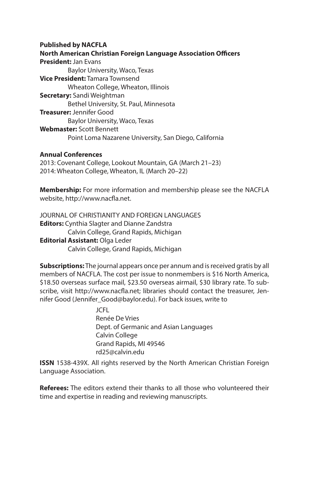#### **Published by NACFLA**

**North American Christian Foreign Language Association Officers President:** Jan Evans Baylor University, Waco, Texas **Vice President:** Tamara Townsend Wheaton College, Wheaton, Illinois **Secretary:** Sandi Weightman Bethel University, St. Paul, Minnesota **Treasurer:** Jennifer Good Baylor University, Waco, Texas **Webmaster:** Scott Bennett Point Loma Nazarene University, San Diego, California

#### **Annual Conferences**

2013: Covenant College, Lookout Mountain, GA (March 21–23) 2014: Wheaton College, Wheaton, IL (March 20–22)

**Membership:** For more information and membership please see the NACFLA website, http://www.nacfla.net.

JOURNAL OF CHRISTIANITY AND FOREIGN LANGUAGES **Editors:** Cynthia Slagter and Dianne Zandstra Calvin College, Grand Rapids, Michigan **Editorial Assistant:** Olga Leder Calvin College, Grand Rapids, Michigan

**Subscriptions:** The journal appears once per annum and is received gratis by all members of NACFLA. The cost per issue to nonmembers is \$16 North America, \$18.50 overseas surface mail, \$23.50 overseas airmail, \$30 library rate. To subscribe, visit http://www.nacfla.net; libraries should contact the treasurer, Jennifer Good (Jennifer\_Good@baylor.edu). For back issues, write to

> JCFL Renée De Vries Dept. of Germanic and Asian Languages Calvin College Grand Rapids, MI 49546 rd25@calvin.edu

**ISSN** 1538-439X. All rights reserved by the North American Christian Foreign Language Association.

**Referees:** The editors extend their thanks to all those who volunteered their time and expertise in reading and reviewing manuscripts.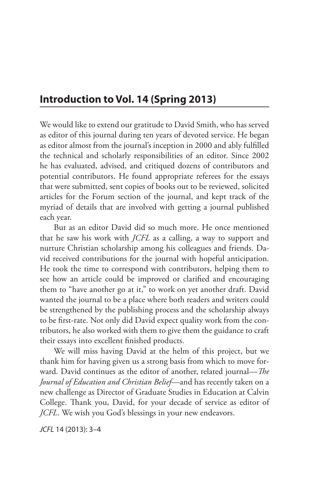# **Introduction to Vol. 14 (Spring 2013)**

We would like to extend our gratitude to David Smith, who has served as editor of this journal during ten years of devoted service. He began as editor almost from the journal's inception in 2000 and ably fulfilled the technical and scholarly responsibilities of an editor. Since 2002 he has evaluated, advised, and critiqued dozens of contributors and potential contributors. He found appropriate referees for the essays that were submitted, sent copies of books out to be reviewed, solicited articles for the Forum section of the journal, and kept track of the myriad of details that are involved with getting a journal published each year.

But as an editor David did so much more. He once mentioned that he saw his work with *JCFL* as a calling, a way to support and nurture Christian scholarship among his colleagues and friends. David received contributions for the journal with hopeful anticipation. He took the time to correspond with contributors, helping them to see how an article could be improved or clarified and encouraging them to "have another go at it," to work on yet another draft. David wanted the journal to be a place where both readers and writers could be strengthened by the publishing process and the scholarship always to be first-rate. Not only did David expect quality work from the contributors, he also worked with them to give them the guidance to craft their essays into excellent finished products.

We will miss having David at the helm of this project, but we thank him for having given us a strong basis from which to move forward. David continues as the editor of another, related journal—*The Journal of Education and Christian Belief*—and has recently taken on a new challenge as Director of Graduate Studies in Education at Calvin College. Thank you, David, for your decade of service as editor of *JCFL*. We wish you God's blessings in your new endeavors.

*JCFL* 14 (2013): 3–4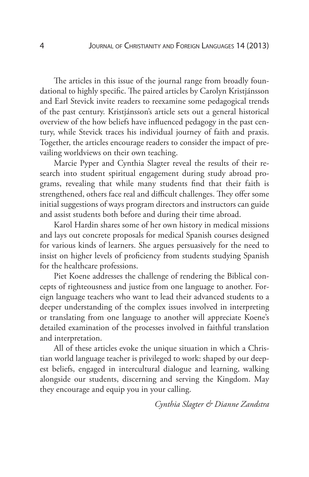The articles in this issue of the journal range from broadly foundational to highly specific. The paired articles by Carolyn Kristjánsson and Earl Stevick invite readers to reexamine some pedagogical trends of the past century. Kristjánsson's article sets out a general historical overview of the how beliefs have influenced pedagogy in the past century, while Stevick traces his individual journey of faith and praxis. Together, the articles encourage readers to consider the impact of prevailing worldviews on their own teaching.

Marcie Pyper and Cynthia Slagter reveal the results of their research into student spiritual engagement during study abroad programs, revealing that while many students find that their faith is strengthened, others face real and difficult challenges. They offer some initial suggestions of ways program directors and instructors can guide and assist students both before and during their time abroad.

Karol Hardin shares some of her own history in medical missions and lays out concrete proposals for medical Spanish courses designed for various kinds of learners. She argues persuasively for the need to insist on higher levels of proficiency from students studying Spanish for the healthcare professions.

Piet Koene addresses the challenge of rendering the Biblical concepts of righteousness and justice from one language to another. Foreign language teachers who want to lead their advanced students to a deeper understanding of the complex issues involved in interpreting or translating from one language to another will appreciate Koene's detailed examination of the processes involved in faithful translation and interpretation.

All of these articles evoke the unique situation in which a Christian world language teacher is privileged to work: shaped by our deepest beliefs, engaged in intercultural dialogue and learning, walking alongside our students, discerning and serving the Kingdom. May they encourage and equip you in your calling.

*Cynthia Slagter & Dianne Zandstra*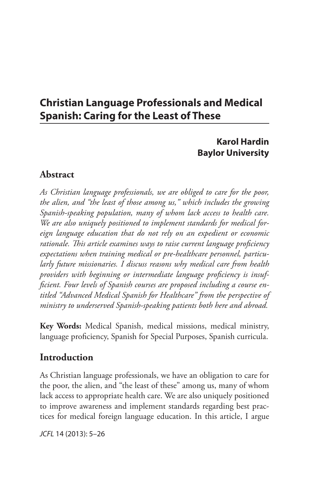# **Christian Language Professionals and Medical Spanish: Caring for the Least of These**

# **Karol Hardin Baylor University**

# **Abstract**

*As Christian language professionals, we are obliged to care for the poor, the alien, and "the least of those among us," which includes the growing Spanish-speaking population, many of whom lack access to health care. We are also uniquely positioned to implement standards for medical foreign language education that do not rely on an expedient or economic rationale. This article examines ways to raise current language proficiency expectations when training medical or pre-healthcare personnel, particularly future missionaries. I discuss reasons why medical care from health providers with beginning or intermediate language proficiency is insufficient. Four levels of Spanish courses are proposed including a course entitled "Advanced Medical Spanish for Healthcare" from the perspective of ministry to underserved Spanish-speaking patients both here and abroad.*

**Key Words:** Medical Spanish, medical missions, medical ministry, language proficiency, Spanish for Special Purposes, Spanish curricula.

# **Introduction**

As Christian language professionals, we have an obligation to care for the poor, the alien, and "the least of these" among us, many of whom lack access to appropriate health care. We are also uniquely positioned to improve awareness and implement standards regarding best practices for medical foreign language education. In this article, I argue

*JCFL* 14 (2013): 5–26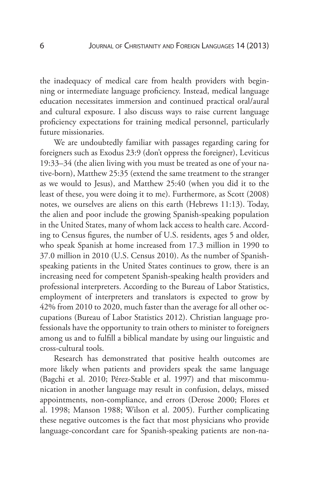the inadequacy of medical care from health providers with beginning or intermediate language proficiency. Instead, medical language education necessitates immersion and continued practical oral/aural and cultural exposure. I also discuss ways to raise current language proficiency expectations for training medical personnel, particularly future missionaries.

We are undoubtedly familiar with passages regarding caring for foreigners such as Exodus 23:9 (don't oppress the foreigner), Leviticus 19:33–34 (the alien living with you must be treated as one of your native-born), Matthew 25:35 (extend the same treatment to the stranger as we would to Jesus), and Matthew 25:40 (when you did it to the least of these, you were doing it to me). Furthermore, as Scott (2008) notes, we ourselves are aliens on this earth (Hebrews 11:13). Today, the alien and poor include the growing Spanish-speaking population in the United States, many of whom lack access to health care. According to Census figures, the number of U.S. residents, ages 5 and older, who speak Spanish at home increased from 17.3 million in 1990 to 37.0 million in 2010 (U.S. Census 2010). As the number of Spanishspeaking patients in the United States continues to grow, there is an increasing need for competent Spanish-speaking health providers and professional interpreters. According to the Bureau of Labor Statistics, employment of interpreters and translators is expected to grow by 42% from 2010 to 2020, much faster than the average for all other occupations (Bureau of Labor Statistics 2012). Christian language professionals have the opportunity to train others to minister to foreigners among us and to fulfill a biblical mandate by using our linguistic and cross-cultural tools.

Research has demonstrated that positive health outcomes are more likely when patients and providers speak the same language (Bagchi et al. 2010; Pérez-Stable et al. 1997) and that miscommunication in another language may result in confusion, delays, missed appointments, non-compliance, and errors (Derose 2000; Flores et al. 1998; Manson 1988; Wilson et al. 2005). Further complicating these negative outcomes is the fact that most physicians who provide language-concordant care for Spanish-speaking patients are non-na-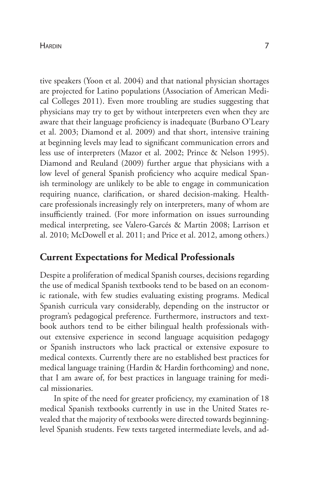#### Hardin 7

tive speakers (Yoon et al. 2004) and that national physician shortages are projected for Latino populations (Association of American Medical Colleges 2011). Even more troubling are studies suggesting that physicians may try to get by without interpreters even when they are aware that their language proficiency is inadequate (Burbano O'Leary et al. 2003; Diamond et al. 2009) and that short, intensive training at beginning levels may lead to significant communication errors and less use of interpreters (Mazor et al. 2002; Prince & Nelson 1995). Diamond and Reuland (2009) further argue that physicians with a low level of general Spanish proficiency who acquire medical Spanish terminology are unlikely to be able to engage in communication requiring nuance, clarification, or shared decision-making. Healthcare professionals increasingly rely on interpreters, many of whom are insufficiently trained. (For more information on issues surrounding medical interpreting, see Valero-Garcés & Martin 2008; Larrison et al. 2010; McDowell et al. 2011; and Price et al. 2012, among others.)

# **Current Expectations for Medical Professionals**

Despite a proliferation of medical Spanish courses, decisions regarding the use of medical Spanish textbooks tend to be based on an economic rationale, with few studies evaluating existing programs. Medical Spanish curricula vary considerably, depending on the instructor or program's pedagogical preference. Furthermore, instructors and textbook authors tend to be either bilingual health professionals without extensive experience in second language acquisition pedagogy or Spanish instructors who lack practical or extensive exposure to medical contexts. Currently there are no established best practices for medical language training (Hardin & Hardin forthcoming) and none, that I am aware of, for best practices in language training for medical missionaries.

In spite of the need for greater proficiency, my examination of 18 medical Spanish textbooks currently in use in the United States revealed that the majority of textbooks were directed towards beginninglevel Spanish students. Few texts targeted intermediate levels, and ad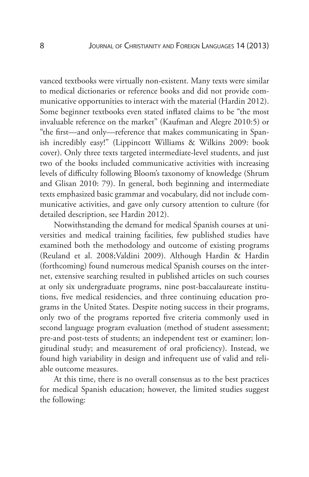vanced textbooks were virtually non-existent. Many texts were similar to medical dictionaries or reference books and did not provide communicative opportunities to interact with the material (Hardin 2012). Some beginner textbooks even stated inflated claims to be "the most invaluable reference on the market" (Kaufman and Alegre 2010:5) or "the first—and only—reference that makes communicating in Spanish incredibly easy!" (Lippincott Williams & Wilkins 2009: book cover). Only three texts targeted intermediate-level students, and just two of the books included communicative activities with increasing levels of difficulty following Bloom's taxonomy of knowledge (Shrum and Glisan 2010: 79). In general, both beginning and intermediate texts emphasized basic grammar and vocabulary, did not include communicative activities, and gave only cursory attention to culture (for detailed description, see Hardin 2012).

Notwithstanding the demand for medical Spanish courses at universities and medical training facilities, few published studies have examined both the methodology and outcome of existing programs (Reuland et al. 2008;Valdini 2009). Although Hardin & Hardin (forthcoming) found numerous medical Spanish courses on the internet, extensive searching resulted in published articles on such courses at only six undergraduate programs, nine post-baccalaureate institutions, five medical residencies, and three continuing education programs in the United States. Despite noting success in their programs, only two of the programs reported five criteria commonly used in second language program evaluation (method of student assessment; pre-and post-tests of students; an independent test or examiner; longitudinal study; and measurement of oral proficiency). Instead, we found high variability in design and infrequent use of valid and reliable outcome measures.

At this time, there is no overall consensus as to the best practices for medical Spanish education; however, the limited studies suggest the following: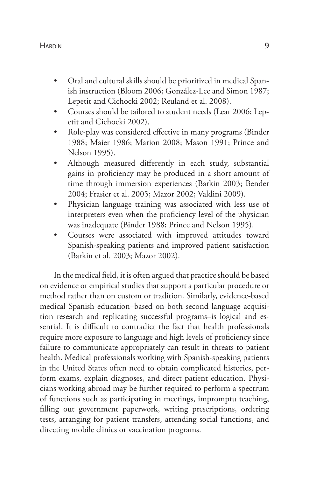#### Hardin 9 (1995) 1996 (1996) 1997 (1997) 1998 (1997) 1998 (1998) 1999 (1998) 1999 (1998) 1999 (1998) 1999 (1999) 199

- Oral and cultural skills should be prioritized in medical Spanish instruction (Bloom 2006; González-Lee and Simon 1987; Lepetit and Cichocki 2002; Reuland et al. 2008).
- Courses should be tailored to student needs (Lear 2006; Lepetit and Cichocki 2002).
- Role-play was considered effective in many programs (Binder 1988; Maier 1986; Marion 2008; Mason 1991; Prince and Nelson 1995).
- Although measured differently in each study, substantial gains in proficiency may be produced in a short amount of time through immersion experiences (Barkin 2003; Bender 2004; Frasier et al. 2005; Mazor 2002; Valdini 2009).
- Physician language training was associated with less use of interpreters even when the proficiency level of the physician was inadequate (Binder 1988; Prince and Nelson 1995).
- Courses were associated with improved attitudes toward Spanish-speaking patients and improved patient satisfaction (Barkin et al. 2003; Mazor 2002).

In the medical field, it is often argued that practice should be based on evidence or empirical studies that support a particular procedure or method rather than on custom or tradition. Similarly, evidence-based medical Spanish education–based on both second language acquisition research and replicating successful programs–is logical and essential. It is difficult to contradict the fact that health professionals require more exposure to language and high levels of proficiency since failure to communicate appropriately can result in threats to patient health. Medical professionals working with Spanish-speaking patients in the United States often need to obtain complicated histories, perform exams, explain diagnoses, and direct patient education. Physicians working abroad may be further required to perform a spectrum of functions such as participating in meetings, impromptu teaching, filling out government paperwork, writing prescriptions, ordering tests, arranging for patient transfers, attending social functions, and directing mobile clinics or vaccination programs.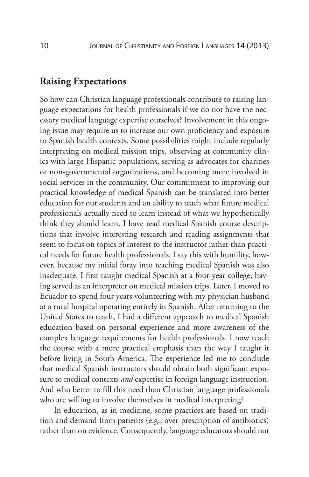# **Raising Expectations**

So how can Christian language professionals contribute to raising language expectations for health professionals if we do not have the necessary medical language expertise ourselves? Involvement in this ongoing issue may require us to increase our own proficiency and exposure to Spanish health contexts. Some possibilities might include regularly interpreting on medical mission trips, observing at community clinics with large Hispanic populations, serving as advocates for charities or non-governmental organizations, and becoming more involved in social services in the community. Our commitment to improving our practical knowledge of medical Spanish can be translated into better education for our students and an ability to teach what future medical professionals actually need to learn instead of what we hypothetically think they should learn. I have read medical Spanish course descriptions that involve interesting research and reading assignments that seem to focus on topics of interest to the instructor rather than practical needs for future health professionals. I say this with humility, however, because my initial foray into teaching medical Spanish was also inadequate. I first taught medical Spanish at a four-year college, having served as an interpreter on medical mission trips. Later, I moved to Ecuador to spend four years volunteering with my physician husband at a rural hospital operating entirely in Spanish. After returning to the United States to teach, I had a different approach to medical Spanish education based on personal experience and more awareness of the complex language requirements for health professionals. I now teach the course with a more practical emphasis than the way I taught it before living in South America. The experience led me to conclude that medical Spanish instructors should obtain both significant exposure to medical contexts *and* expertise in foreign language instruction. And who better to fill this need than Christian language professionals who are willing to involve themselves in medical interpreting?

In education, as in medicine, some practices are based on tradition and demand from patients (e.g., over-prescription of antibiotics) rather than on evidence. Consequently, language educators should not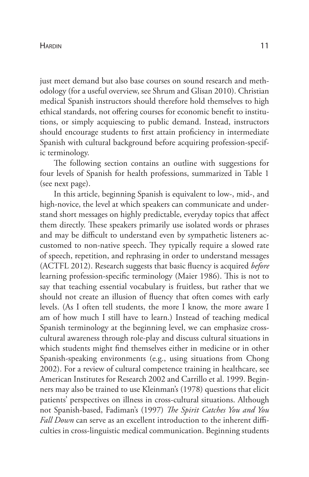just meet demand but also base courses on sound research and methodology (for a useful overview, see Shrum and Glisan 2010). Christian medical Spanish instructors should therefore hold themselves to high ethical standards, not offering courses for economic benefit to institutions, or simply acquiescing to public demand. Instead, instructors should encourage students to first attain proficiency in intermediate Spanish with cultural background before acquiring profession-specific terminology.

The following section contains an outline with suggestions for four levels of Spanish for health professions, summarized in Table 1 (see next page).

In this article, beginning Spanish is equivalent to low-, mid-, and high-novice, the level at which speakers can communicate and understand short messages on highly predictable, everyday topics that affect them directly. These speakers primarily use isolated words or phrases and may be difficult to understand even by sympathetic listeners accustomed to non-native speech. They typically require a slowed rate of speech, repetition, and rephrasing in order to understand messages (ACTFL 2012). Research suggests that basic fluency is acquired *before* learning profession-specific terminology (Maier 1986). This is not to say that teaching essential vocabulary is fruitless, but rather that we should not create an illusion of fluency that often comes with early levels. (As I often tell students, the more I know, the more aware I am of how much I still have to learn.) Instead of teaching medical Spanish terminology at the beginning level, we can emphasize crosscultural awareness through role-play and discuss cultural situations in which students might find themselves either in medicine or in other Spanish-speaking environments (e.g., using situations from Chong 2002). For a review of cultural competence training in healthcare, see American Institutes for Research 2002 and Carrillo et al. 1999. Beginners may also be trained to use Kleinman's (1978) questions that elicit patients' perspectives on illness in cross-cultural situations. Although not Spanish-based, Fadiman's (1997) *The Spirit Catches You and You Fall Down* can serve as an excellent introduction to the inherent difficulties in cross-linguistic medical communication. Beginning students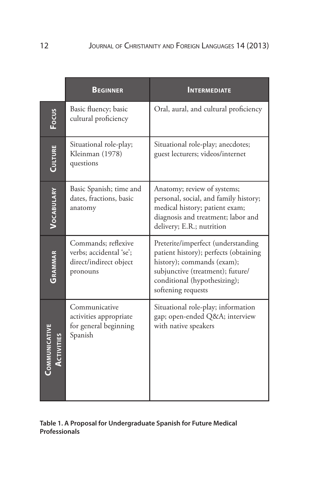|                | <b>BEGINNER</b>                                                                      | <b>INTERMEDIATE</b>                                                                                                                                                                                 |
|----------------|--------------------------------------------------------------------------------------|-----------------------------------------------------------------------------------------------------------------------------------------------------------------------------------------------------|
| Focus          | Basic fluency; basic<br>cultural proficiency                                         | Oral, aural, and cultural proficiency                                                                                                                                                               |
| <b>CULTURE</b> | Situational role-play;<br>Kleinman (1978)<br>questions                               | Situational role-play; anecdotes;<br>guest lecturers; videos/internet                                                                                                                               |
| VOCABULARY     | Basic Spanish; time and<br>dates, fractions, basic<br>anatomy                        | Anatomy; review of systems;<br>personal, social, and family history;<br>medical history; patient exam;<br>diagnosis and treatment; labor and<br>delivery; E.R.; nutrition                           |
| GRAMMAR        | Commands; reflexive<br>verbs; accidental 'se';<br>direct/indirect object<br>pronouns | Preterite/imperfect (understanding<br>patient history); perfects (obtaining<br>history); commands (exam);<br>subjunctive (treatment); future/<br>conditional (hypothesizing);<br>softening requests |
| COMMUNICATIVI  | Communicative<br>activities appropriate<br>for general beginning<br>Spanish          | Situational role-play; information<br>gap; open-ended Q&A interview<br>with native speakers                                                                                                         |

### **Table 1. A Proposal for Undergraduate Spanish for Future Medical Professionals**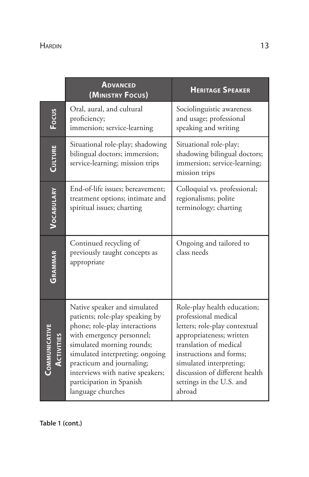|                                    | <b>ADVANCED</b><br>(MINISTRY FOCUS)                                                                                                                                                                                                                                                                             | <b>HERITAGE SPEAKER</b>                                                                                                                                                                                                                                                  |  |
|------------------------------------|-----------------------------------------------------------------------------------------------------------------------------------------------------------------------------------------------------------------------------------------------------------------------------------------------------------------|--------------------------------------------------------------------------------------------------------------------------------------------------------------------------------------------------------------------------------------------------------------------------|--|
| Focus                              | Oral, aural, and cultural<br>proficiency;<br>immersion; service-learning                                                                                                                                                                                                                                        | Sociolinguistic awareness<br>and usage; professional<br>speaking and writing                                                                                                                                                                                             |  |
| <b>CULTURE</b>                     | Situational role-play; shadowing<br>bilingual doctors; immersion;<br>service-learning; mission trips                                                                                                                                                                                                            | Situational role-play;<br>shadowing bilingual doctors;<br>immersion; service-learning;<br>mission trips                                                                                                                                                                  |  |
| VOCABULARY                         | End-of-life issues; bereavement;<br>treatment options; intimate and<br>spiritual issues; charting                                                                                                                                                                                                               | Colloquial vs. professional;<br>regionalisms; polite<br>terminology; charting                                                                                                                                                                                            |  |
| GRAMMAR                            | Continued recycling of<br>previously taught concepts as<br>appropriate                                                                                                                                                                                                                                          | Ongoing and tailored to<br>class needs                                                                                                                                                                                                                                   |  |
| COMMUNICATIVE<br><b>ACTIVITIES</b> | Native speaker and simulated<br>patients; role-play speaking by<br>phone; role-play interactions<br>with emergency personnel;<br>simulated morning rounds;<br>simulated interpreting; ongoing<br>practicum and journaling;<br>interviews with native speakers;<br>participation in Spanish<br>language churches | Role-play health education;<br>professional medical<br>letters; role-play contextual<br>appropriateness; written<br>translation of medical<br>instructions and forms;<br>simulated interpreting;<br>discussion of different health<br>settings in the U.S. and<br>abroad |  |

**Table 1 (cont.)**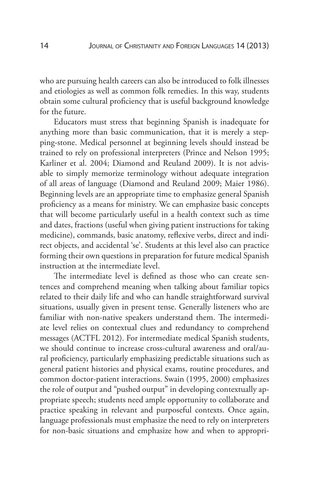who are pursuing health careers can also be introduced to folk illnesses and etiologies as well as common folk remedies. In this way, students obtain some cultural proficiency that is useful background knowledge for the future.

Educators must stress that beginning Spanish is inadequate for anything more than basic communication, that it is merely a stepping-stone. Medical personnel at beginning levels should instead be trained to rely on professional interpreters (Prince and Nelson 1995; Karliner et al. 2004; Diamond and Reuland 2009). It is not advisable to simply memorize terminology without adequate integration of all areas of language (Diamond and Reuland 2009; Maier 1986). Beginning levels are an appropriate time to emphasize general Spanish proficiency as a means for ministry. We can emphasize basic concepts that will become particularly useful in a health context such as time and dates, fractions (useful when giving patient instructions for taking medicine), commands, basic anatomy, reflexive verbs, direct and indirect objects, and accidental 'se'. Students at this level also can practice forming their own questions in preparation for future medical Spanish instruction at the intermediate level.

The intermediate level is defined as those who can create sentences and comprehend meaning when talking about familiar topics related to their daily life and who can handle straightforward survival situations, usually given in present tense. Generally listeners who are familiar with non-native speakers understand them. The intermediate level relies on contextual clues and redundancy to comprehend messages (ACTFL 2012). For intermediate medical Spanish students, we should continue to increase cross-cultural awareness and oral/aural proficiency, particularly emphasizing predictable situations such as general patient histories and physical exams, routine procedures, and common doctor-patient interactions. Swain (1995, 2000) emphasizes the role of output and "pushed output" in developing contextually appropriate speech; students need ample opportunity to collaborate and practice speaking in relevant and purposeful contexts. Once again, language professionals must emphasize the need to rely on interpreters for non-basic situations and emphasize how and when to appropri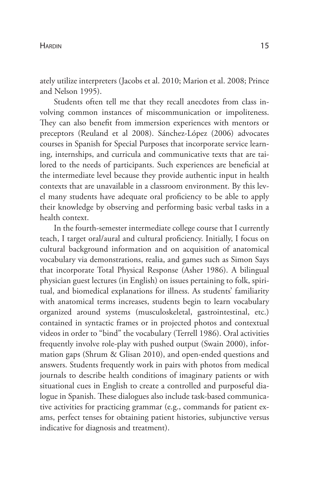ately utilize interpreters (Jacobs et al. 2010; Marion et al. 2008; Prince and Nelson 1995).

Students often tell me that they recall anecdotes from class involving common instances of miscommunication or impoliteness. They can also benefit from immersion experiences with mentors or preceptors (Reuland et al 2008). Sánchez-López (2006) advocates courses in Spanish for Special Purposes that incorporate service learning, internships, and curricula and communicative texts that are tailored to the needs of participants. Such experiences are beneficial at the intermediate level because they provide authentic input in health contexts that are unavailable in a classroom environment. By this level many students have adequate oral proficiency to be able to apply their knowledge by observing and performing basic verbal tasks in a health context.

In the fourth-semester intermediate college course that I currently teach, I target oral/aural and cultural proficiency. Initially, I focus on cultural background information and on acquisition of anatomical vocabulary via demonstrations, realia, and games such as Simon Says that incorporate Total Physical Response (Asher 1986). A bilingual physician guest lectures (in English) on issues pertaining to folk, spiritual, and biomedical explanations for illness. As students' familiarity with anatomical terms increases, students begin to learn vocabulary organized around systems (musculoskeletal, gastrointestinal, etc.) contained in syntactic frames or in projected photos and contextual videos in order to "bind" the vocabulary (Terrell 1986). Oral activities frequently involve role-play with pushed output (Swain 2000), information gaps (Shrum & Glisan 2010), and open-ended questions and answers. Students frequently work in pairs with photos from medical journals to describe health conditions of imaginary patients or with situational cues in English to create a controlled and purposeful dialogue in Spanish. These dialogues also include task-based communicative activities for practicing grammar (e.g., commands for patient exams, perfect tenses for obtaining patient histories, subjunctive versus indicative for diagnosis and treatment).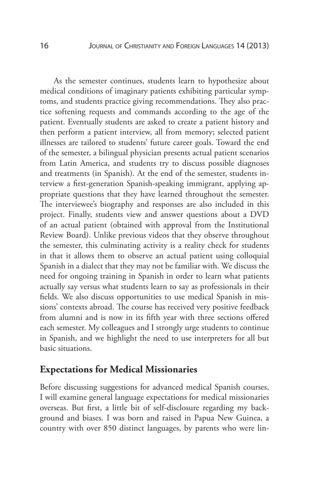As the semester continues, students learn to hypothesize about medical conditions of imaginary patients exhibiting particular symptoms, and students practice giving recommendations. They also practice softening requests and commands according to the age of the patient. Eventually students are asked to create a patient history and then perform a patient interview, all from memory; selected patient illnesses are tailored to students' future career goals. Toward the end of the semester, a bilingual physician presents actual patient scenarios from Latin America, and students try to discuss possible diagnoses and treatments (in Spanish). At the end of the semester, students interview a first-generation Spanish-speaking immigrant, applying appropriate questions that they have learned throughout the semester. The interviewee's biography and responses are also included in this project. Finally, students view and answer questions about a DVD of an actual patient (obtained with approval from the Institutional Review Board). Unlike previous videos that they observe throughout the semester, this culminating activity is a reality check for students in that it allows them to observe an actual patient using colloquial Spanish in a dialect that they may not be familiar with. We discuss the need for ongoing training in Spanish in order to learn what patients actually say versus what students learn to say as professionals in their fields. We also discuss opportunities to use medical Spanish in missions' contexts abroad. The course has received very positive feedback from alumni and is now in its fifth year with three sections offered each semester. My colleagues and I strongly urge students to continue in Spanish, and we highlight the need to use interpreters for all but basic situations.

### **Expectations for Medical Missionaries**

Before discussing suggestions for advanced medical Spanish courses, I will examine general language expectations for medical missionaries overseas. But first, a little bit of self-disclosure regarding my background and biases. I was born and raised in Papua New Guinea, a country with over 850 distinct languages, by parents who were lin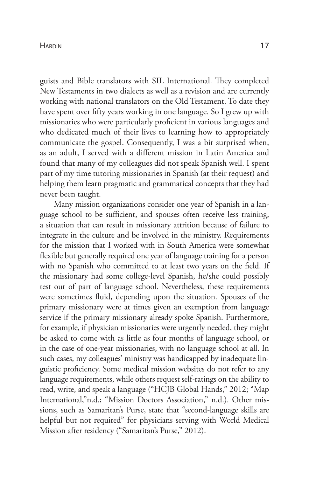guists and Bible translators with SIL International. They completed New Testaments in two dialects as well as a revision and are currently working with national translators on the Old Testament. To date they have spent over fifty years working in one language. So I grew up with missionaries who were particularly proficient in various languages and who dedicated much of their lives to learning how to appropriately communicate the gospel. Consequently, I was a bit surprised when, as an adult, I served with a different mission in Latin America and found that many of my colleagues did not speak Spanish well. I spent part of my time tutoring missionaries in Spanish (at their request) and helping them learn pragmatic and grammatical concepts that they had never been taught.

Many mission organizations consider one year of Spanish in a language school to be sufficient, and spouses often receive less training, a situation that can result in missionary attrition because of failure to integrate in the culture and be involved in the ministry. Requirements for the mission that I worked with in South America were somewhat flexible but generally required one year of language training for a person with no Spanish who committed to at least two years on the field. If the missionary had some college-level Spanish, he/she could possibly test out of part of language school. Nevertheless, these requirements were sometimes fluid, depending upon the situation. Spouses of the primary missionary were at times given an exemption from language service if the primary missionary already spoke Spanish. Furthermore, for example, if physician missionaries were urgently needed, they might be asked to come with as little as four months of language school, or in the case of one-year missionaries, with no language school at all. In such cases, my colleagues' ministry was handicapped by inadequate linguistic proficiency. Some medical mission websites do not refer to any language requirements, while others request self-ratings on the ability to read, write, and speak a language ("HCJB Global Hands," 2012; "Map International,"n.d.; "Mission Doctors Association," n.d.). Other missions, such as Samaritan's Purse, state that "second-language skills are helpful but not required" for physicians serving with World Medical Mission after residency ("Samaritan's Purse," 2012).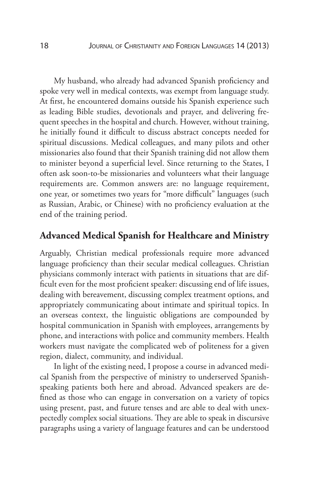My husband, who already had advanced Spanish proficiency and spoke very well in medical contexts, was exempt from language study. At first, he encountered domains outside his Spanish experience such as leading Bible studies, devotionals and prayer, and delivering frequent speeches in the hospital and church. However, without training, he initially found it difficult to discuss abstract concepts needed for spiritual discussions. Medical colleagues, and many pilots and other missionaries also found that their Spanish training did not allow them to minister beyond a superficial level. Since returning to the States, I often ask soon-to-be missionaries and volunteers what their language requirements are. Common answers are: no language requirement, one year, or sometimes two years for "more difficult" languages (such as Russian, Arabic, or Chinese) with no proficiency evaluation at the end of the training period.

# **Advanced Medical Spanish for Healthcare and Ministry**

Arguably, Christian medical professionals require more advanced language proficiency than their secular medical colleagues. Christian physicians commonly interact with patients in situations that are difficult even for the most proficient speaker: discussing end of life issues, dealing with bereavement, discussing complex treatment options, and appropriately communicating about intimate and spiritual topics. In an overseas context, the linguistic obligations are compounded by hospital communication in Spanish with employees, arrangements by phone, and interactions with police and community members. Health workers must navigate the complicated web of politeness for a given region, dialect, community, and individual.

In light of the existing need, I propose a course in advanced medical Spanish from the perspective of ministry to underserved Spanishspeaking patients both here and abroad. Advanced speakers are defined as those who can engage in conversation on a variety of topics using present, past, and future tenses and are able to deal with unexpectedly complex social situations. They are able to speak in discursive paragraphs using a variety of language features and can be understood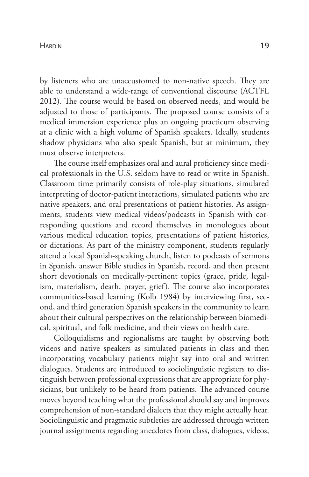#### Hardin 19

by listeners who are unaccustomed to non-native speech. They are able to understand a wide-range of conventional discourse (ACTFL 2012). The course would be based on observed needs, and would be adjusted to those of participants. The proposed course consists of a medical immersion experience plus an ongoing practicum observing at a clinic with a high volume of Spanish speakers. Ideally, students shadow physicians who also speak Spanish, but at minimum, they must observe interpreters.

The course itself emphasizes oral and aural proficiency since medical professionals in the U.S. seldom have to read or write in Spanish. Classroom time primarily consists of role-play situations, simulated interpreting of doctor-patient interactions, simulated patients who are native speakers, and oral presentations of patient histories. As assignments, students view medical videos/podcasts in Spanish with corresponding questions and record themselves in monologues about various medical education topics, presentations of patient histories, or dictations. As part of the ministry component, students regularly attend a local Spanish-speaking church, listen to podcasts of sermons in Spanish, answer Bible studies in Spanish, record, and then present short devotionals on medically-pertinent topics (grace, pride, legalism, materialism, death, prayer, grief). The course also incorporates communities-based learning (Kolb 1984) by interviewing first, second, and third generation Spanish speakers in the community to learn about their cultural perspectives on the relationship between biomedical, spiritual, and folk medicine, and their views on health care.

Colloquialisms and regionalisms are taught by observing both videos and native speakers as simulated patients in class and then incorporating vocabulary patients might say into oral and written dialogues. Students are introduced to sociolinguistic registers to distinguish between professional expressions that are appropriate for physicians, but unlikely to be heard from patients. The advanced course moves beyond teaching what the professional should say and improves comprehension of non-standard dialects that they might actually hear. Sociolinguistic and pragmatic subtleties are addressed through written journal assignments regarding anecdotes from class, dialogues, videos,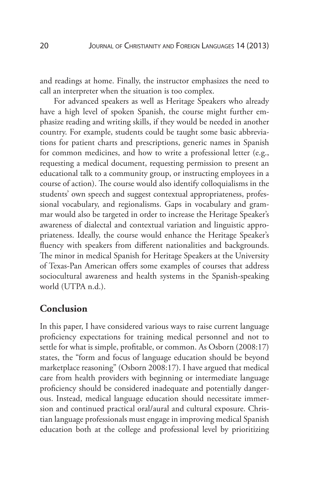and readings at home. Finally, the instructor emphasizes the need to call an interpreter when the situation is too complex.

For advanced speakers as well as Heritage Speakers who already have a high level of spoken Spanish, the course might further emphasize reading and writing skills, if they would be needed in another country. For example, students could be taught some basic abbreviations for patient charts and prescriptions, generic names in Spanish for common medicines, and how to write a professional letter (e.g., requesting a medical document, requesting permission to present an educational talk to a community group, or instructing employees in a course of action). The course would also identify colloquialisms in the students' own speech and suggest contextual appropriateness, professional vocabulary, and regionalisms. Gaps in vocabulary and grammar would also be targeted in order to increase the Heritage Speaker's awareness of dialectal and contextual variation and linguistic appropriateness. Ideally, the course would enhance the Heritage Speaker's fluency with speakers from different nationalities and backgrounds. The minor in medical Spanish for Heritage Speakers at the University of Texas-Pan American offers some examples of courses that address sociocultural awareness and health systems in the Spanish-speaking world (UTPA n.d.).

# **Conclusion**

In this paper, I have considered various ways to raise current language proficiency expectations for training medical personnel and not to settle for what is simple, profitable, or common. As Osborn (2008:17) states, the "form and focus of language education should be beyond marketplace reasoning" (Osborn 2008:17). I have argued that medical care from health providers with beginning or intermediate language proficiency should be considered inadequate and potentially dangerous. Instead, medical language education should necessitate immersion and continued practical oral/aural and cultural exposure. Christian language professionals must engage in improving medical Spanish education both at the college and professional level by prioritizing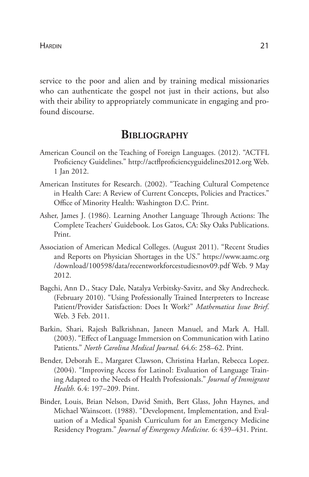service to the poor and alien and by training medical missionaries who can authenticate the gospel not just in their actions, but also with their ability to appropriately communicate in engaging and profound discourse.

# **Bibliography**

- American Council on the Teaching of Foreign Languages. (2012). "ACTFL Proficiency Guidelines." http://actflproficiencyguidelines2012.org Web. 1 Jan 2012.
- American Institutes for Research. (2002). "Teaching Cultural Competence in Health Care: A Review of Current Concepts, Policies and Practices." Office of Minority Health: Washington D.C. Print.
- Asher, James J. (1986). Learning Another Language Through Actions: The Complete Teachers' Guidebook. Los Gatos, CA: Sky Oaks Publications. Print.
- Association of American Medical Colleges. (August 2011). "Recent Studies and Reports on Physician Shortages in the US." https://www.aamc.org /download/100598/data/recentworkforcestudiesnov09.pdf Web. 9 May 2012.
- Bagchi, Ann D., Stacy Dale, Natalya Verbitsky-Savitz, and Sky Andrecheck. (February 2010). "Using Professionally Trained Interpreters to Increase Patient/Provider Satisfaction: Does It Work?" *Mathematica Issue Brief*. Web. 3 Feb. 2011.
- Barkin, Shari, Rajesh Balkrishnan, Janeen Manuel, and Mark A. Hall. (2003). "Effect of Language Immersion on Communication with Latino Patients." *North Carolina Medical Journal.* 64.6: 258–62. Print.
- Bender, Deborah E., Margaret Clawson, Christina Harlan, Rebecca Lopez. (2004). "Improving Access for LatinoI: Evaluation of Language Training Adapted to the Needs of Health Professionals." *Journal of Immigrant Health.* 6.4: 197–209. Print.
- Binder, Louis, Brian Nelson, David Smith, Bert Glass, John Haynes, and Michael Wainscott. (1988). "Development, Implementation, and Evaluation of a Medical Spanish Curriculum for an Emergency Medicine Residency Program." *Journal of Emergency Medicine.* 6: 439–431. Print.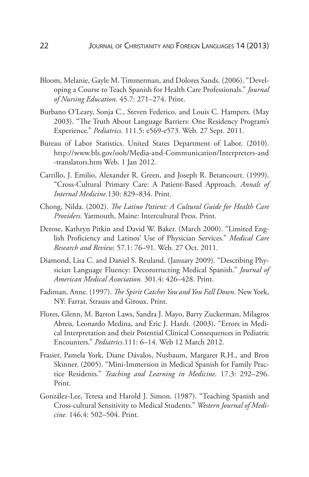- Bloom, Melanie, Gayle M. Timmerman, and Dolores Sands. (2006). "Developing a Course to Teach Spanish for Health Care Professionals." *Journal of Nursing Education*. 45.7: 271–274. Print.
- Burbano O'Leary, Sonja C., Steven Federico, and Louis C. Hampers. (May 2003). "The Truth About Language Barriers: One Residency Program's Experience." *Pediatrics.* 111.5: e569-e573. Web. 27 Sept. 2011.
- Bureau of Labor Statistics. United States Department of Labor. (2010). http://www.bls.gov/ooh/Media-and-Communication/Interpreters-and -translators.htm Web. 1 Jan 2012.
- Carrillo, J. Emilio, Alexander R. Green, and Joseph R. Betancourt. (1999). "Cross-Cultural Primary Care: A Patient-Based Approach. *Annals of Internal Medicine.*130: 829–834. Print.
- Chong, Nilda. (2002). *The Latino Patient: A Cultural Guide for Health Care Providers.* Yarmouth, Maine: Intercultural Press. Print.
- Derose, Kathryn Pitkin and David W. Baker. (March 2000). "Limited English Proficiency and Latinos' Use of Physician Services." *Medical Care Research and Review.* 57.1: 76–91. Web. 27 Oct. 2011.
- Diamond, Lisa C. and Daniel S. Reuland. (January 2009). "Describing Physician Language Fluency: Deconstructing Medical Spanish." *Journal of American Medical Association.* 301.4: 426–428. Print.
- Fadiman, Anne. (1997). *The Spirit Catches You and You Fall Down.* New York, NY: Farrar, Strauss and Giroux. Print.
- Flores, Glenn, M. Barton Laws, Sandra J. Mayo, Barry Zuckerman, Milagros Abreu, Leonardo Medina, and Eric J. Hardt. (2003). "Errors in Medical Interpretation and their Potential Clinical Consequences in Pediatric Encounters." *Pediatrics.*111: 6–14. Web 12 March 2012.
- Frasier, Pamela York, Diane Dávalos, Nusbaum, Margaret R.H., and Bron Skinner. (2005). "Mini-Immersion in Medical Spanish for Family Practice Residents." *Teaching and Learning in Medicine*. 17.3: 292–296. Print.
- González-Lee, Teresa and Harold J. Simon. (1987). "Teaching Spanish and Cross-cultural Sensitivity to Medical Students." *Western Journal of Medicine.* 146.4: 502–504. Print.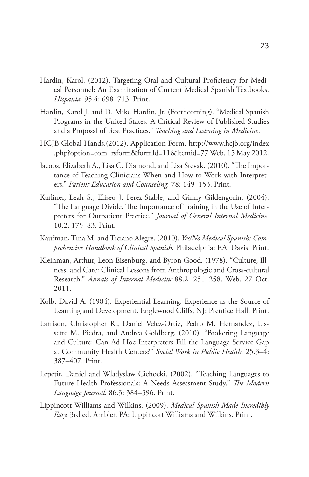- Hardin, Karol. (2012). Targeting Oral and Cultural Proficiency for Medical Personnel: An Examination of Current Medical Spanish Textbooks. *Hispania.* 95.4: 698–713. Print.
- Hardin, Karol J. and D. Mike Hardin, Jr. (Forthcoming). "Medical Spanish Programs in the United States: A Critical Review of Published Studies and a Proposal of Best Practices." *Teaching and Learning in Medicine*.
- HCJB Global Hands.(2012). Application Form. http://www.hcjb.org/index .php?option=com\_rsform&formId=11&Itemid=77 Web. 15 May 2012.
- Jacobs, Elizabeth A., Lisa C. Diamond, and Lisa Stevak. (2010). "The Importance of Teaching Clinicians When and How to Work with Interpreters." *Patient Education and Counseling.* 78: 149–153. Print.
- Karliner, Leah S., Eliseo J. Perez-Stable, and Ginny Gildengorin. (2004). "The Language Divide. The Importance of Training in the Use of Interpreters for Outpatient Practice." *Journal of General Internal Medicine.* 10.2: 175–83. Print.
- Kaufman, Tina M. and Ticiano Alegre. (2010). *Yes/No Medical Spanish: Comprehensive Handbook of Clinical Spanish*. Philadelphia: F.A. Davis. Print.
- Kleinman, Arthur, Leon Eisenburg, and Byron Good. (1978). "Culture, Illness, and Care: Clinical Lessons from Anthropologic and Cross-cultural Research." *Annals of Internal Medicine.*88.2: 251–258. Web. 27 Oct. 2011.
- Kolb, David A. (1984). Experiential Learning: Experience as the Source of Learning and Development. Englewood Cliffs, NJ: Prentice Hall. Print.
- Larrison, Christopher R., Daniel Velez-Ortiz, Pedro M. Hernandez, Lissette M. Piedra, and Andrea Goldberg. (2010). "Brokering Language and Culture: Can Ad Hoc Interpreters Fill the Language Service Gap at Community Health Centers?" *Social Work in Public Health.* 25.3–4: 387–407. Print.
- Lepetit, Daniel and Wladyslaw Cichocki. (2002). "Teaching Languages to Future Health Professionals: A Needs Assessment Study." *The Modern Language Journal.* 86.3: 384–396. Print.
- Lippincott Williams and Wilkins. (2009). *Medical Spanish Made Incredibly Easy.* 3rd ed. Ambler, PA: Lippincott Williams and Wilkins. Print.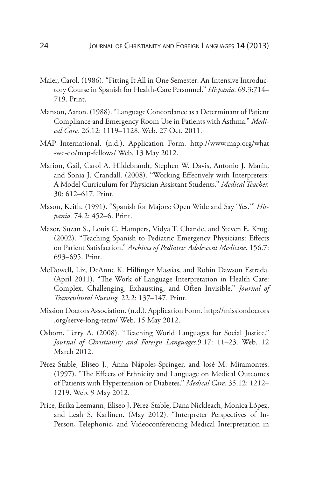- Maier, Carol. (1986). "Fitting It All in One Semester: An Intensive Introductory Course in Spanish for Health-Care Personnel." *Hispania.* 69.3:714– 719. Print.
- Manson, Aaron. (1988). "Language Concordance as a Determinant of Patient Compliance and Emergency Room Use in Patients with Asthma." *Medical Care.* 26.12: 1119–1128. Web. 27 Oct. 2011.
- MAP International. (n.d.). Application Form. http://www.map.org/what -we-do/map-fellows/ Web. 13 May 2012.
- Marion, Gail, Carol A. Hildebrandt, Stephen W. Davis, Antonio J. Marín, and Sonia J. Crandall. (2008). "Working Effectively with Interpreters: A Model Curriculum for Physician Assistant Students." *Medical Teacher.* 30: 612–617. Print.
- Mason, Keith. (1991). "Spanish for Majors: Open Wide and Say 'Yes.'" *Hispania.* 74.2: 452–6. Print.
- Mazor, Suzan S., Louis C. Hampers, Vidya T. Chande, and Steven E. Krug. (2002). "Teaching Spanish to Pediatric Emergency Physicians: Effects on Patient Satisfaction." *Archives of Pediatric Adolescent Medicine.* 156.7: 693–695. Print.
- McDowell, Liz, DeAnne K. Hilfinger Massias, and Robin Dawson Estrada. (April 2011). "The Work of Language Interpretation in Health Care: Complex, Challenging, Exhausting, and Often Invisible." *Journal of Transcultural Nursing.* 22.2: 137–147. Print.
- Mission Doctors Association. (n.d.). Application Form. http://missiondoctors .org/serve-long-term/ Web. 15 May 2012.
- Osborn, Terry A. (2008). "Teaching World Languages for Social Justice." *Journal of Christianity and Foreign Languages.*9*.*17: 11–23. Web. 12 March 2012.
- Pérez-Stable, Eliseo J., Anna Nápoles-Springer, and José M. Miramontes. (1997). "The Effects of Ethnicity and Language on Medical Outcomes of Patients with Hypertension or Diabetes." *Medical Care.* 35.12: 1212– 1219. Web. 9 May 2012.
- Price, Erika Leemann, Eliseo J. Pérez-Stable, Dana Nickleach, Monica López, and Leah S. Karlinen. (May 2012). "Interpreter Perspectives of In-Person, Telephonic, and Videoconferencing Medical Interpretation in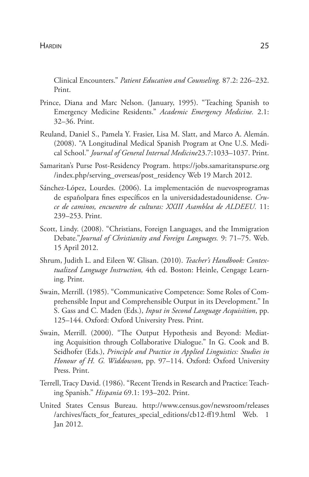Clinical Encounters." *Patient Education and Counseling.* 87.2: 226–232. Print.

- Prince, Diana and Marc Nelson. (January, 1995). "Teaching Spanish to Emergency Medicine Residents." *Academic Emergency Medicine.* 2.1: 32–36. Print.
- Reuland, Daniel S., Pamela Y. Frasier, Lisa M. Slatt, and Marco A. Alemán. (2008). "A Longitudinal Medical Spanish Program at One U.S. Medical School." *Journal of General Internal Medicine*23.7:1033–1037. Print.
- Samaritan's Purse Post-Residency Program. https://jobs.samaritanspurse.org /index.php/serving\_overseas/post\_residency Web 19 March 2012.
- Sánchez-López, Lourdes. (2006). La implementación de nuevosprogramas de españolpara fines específicos en la universidadestadounidense. *Cruce de caminos, encuentro de culturas: XXIII Asamblea de ALDEEU.* 11: 239–253. Print.
- Scott, Lindy. (2008). "Christians, Foreign Languages, and the Immigration Debate."*Journal of Christianity and Foreign Languages.* 9: 71–75. Web. 15 April 2012.
- Shrum, Judith L. and Eileen W. Glisan. (2010). *Teacher's Handbook: Contextualized Language Instruction,* 4th ed. Boston: Heinle, Cengage Learning. Print.
- Swain, Merrill. (1985). "Communicative Competence: Some Roles of Comprehensible Input and Comprehensible Output in its Development." In S. Gass and C. Maden (Eds.), *Input in Second Language Acquisition*, pp. 125–144. Oxford: Oxford University Press. Print.
- Swain, Merrill. (2000). "The Output Hypothesis and Beyond: Mediating Acquisition through Collaborative Dialogue." In G. Cook and B. Seidhofer (Eds.), *Principle and Practice in Applied Linguistics: Studies in Honour of H. G. Widdowson*, pp. 97–114. Oxford: Oxford University Press. Print.
- Terrell, Tracy David. (1986). "Recent Trends in Research and Practice: Teaching Spanish." *Hispania* 69.1: 193–202. Print.
- United States Census Bureau. http://www.census.gov/newsroom/releases /archives/facts\_for\_features\_special\_editions/cb12-ff19.html Web. 1 Jan 2012.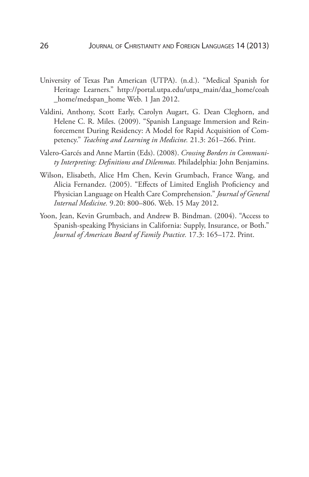- University of Texas Pan American (UTPA). (n.d.). "Medical Spanish for Heritage Learners." http://portal.utpa.edu/utpa\_main/daa\_home/coah \_home/medspan\_home Web. 1 Jan 2012.
- Valdini, Anthony, Scott Early, Carolyn Augart, G. Dean Cleghorn, and Helene C. R. Miles. (2009). "Spanish Language Immersion and Reinforcement During Residency: A Model for Rapid Acquisition of Competency." *Teaching and Learning in Medicine.* 21.3: 261–266. Print.
- Valero-Garcés and Anne Martin (Eds). (2008). *Crossing Borders in Community Interpreting: Definitions and Dilemmas.* Philadelphia: John Benjamins.
- Wilson, Elisabeth, Alice Hm Chen, Kevin Grumbach, France Wang, and Alicia Fernandez. (2005). "Effects of Limited English Proficiency and Physician Language on Health Care Comprehension." *Journal of General Internal Medicine.* 9.20: 800–806. Web. 15 May 2012.
- Yoon, Jean, Kevin Grumbach, and Andrew B. Bindman. (2004). "Access to Spanish-speaking Physicians in California: Supply, Insurance, or Both." *Journal of American Board of Family Practice.* 17.3: 165–172. Print.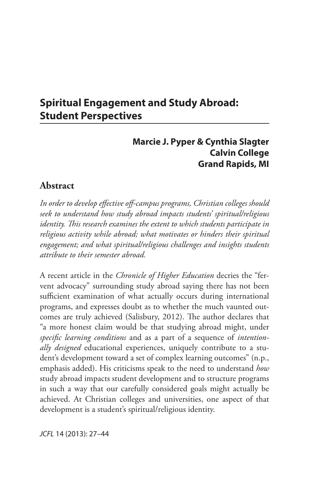# **Spiritual Engagement and Study Abroad: Student Perspectives**

# **Marcie J. Pyper & Cynthia Slagter Calvin College Grand Rapids, MI**

# **Abstract**

*In order to develop effective off-campus programs, Christian colleges should seek to understand how study abroad impacts students' spiritual/religious identity. This research examines the extent to which students participate in religious activity while abroad; what motivates or hinders their spiritual engagement; and what spiritual/religious challenges and insights students attribute to their semester abroad.*

A recent article in the *Chronicle of Higher Education* decries the "fervent advocacy" surrounding study abroad saying there has not been sufficient examination of what actually occurs during international programs, and expresses doubt as to whether the much vaunted outcomes are truly achieved (Salisbury, 2012). The author declares that "a more honest claim would be that studying abroad might, under *specific learning conditions* and as a part of a sequence of *intentionally designed* educational experiences, uniquely contribute to a student's development toward a set of complex learning outcomes" (n.p., emphasis added). His criticisms speak to the need to understand *how* study abroad impacts student development and to structure programs in such a way that our carefully considered goals might actually be achieved. At Christian colleges and universities, one aspect of that development is a student's spiritual/religious identity.

*JCFL* 14 (2013): 27–44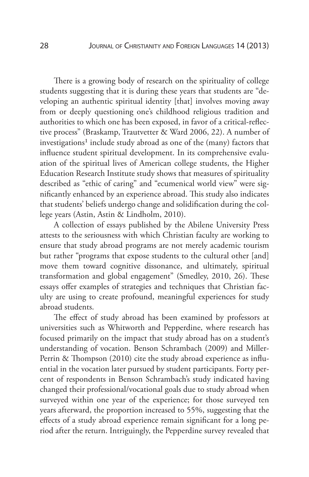There is a growing body of research on the spirituality of college students suggesting that it is during these years that students are "developing an authentic spiritual identity [that] involves moving away from or deeply questioning one's childhood religious tradition and authorities to which one has been exposed, in favor of a critical-reflective process" (Braskamp, Trautvetter & Ward 2006, 22). A number of investigations<sup>1</sup> include study abroad as one of the (many) factors that influence student spiritual development. In its comprehensive evaluation of the spiritual lives of American college students, the Higher Education Research Institute study shows that measures of spirituality described as "ethic of caring" and "ecumenical world view" were significantly enhanced by an experience abroad. This study also indicates that students' beliefs undergo change and solidification during the college years (Astin, Astin & Lindholm, 2010).

A collection of essays published by the Abilene University Press attests to the seriousness with which Christian faculty are working to ensure that study abroad programs are not merely academic tourism but rather "programs that expose students to the cultural other [and] move them toward cognitive dissonance, and ultimately, spiritual transformation and global engagement" (Smedley, 2010, 26). These essays offer examples of strategies and techniques that Christian faculty are using to create profound, meaningful experiences for study abroad students.

The effect of study abroad has been examined by professors at universities such as Whitworth and Pepperdine, where research has focused primarily on the impact that study abroad has on a student's understanding of vocation. Benson Schrambach (2009) and Miller-Perrin & Thompson (2010) cite the study abroad experience as influential in the vocation later pursued by student participants. Forty percent of respondents in Benson Schrambach's study indicated having changed their professional/vocational goals due to study abroad when surveyed within one year of the experience; for those surveyed ten years afterward, the proportion increased to 55%, suggesting that the effects of a study abroad experience remain significant for a long period after the return. Intriguingly, the Pepperdine survey revealed that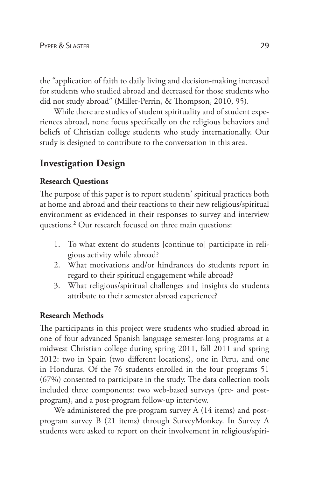the "application of faith to daily living and decision-making increased for students who studied abroad and decreased for those students who did not study abroad" (Miller-Perrin, & Thompson, 2010, 95).

While there are studies of student spirituality and of student experiences abroad, none focus specifically on the religious behaviors and beliefs of Christian college students who study internationally. Our study is designed to contribute to the conversation in this area.

# **Investigation Design**

# **Research Questions**

The purpose of this paper is to report students' spiritual practices both at home and abroad and their reactions to their new religious/spiritual environment as evidenced in their responses to survey and interview questions.2 Our research focused on three main questions:

- 1. To what extent do students [continue to] participate in religious activity while abroad?
- 2. What motivations and/or hindrances do students report in regard to their spiritual engagement while abroad?
- 3. What religious/spiritual challenges and insights do students attribute to their semester abroad experience?

# **Research Methods**

The participants in this project were students who studied abroad in one of four advanced Spanish language semester-long programs at a midwest Christian college during spring 2011, fall 2011 and spring 2012: two in Spain (two different locations), one in Peru, and one in Honduras. Of the 76 students enrolled in the four programs 51 (67%) consented to participate in the study. The data collection tools included three components: two web-based surveys (pre- and postprogram), and a post-program follow-up interview.

We administered the pre-program survey A (14 items) and postprogram survey B (21 items) through SurveyMonkey. In Survey A students were asked to report on their involvement in religious/spiri-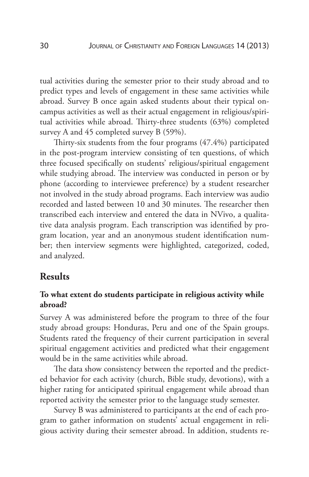tual activities during the semester prior to their study abroad and to predict types and levels of engagement in these same activities while abroad. Survey B once again asked students about their typical oncampus activities as well as their actual engagement in religious/spiritual activities while abroad. Thirty-three students (63%) completed survey A and 45 completed survey B (59%).

Thirty-six students from the four programs (47.4%) participated in the post-program interview consisting of ten questions, of which three focused specifically on students' religious/spiritual engagement while studying abroad. The interview was conducted in person or by phone (according to interviewee preference) by a student researcher not involved in the study abroad programs. Each interview was audio recorded and lasted between 10 and 30 minutes. The researcher then transcribed each interview and entered the data in NVivo, a qualitative data analysis program. Each transcription was identified by program location, year and an anonymous student identification number; then interview segments were highlighted, categorized, coded, and analyzed.

# **Results**

### **To what extent do students participate in religious activity while abroad?**

Survey A was administered before the program to three of the four study abroad groups: Honduras, Peru and one of the Spain groups. Students rated the frequency of their current participation in several spiritual engagement activities and predicted what their engagement would be in the same activities while abroad.

The data show consistency between the reported and the predicted behavior for each activity (church, Bible study, devotions), with a higher rating for anticipated spiritual engagement while abroad than reported activity the semester prior to the language study semester.

Survey B was administered to participants at the end of each program to gather information on students' actual engagement in religious activity during their semester abroad. In addition, students re-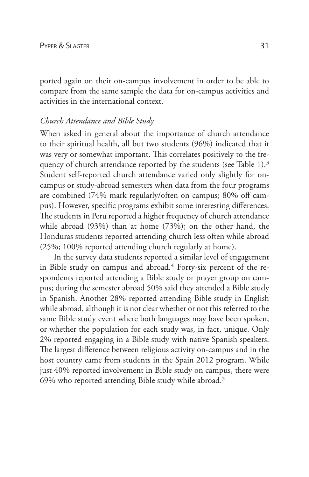ported again on their on-campus involvement in order to be able to compare from the same sample the data for on-campus activities and activities in the international context.

### *Church Attendance and Bible Study*

When asked in general about the importance of church attendance to their spiritual health, all but two students (96%) indicated that it was very or somewhat important. This correlates positively to the frequency of church attendance reported by the students (see Table 1).<sup>3</sup> Student self-reported church attendance varied only slightly for oncampus or study-abroad semesters when data from the four programs are combined (74% mark regularly/often on campus; 80% off campus). However, specific programs exhibit some interesting differences. The students in Peru reported a higher frequency of church attendance while abroad (93%) than at home (73%); on the other hand, the Honduras students reported attending church less often while abroad (25%; 100% reported attending church regularly at home).

In the survey data students reported a similar level of engagement in Bible study on campus and abroad.<sup>4</sup> Forty-six percent of the respondents reported attending a Bible study or prayer group on campus; during the semester abroad 50% said they attended a Bible study in Spanish. Another 28% reported attending Bible study in English while abroad, although it is not clear whether or not this referred to the same Bible study event where both languages may have been spoken, or whether the population for each study was, in fact, unique. Only 2% reported engaging in a Bible study with native Spanish speakers. The largest difference between religious activity on-campus and in the host country came from students in the Spain 2012 program. While just 40% reported involvement in Bible study on campus, there were 69% who reported attending Bible study while abroad.5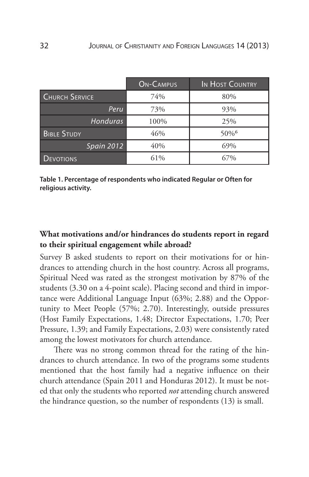|                       | <b>ON-CAMPUS</b> | IN HOST COUNTRY     |
|-----------------------|------------------|---------------------|
| <b>CHURCH SERVICE</b> | 74%              | 80%                 |
| Peru                  | 73%              | 93%                 |
| Honduras              | 100%             | 25%                 |
| <b>BIBLE STUDY</b>    | 46%              | $50\%$ <sup>6</sup> |
| Spain 2012            | 40%              | 69%                 |
| <b>DEVOTIONS</b>      | 61%              | 67%                 |

**Table 1. Percentage of respondents who indicated Regular or Often for religious activity.**

# **What motivations and/or hindrances do students report in regard to their spiritual engagement while abroad?**

Survey B asked students to report on their motivations for or hindrances to attending church in the host country. Across all programs, Spiritual Need was rated as the strongest motivation by 87% of the students (3.30 on a 4-point scale). Placing second and third in importance were Additional Language Input (63%; 2.88) and the Opportunity to Meet People (57%; 2.70). Interestingly, outside pressures (Host Family Expectations, 1.48; Director Expectations, 1.70; Peer Pressure, 1.39; and Family Expectations, 2.03) were consistently rated among the lowest motivators for church attendance.

There was no strong common thread for the rating of the hindrances to church attendance. In two of the programs some students mentioned that the host family had a negative influence on their church attendance (Spain 2011 and Honduras 2012). It must be noted that only the students who reported *not* attending church answered the hindrance question, so the number of respondents (13) is small.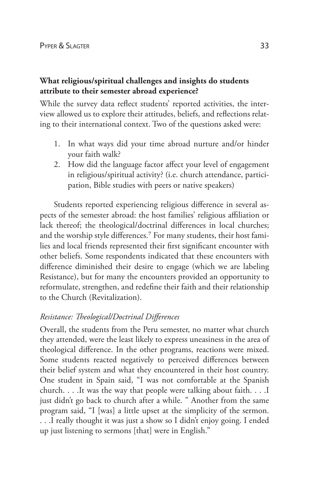### **What religious/spiritual challenges and insights do students attribute to their semester abroad experience?**

While the survey data reflect students' reported activities, the interview allowed us to explore their attitudes, beliefs, and reflections relating to their international context. Two of the questions asked were:

- 1. In what ways did your time abroad nurture and/or hinder your faith walk?
- 2. How did the language factor affect your level of engagement in religious/spiritual activity? (i.e. church attendance, participation, Bible studies with peers or native speakers)

Students reported experiencing religious difference in several aspects of the semester abroad: the host families' religious affiliation or lack thereof; the theological/doctrinal differences in local churches; and the worship style differences.7 For many students, their host families and local friends represented their first significant encounter with other beliefs. Some respondents indicated that these encounters with difference diminished their desire to engage (which we are labeling Resistance), but for many the encounters provided an opportunity to reformulate, strengthen, and redefine their faith and their relationship to the Church (Revitalization).

# *Resistance: Theological/Doctrinal Differences*

Overall, the students from the Peru semester, no matter what church they attended, were the least likely to express uneasiness in the area of theological difference. In the other programs, reactions were mixed. Some students reacted negatively to perceived differences between their belief system and what they encountered in their host country. One student in Spain said, "I was not comfortable at the Spanish church. . . .It was the way that people were talking about faith. . . .I just didn't go back to church after a while. " Another from the same program said, "I [was] a little upset at the simplicity of the sermon. . . .I really thought it was just a show so I didn't enjoy going. I ended up just listening to sermons [that] were in English."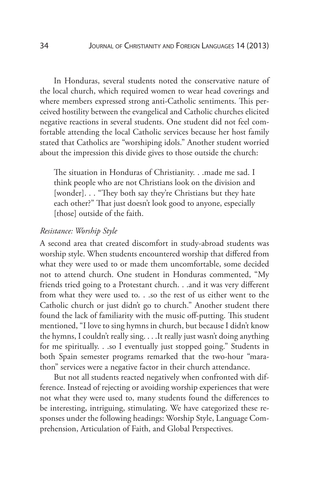In Honduras, several students noted the conservative nature of the local church, which required women to wear head coverings and where members expressed strong anti-Catholic sentiments. This perceived hostility between the evangelical and Catholic churches elicited negative reactions in several students. One student did not feel comfortable attending the local Catholic services because her host family stated that Catholics are "worshiping idols." Another student worried about the impression this divide gives to those outside the church:

The situation in Honduras of Christianity. . .made me sad. I think people who are not Christians look on the division and [wonder]. . . "They both say they're Christians but they hate each other?" That just doesn't look good to anyone, especially [those] outside of the faith.

#### *Resistance: Worship Style*

A second area that created discomfort in study-abroad students was worship style. When students encountered worship that differed from what they were used to or made them uncomfortable, some decided not to attend church. One student in Honduras commented, "My friends tried going to a Protestant church. . .and it was very different from what they were used to. . .so the rest of us either went to the Catholic church or just didn't go to church." Another student there found the lack of familiarity with the music off-putting. This student mentioned, "I love to sing hymns in church, but because I didn't know the hymns, I couldn't really sing. . . .It really just wasn't doing anything for me spiritually. . .so I eventually just stopped going." Students in both Spain semester programs remarked that the two-hour "marathon" services were a negative factor in their church attendance.

But not all students reacted negatively when confronted with difference. Instead of rejecting or avoiding worship experiences that were not what they were used to, many students found the differences to be interesting, intriguing, stimulating. We have categorized these responses under the following headings: Worship Style, Language Comprehension, Articulation of Faith, and Global Perspectives.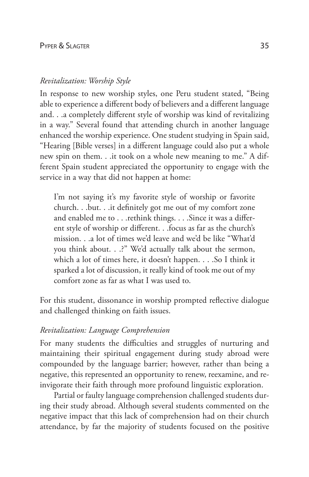### *Revitalization: Worship Style*

In response to new worship styles, one Peru student stated, "Being able to experience a different body of believers and a different language and. . .a completely different style of worship was kind of revitalizing in a way." Several found that attending church in another language enhanced the worship experience. One student studying in Spain said, "Hearing [Bible verses] in a different language could also put a whole new spin on them. . .it took on a whole new meaning to me." A different Spain student appreciated the opportunity to engage with the service in a way that did not happen at home:

I'm not saying it's my favorite style of worship or favorite church. . .but. . .it definitely got me out of my comfort zone and enabled me to . . . rethink things. . . . Since it was a different style of worship or different. . .focus as far as the church's mission. . .a lot of times we'd leave and we'd be like "What'd you think about. . .?" We'd actually talk about the sermon, which a lot of times here, it doesn't happen. . . .So I think it sparked a lot of discussion, it really kind of took me out of my comfort zone as far as what I was used to.

For this student, dissonance in worship prompted reflective dialogue and challenged thinking on faith issues.

### *Revitalization: Language Comprehension*

For many students the difficulties and struggles of nurturing and maintaining their spiritual engagement during study abroad were compounded by the language barrier; however, rather than being a negative, this represented an opportunity to renew, reexamine, and reinvigorate their faith through more profound linguistic exploration.

Partial or faulty language comprehension challenged students during their study abroad. Although several students commented on the negative impact that this lack of comprehension had on their church attendance, by far the majority of students focused on the positive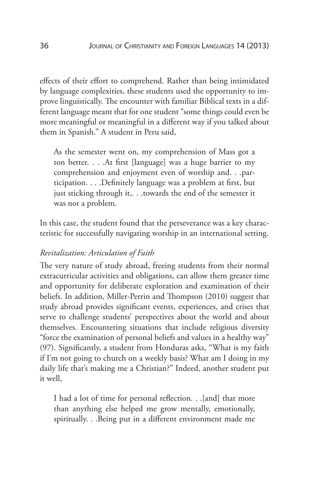effects of their effort to comprehend. Rather than being intimidated by language complexities, these students used the opportunity to improve linguistically. The encounter with familiar Biblical texts in a different language meant that for one student "some things could even be more meaningful or meaningful in a different way if you talked about them in Spanish." A student in Peru said,

As the semester went on, my comprehension of Mass got a ton better. . . .At first [language] was a huge barrier to my comprehension and enjoyment even of worship and. . .participation. . . .Definitely language was a problem at first, but just sticking through it,. . .towards the end of the semester it was not a problem.

In this case, the student found that the perseverance was a key characteristic for successfully navigating worship in an international setting.

### *Revitalization: Articulation of Faith*

The very nature of study abroad, freeing students from their normal extracurricular activities and obligations, can allow them greater time and opportunity for deliberate exploration and examination of their beliefs. In addition, Miller-Perrin and Thompson (2010) suggest that study abroad provides significant events, experiences, and crises that serve to challenge students' perspectives about the world and about themselves. Encountering situations that include religious diversity "force the examination of personal beliefs and values in a healthy way" (97). Significantly, a student from Honduras asks, "What is my faith if I'm not going to church on a weekly basis? What am I doing in my daily life that's making me a Christian?" Indeed, another student put it well,

I had a lot of time for personal reflection. . .[and] that more than anything else helped me grow mentally, emotionally, spiritually. . .Being put in a different environment made me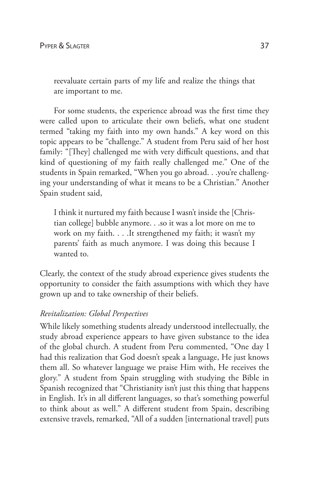reevaluate certain parts of my life and realize the things that are important to me.

For some students, the experience abroad was the first time they were called upon to articulate their own beliefs, what one student termed "taking my faith into my own hands." A key word on this topic appears to be "challenge." A student from Peru said of her host family: "[They] challenged me with very difficult questions, and that kind of questioning of my faith really challenged me." One of the students in Spain remarked, "When you go abroad. . .you're challenging your understanding of what it means to be a Christian." Another Spain student said,

I think it nurtured my faith because I wasn't inside the [Christian college] bubble anymore. . .so it was a lot more on me to work on my faith. . . .It strengthened my faith; it wasn't my parents' faith as much anymore. I was doing this because I wanted to.

Clearly, the context of the study abroad experience gives students the opportunity to consider the faith assumptions with which they have grown up and to take ownership of their beliefs.

#### *Revitalization: Global Perspectives*

While likely something students already understood intellectually, the study abroad experience appears to have given substance to the idea of the global church. A student from Peru commented, "One day I had this realization that God doesn't speak a language, He just knows them all. So whatever language we praise Him with, He receives the glory." A student from Spain struggling with studying the Bible in Spanish recognized that "Christianity isn't just this thing that happens in English. It's in all different languages, so that's something powerful to think about as well." A different student from Spain, describing extensive travels, remarked, "All of a sudden [international travel] puts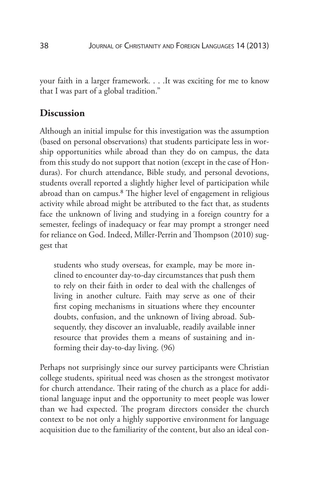your faith in a larger framework. . . .It was exciting for me to know that I was part of a global tradition."

### **Discussion**

Although an initial impulse for this investigation was the assumption (based on personal observations) that students participate less in worship opportunities while abroad than they do on campus, the data from this study do not support that notion (except in the case of Honduras). For church attendance, Bible study, and personal devotions, students overall reported a slightly higher level of participation while abroad than on campus.8 The higher level of engagement in religious activity while abroad might be attributed to the fact that, as students face the unknown of living and studying in a foreign country for a semester, feelings of inadequacy or fear may prompt a stronger need for reliance on God. Indeed, Miller-Perrin and Thompson (2010) suggest that

students who study overseas, for example, may be more inclined to encounter day-to-day circumstances that push them to rely on their faith in order to deal with the challenges of living in another culture. Faith may serve as one of their first coping mechanisms in situations where they encounter doubts, confusion, and the unknown of living abroad. Subsequently, they discover an invaluable, readily available inner resource that provides them a means of sustaining and informing their day-to-day living. (96)

Perhaps not surprisingly since our survey participants were Christian college students, spiritual need was chosen as the strongest motivator for church attendance. Their rating of the church as a place for additional language input and the opportunity to meet people was lower than we had expected. The program directors consider the church context to be not only a highly supportive environment for language acquisition due to the familiarity of the content, but also an ideal con-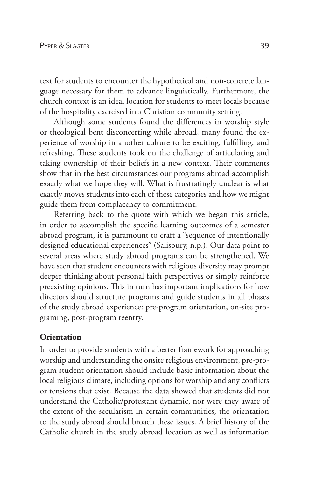text for students to encounter the hypothetical and non-concrete language necessary for them to advance linguistically. Furthermore, the church context is an ideal location for students to meet locals because of the hospitality exercised in a Christian community setting.

Although some students found the differences in worship style or theological bent disconcerting while abroad, many found the experience of worship in another culture to be exciting, fulfilling, and refreshing. These students took on the challenge of articulating and taking ownership of their beliefs in a new context. Their comments show that in the best circumstances our programs abroad accomplish exactly what we hope they will. What is frustratingly unclear is what exactly moves students into each of these categories and how we might guide them from complacency to commitment.

Referring back to the quote with which we began this article, in order to accomplish the specific learning outcomes of a semester abroad program, it is paramount to craft a "sequence of intentionally designed educational experiences" (Salisbury, n.p.). Our data point to several areas where study abroad programs can be strengthened. We have seen that student encounters with religious diversity may prompt deeper thinking about personal faith perspectives or simply reinforce preexisting opinions. This in turn has important implications for how directors should structure programs and guide students in all phases of the study abroad experience: pre-program orientation, on-site programing, post-program reentry.

#### **Orientation**

In order to provide students with a better framework for approaching worship and understanding the onsite religious environment, pre-program student orientation should include basic information about the local religious climate, including options for worship and any conflicts or tensions that exist. Because the data showed that students did not understand the Catholic/protestant dynamic, nor were they aware of the extent of the secularism in certain communities, the orientation to the study abroad should broach these issues. A brief history of the Catholic church in the study abroad location as well as information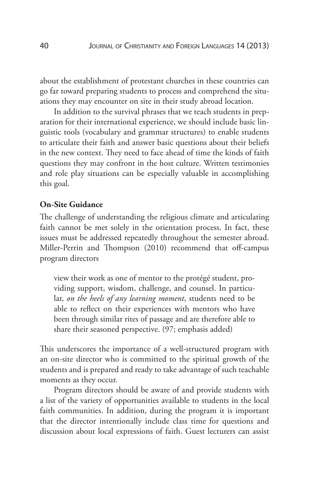about the establishment of protestant churches in these countries can go far toward preparing students to process and comprehend the situations they may encounter on site in their study abroad location.

In addition to the survival phrases that we teach students in preparation for their international experience, we should include basic linguistic tools (vocabulary and grammar structures) to enable students to articulate their faith and answer basic questions about their beliefs in the new context. They need to face ahead of time the kinds of faith questions they may confront in the host culture. Written testimonies and role play situations can be especially valuable in accomplishing this goal.

#### **On-Site Guidance**

The challenge of understanding the religious climate and articulating faith cannot be met solely in the orientation process. In fact, these issues must be addressed repeatedly throughout the semester abroad. Miller-Perrin and Thompson (2010) recommend that off-campus program directors

view their work as one of mentor to the protégé student, providing support, wisdom, challenge, and counsel. In particular, *on the heels of any learning moment*, students need to be able to reflect on their experiences with mentors who have been through similar rites of passage and are therefore able to share their seasoned perspective. (97; emphasis added)

This underscores the importance of a well-structured program with an on-site director who is committed to the spiritual growth of the students and is prepared and ready to take advantage of such teachable moments as they occur.

Program directors should be aware of and provide students with a list of the variety of opportunities available to students in the local faith communities. In addition, during the program it is important that the director intentionally include class time for questions and discussion about local expressions of faith. Guest lecturers can assist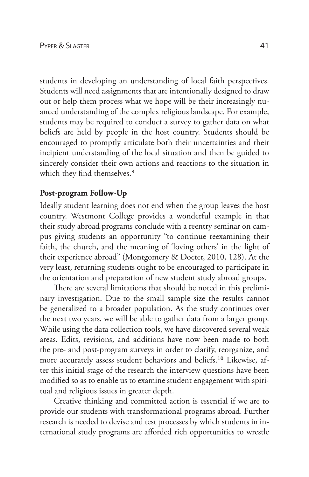students in developing an understanding of local faith perspectives. Students will need assignments that are intentionally designed to draw out or help them process what we hope will be their increasingly nuanced understanding of the complex religious landscape. For example, students may be required to conduct a survey to gather data on what beliefs are held by people in the host country. Students should be encouraged to promptly articulate both their uncertainties and their incipient understanding of the local situation and then be guided to sincerely consider their own actions and reactions to the situation in which they find themselves.<sup>9</sup>

#### **Post-program Follow-Up**

Ideally student learning does not end when the group leaves the host country. Westmont College provides a wonderful example in that their study abroad programs conclude with a reentry seminar on campus giving students an opportunity "to continue reexamining their faith, the church, and the meaning of 'loving others' in the light of their experience abroad" (Montgomery & Docter, 2010, 128). At the very least, returning students ought to be encouraged to participate in the orientation and preparation of new student study abroad groups.

There are several limitations that should be noted in this preliminary investigation. Due to the small sample size the results cannot be generalized to a broader population. As the study continues over the next two years, we will be able to gather data from a larger group. While using the data collection tools, we have discovered several weak areas. Edits, revisions, and additions have now been made to both the pre- and post-program surveys in order to clarify, reorganize, and more accurately assess student behaviors and beliefs.10 Likewise, after this initial stage of the research the interview questions have been modified so as to enable us to examine student engagement with spiritual and religious issues in greater depth.

Creative thinking and committed action is essential if we are to provide our students with transformational programs abroad. Further research is needed to devise and test processes by which students in international study programs are afforded rich opportunities to wrestle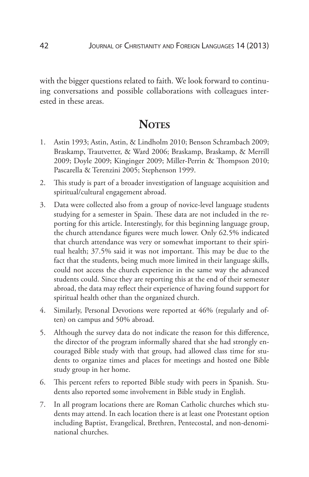with the bigger questions related to faith. We look forward to continuing conversations and possible collaborations with colleagues interested in these areas.

# **NOTES**

- 1. Astin 1993; Astin, Astin, & Lindholm 2010; Benson Schrambach 2009; Braskamp, Trautvetter, & Ward 2006; Braskamp, Braskamp, & Merrill 2009; Doyle 2009; Kinginger 2009; Miller-Perrin & Thompson 2010; Pascarella & Terenzini 2005; Stephenson 1999.
- 2. This study is part of a broader investigation of language acquisition and spiritual/cultural engagement abroad.
- 3. Data were collected also from a group of novice-level language students studying for a semester in Spain. These data are not included in the reporting for this article. Interestingly, for this beginning language group, the church attendance figures were much lower. Only 62.5% indicated that church attendance was very or somewhat important to their spiritual health; 37.5% said it was not important. This may be due to the fact that the students, being much more limited in their language skills, could not access the church experience in the same way the advanced students could. Since they are reporting this at the end of their semester abroad, the data may reflect their experience of having found support for spiritual health other than the organized church.
- 4. Similarly, Personal Devotions were reported at 46% (regularly and often) on campus and 50% abroad.
- 5. Although the survey data do not indicate the reason for this difference, the director of the program informally shared that she had strongly encouraged Bible study with that group, had allowed class time for students to organize times and places for meetings and hosted one Bible study group in her home.
- 6. This percent refers to reported Bible study with peers in Spanish. Students also reported some involvement in Bible study in English.
- 7. In all program locations there are Roman Catholic churches which students may attend. In each location there is at least one Protestant option including Baptist, Evangelical, Brethren, Pentecostal, and non-denominational churches.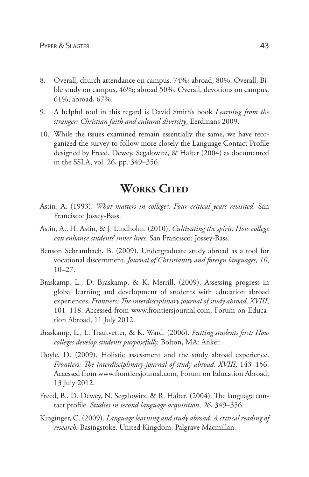- 8. Overall, church attendance on campus, 74%; abroad, 80%. Overall, Bible study on campus, 46%; abroad 50%. Overall, devotions on campus, 61%; abroad, 67%.
- 9. A helpful tool in this regard is David Smith's book *Learning from the stranger: Christian faith and cultural diversity*, Eerdmans 2009.
- 10. While the issues examined remain essentially the same, we have reorganized the survey to follow more closely the Language Contact Profile designed by Freed, Dewey, Segalowitz, & Halter (2004) as documented in the SSLA, vol. 26, pp. 349–356.

# **WORKS CITED**

- Astin, A. (1993). *What matters in college?: Four critical years revisited.* San Francisco: Jossey-Bass.
- Astin, A., H. Astin, & J. Lindholm. (2010). *Cultivating the spirit: How college can enhance students' inner lives.* San Francisco: Jossey-Bass.
- Benson Schrambach, B. (2009). Undergraduate study abroad as a tool for vocational discernment. *Journal of Christianity and foreign languages, 10*,  $10-27.$
- Braskamp, L., D. Braskamp, & K. Merrill. (2009). Assessing progress in global learning and development of students with education abroad experiences. *Frontiers: The interdisciplinary journal of study abroad, XVIII*, 101–118. Accessed from www.frontiersjournal.com, Forum on Education Abroad, 11 July 2012.
- Braskamp, L., L. Trautvetter, & K. Ward. (2006). *Putting students first: How colleges develop students purposefully.* Bolton, MA: Anker.
- Doyle, D. (2009). Holistic assessment and the study abroad experience. Frontiers: The interdisciplinary journal of study abroad, XVIII, 143–156. Accessed from www.frontiersjournal.com, Forum on Education Abroad, 13 July 2012.
- Freed, B., D. Dewey, N. Segalowitz, & R. Halter. (2004). The language contact profile. *Studies in second language acquisition*, *26*, 349–356.
- Kinginger, C. (2009). *Language learning and study abroad: A critical reading of research.* Basingstoke, United Kingdom: Palgrave Macmillan.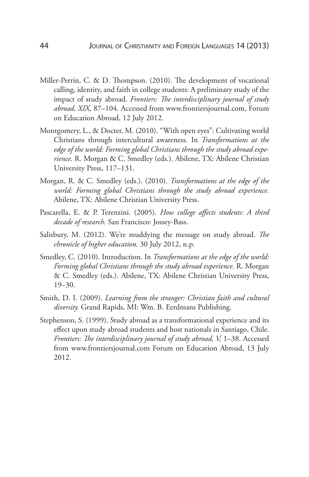- Miller-Perrin, C. & D. Thompson. (2010). The development of vocational calling, identity, and faith in college students: A preliminary study of the impact of study abroad. *Frontiers: The interdisciplinary journal of study abroad, XIX,* 87–104. Accessed from www.frontiersjournal.com, Forum on Education Abroad, 12 July 2012.
- Montgomery, L., & Docter, M. (2010). "With open eyes": Cultivating world Christians through intercultural awareness. In *Transformations at the edge of the world: Forming global Christians through the study abroad experience.* R. Morgan & C. Smedley (eds.). Abilene, TX: Abilene Christian University Press, 117–131.
- Morgan, R. & C. Smedley (eds.). (2010). *Transformations at the edge of the world: Forming global Christians through the study abroad experience.*  Abilene, TX: Abilene Christian University Press.
- Pascarella, E. & P. Terenzini. (2005). *How college affects students: A third decade of research.* San Francisco: Jossey-Bass.
- Salisbury, M. (2012). We're muddying the message on study abroad. *The chronicle of higher education.* 30 July 2012, n.p.
- Smedley, C. (2010). Introduction. In *Transformations at the edge of the world: Forming global Christians through the study abroad experience.* R. Morgan & C. Smedley (eds.). Abilene, TX: Abilene Christian University Press, 19–30.
- Smith, D. I. (2009). *Learning from the stranger: Christian faith and cultural diversity.* Grand Rapids, MI: Wm. B. Eerdmans Publishing.
- Stephenson, S. (1999). Study abroad as a transformational experience and its effect upon study abroad students and host nationals in Santiago, Chile. *Frontiers: The interdisciplinary journal of study abroad, V, 1–38. Accessed* from www.frontiersjournal.com Forum on Education Abroad, 13 July 2012.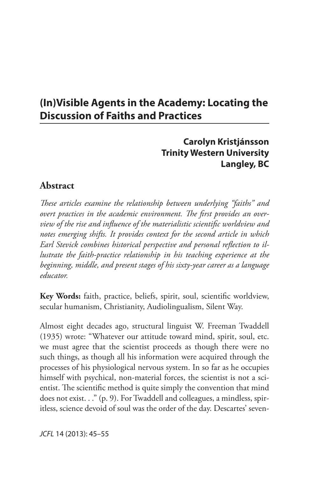# **(In)Visible Agents in the Academy: Locating the Discussion of Faiths and Practices**

## **Carolyn Kristjánsson Trinity Western University Langley, BC**

## **Abstract**

*These articles examine the relationship between underlying "faiths" and overt practices in the academic environment. The first provides an overview of the rise and influence of the materialistic scientific worldview and notes emerging shifts. It provides context for the second article in which Earl Stevick combines historical perspective and personal reflection to illustrate the faith-practice relationship in his teaching experience at the beginning, middle, and present stages of his sixty-year career as a language educator.*

**Key Words:** faith, practice, beliefs, spirit, soul, scientific worldview, secular humanism, Christianity, Audiolingualism, Silent Way.

Almost eight decades ago, structural linguist W. Freeman Twaddell (1935) wrote: "Whatever our attitude toward mind, spirit, soul, etc. we must agree that the scientist proceeds as though there were no such things, as though all his information were acquired through the processes of his physiological nervous system. In so far as he occupies himself with psychical, non-material forces, the scientist is not a scientist. The scientific method is quite simply the convention that mind does not exist. . ." (p. 9). For Twaddell and colleagues, a mindless, spiritless, science devoid of soul was the order of the day. Descartes' seven-

*JCFL* 14 (2013): 45–55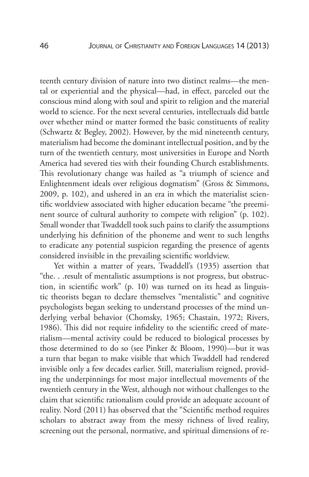teenth century division of nature into two distinct realms—the mental or experiential and the physical—had, in effect, parceled out the conscious mind along with soul and spirit to religion and the material world to science. For the next several centuries, intellectuals did battle over whether mind or matter formed the basic constituents of reality (Schwartz & Begley, 2002). However, by the mid nineteenth century, materialism had become the dominant intellectual position, and by the turn of the twentieth century, most universities in Europe and North America had severed ties with their founding Church establishments. This revolutionary change was hailed as "a triumph of science and Enlightenment ideals over religious dogmatism" (Gross & Simmons, 2009, p. 102), and ushered in an era in which the materialist scientific worldview associated with higher education became "the preeminent source of cultural authority to compete with religion" (p. 102). Small wonder that Twaddell took such pains to clarify the assumptions underlying his definition of the phoneme and went to such lengths to eradicate any potential suspicion regarding the presence of agents considered invisible in the prevailing scientific worldview.

Yet within a matter of years, Twaddell's (1935) assertion that "the. . .result of mentalistic assumptions is not progress, but obstruction, in scientific work" (p. 10) was turned on its head as linguistic theorists began to declare themselves "mentalistic" and cognitive psychologists began seeking to understand processes of the mind underlying verbal behavior (Chomsky, 1965; Chastain, 1972; Rivers, 1986). This did not require infidelity to the scientific creed of materialism—mental activity could be reduced to biological processes by those determined to do so (see Pinker & Bloom, 1990)—but it was a turn that began to make visible that which Twaddell had rendered invisible only a few decades earlier. Still, materialism reigned, providing the underpinnings for most major intellectual movements of the twentieth century in the West, although not without challenges to the claim that scientific rationalism could provide an adequate account of reality. Nord (2011) has observed that the "Scientific method requires scholars to abstract away from the messy richness of lived reality, screening out the personal, normative, and spiritual dimensions of re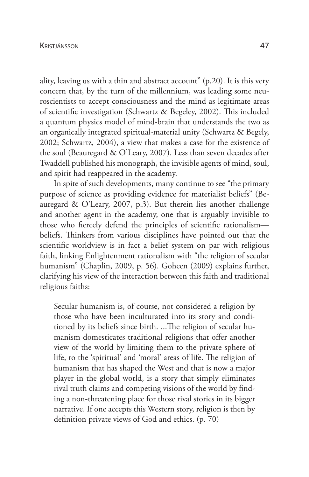ality, leaving us with a thin and abstract account" (p.20). It is this very concern that, by the turn of the millennium, was leading some neuroscientists to accept consciousness and the mind as legitimate areas of scientific investigation (Schwartz & Begeley, 2002). This included a quantum physics model of mind-brain that understands the two as an organically integrated spiritual-material unity (Schwartz & Begely, 2002; Schwartz, 2004), a view that makes a case for the existence of the soul (Beauregard & O'Leary, 2007). Less than seven decades after Twaddell published his monograph, the invisible agents of mind, soul, and spirit had reappeared in the academy.

In spite of such developments, many continue to see "the primary purpose of science as providing evidence for materialist beliefs" (Beauregard & O'Leary, 2007, p.3). But therein lies another challenge and another agent in the academy, one that is arguably invisible to those who fiercely defend the principles of scientific rationalism beliefs. Thinkers from various disciplines have pointed out that the scientific worldview is in fact a belief system on par with religious faith, linking Enlightenment rationalism with "the religion of secular humanism" (Chaplin, 2009, p. 56). Goheen (2009) explains further, clarifying his view of the interaction between this faith and traditional religious faiths:

Secular humanism is, of course, not considered a religion by those who have been inculturated into its story and conditioned by its beliefs since birth. ...The religion of secular humanism domesticates traditional religions that offer another view of the world by limiting them to the private sphere of life, to the 'spiritual' and 'moral' areas of life. The religion of humanism that has shaped the West and that is now a major player in the global world, is a story that simply eliminates rival truth claims and competing visions of the world by finding a non-threatening place for those rival stories in its bigger narrative. If one accepts this Western story, religion is then by definition private views of God and ethics. (p. 70)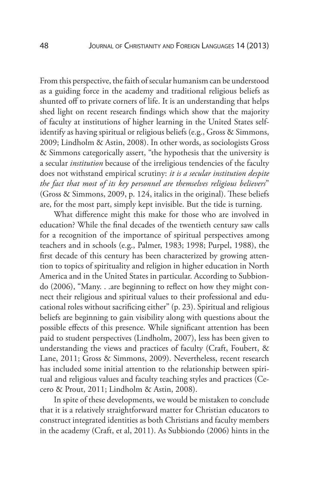From this perspective, the faith of secular humanism can be understood as a guiding force in the academy and traditional religious beliefs as shunted off to private corners of life. It is an understanding that helps shed light on recent research findings which show that the majority of faculty at institutions of higher learning in the United States selfidentify as having spiritual or religious beliefs (e.g., Gross & Simmons, 2009; Lindholm & Astin, 2008). In other words, as sociologists Gross & Simmons categorically assert, "the hypothesis that the university is a secular *institution* because of the irreligious tendencies of the faculty does not withstand empirical scrutiny: *it is a secular institution despite the fact that most of its key personnel are themselves religious believers*" (Gross & Simmons, 2009, p. 124, italics in the original). These beliefs are, for the most part, simply kept invisible. But the tide is turning.

What difference might this make for those who are involved in education? While the final decades of the twentieth century saw calls for a recognition of the importance of spiritual perspectives among teachers and in schools (e.g., Palmer, 1983; 1998; Purpel, 1988), the first decade of this century has been characterized by growing attention to topics of spirituality and religion in higher education in North America and in the United States in particular. According to Subbiondo (2006), "Many. . .are beginning to reflect on how they might connect their religious and spiritual values to their professional and educational roles without sacrificing either" (p. 23). Spiritual and religious beliefs are beginning to gain visibility along with questions about the possible effects of this presence. While significant attention has been paid to student perspectives (Lindholm, 2007), less has been given to understanding the views and practices of faculty (Craft, Foubert, & Lane, 2011; Gross & Simmons, 2009). Nevertheless, recent research has included some initial attention to the relationship between spiritual and religious values and faculty teaching styles and practices (Cecero & Prout, 2011; Lindholm & Astin, 2008).

In spite of these developments, we would be mistaken to conclude that it is a relatively straightforward matter for Christian educators to construct integrated identities as both Christians and faculty members in the academy (Craft, et al, 2011). As Subbiondo (2006) hints in the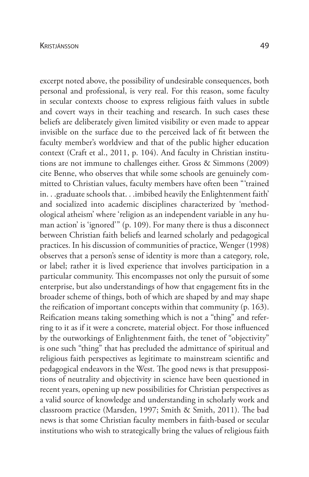excerpt noted above, the possibility of undesirable consequences, both personal and professional, is very real. For this reason, some faculty in secular contexts choose to express religious faith values in subtle and covert ways in their teaching and research. In such cases these beliefs are deliberately given limited visibility or even made to appear invisible on the surface due to the perceived lack of fit between the faculty member's worldview and that of the public higher education context (Craft et al., 2011, p. 104). And faculty in Christian institutions are not immune to challenges either. Gross & Simmons (2009) cite Benne, who observes that while some schools are genuinely committed to Christian values, faculty members have often been "'trained in. . .graduate schools that. . .imbibed heavily the Enlightenment faith' and socialized into academic disciplines characterized by 'methodological atheism' where 'religion as an independent variable in any human action' is 'ignored'" (p. 109). For many there is thus a disconnect between Christian faith beliefs and learned scholarly and pedagogical practices. In his discussion of communities of practice, Wenger (1998) observes that a person's sense of identity is more than a category, role, or label; rather it is lived experience that involves participation in a particular community. This encompasses not only the pursuit of some enterprise, but also understandings of how that engagement fits in the broader scheme of things, both of which are shaped by and may shape the reification of important concepts within that community (p. 163). Reification means taking something which is not a "thing" and referring to it as if it were a concrete, material object. For those influenced by the outworkings of Enlightenment faith, the tenet of "objectivity" is one such "thing" that has precluded the admittance of spiritual and religious faith perspectives as legitimate to mainstream scientific and pedagogical endeavors in the West. The good news is that presuppositions of neutrality and objectivity in science have been questioned in recent years, opening up new possibilities for Christian perspectives as

a valid source of knowledge and understanding in scholarly work and

classroom practice (Marsden, 1997; Smith & Smith, 2011). The bad news is that some Christian faculty members in faith-based or secular institutions who wish to strategically bring the values of religious faith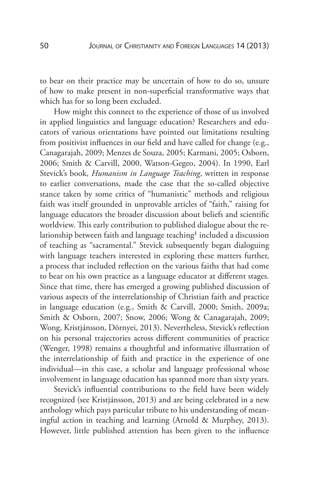to bear on their practice may be uncertain of how to do so, unsure of how to make present in non-superficial transformative ways that which has for so long been excluded.

How might this connect to the experience of those of us involved in applied linguistics and language education? Researchers and educators of various orientations have pointed out limitations resulting from positivist influences in our field and have called for change (e.g., Canagarajah, 2009; Menzes de Souza, 2005; Karmani, 2005; Osborn, 2006; Smith & Carvill, 2000, Watson-Gegeo, 2004). In 1990, Earl Stevick's book, *Humanism in Language Teaching*, written in response to earlier conversations, made the case that the so-called objective stance taken by some critics of "humanistic" methods and religious faith was itself grounded in unprovable articles of "faith," raising for language educators the broader discussion about beliefs and scientific worldview. This early contribution to published dialogue about the relationship between faith and language teaching<sup>1</sup> included a discussion of teaching as "sacramental." Stevick subsequently began dialoguing with language teachers interested in exploring these matters further, a process that included reflection on the various faiths that had come to bear on his own practice as a language educator at different stages. Since that time, there has emerged a growing published discussion of various aspects of the interrelationship of Christian faith and practice in language education (e.g., Smith & Carvill, 2000; Smith, 2009a; Smith & Osborn, 2007; Snow, 2006; Wong & Canagarajah, 2009; Wong, Kristjánsson, Dörnyei, 2013). Nevertheless, Stevick's reflection on his personal trajectories across different communities of practice (Wenger, 1998) remains a thoughtful and informative illustration of the interrelationship of faith and practice in the experience of one individual—in this case, a scholar and language professional whose involvement in language education has spanned more than sixty years.

Stevick's influential contributions to the field have been widely recognized (see Kristjánsson, 2013) and are being celebrated in a new anthology which pays particular tribute to his understanding of meaningful action in teaching and learning (Arnold & Murphey, 2013). However, little published attention has been given to the influence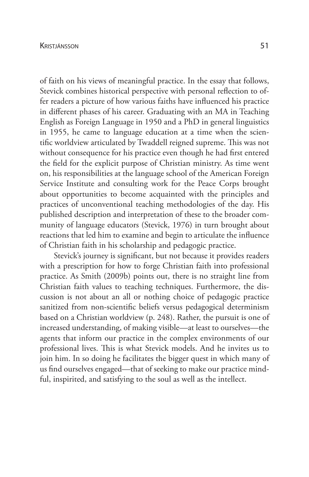of faith on his views of meaningful practice. In the essay that follows, Stevick combines historical perspective with personal reflection to offer readers a picture of how various faiths have influenced his practice in different phases of his career. Graduating with an MA in Teaching English as Foreign Language in 1950 and a PhD in general linguistics in 1955, he came to language education at a time when the scientific worldview articulated by Twaddell reigned supreme. This was not without consequence for his practice even though he had first entered the field for the explicit purpose of Christian ministry. As time went on, his responsibilities at the language school of the American Foreign Service Institute and consulting work for the Peace Corps brought about opportunities to become acquainted with the principles and practices of unconventional teaching methodologies of the day. His published description and interpretation of these to the broader community of language educators (Stevick, 1976) in turn brought about reactions that led him to examine and begin to articulate the influence of Christian faith in his scholarship and pedagogic practice.

Stevick's journey is significant, but not because it provides readers with a prescription for how to forge Christian faith into professional practice. As Smith (2009b) points out, there is no straight line from Christian faith values to teaching techniques. Furthermore, the discussion is not about an all or nothing choice of pedagogic practice sanitized from non-scientific beliefs versus pedagogical determinism based on a Christian worldview (p. 248). Rather, the pursuit is one of increased understanding, of making visible—at least to ourselves—the agents that inform our practice in the complex environments of our professional lives. This is what Stevick models. And he invites us to join him. In so doing he facilitates the bigger quest in which many of us find ourselves engaged—that of seeking to make our practice mindful, inspirited, and satisfying to the soul as well as the intellect.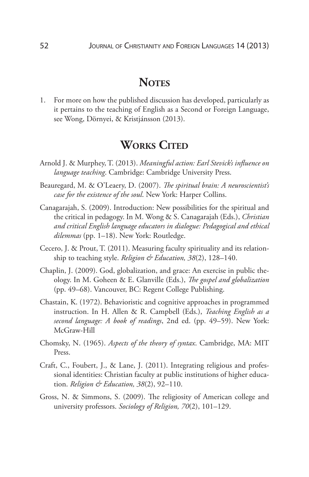# **NOTES**

1. For more on how the published discussion has developed, particularly as it pertains to the teaching of English as a Second or Foreign Language, see Wong, Dörnyei, & Kristjánsson (2013).

# **WORKS CITED**

- Arnold J. & Murphey, T. (2013). *Meaningful action: Earl Stevick's influence on language teaching*. Cambridge: Cambridge University Press.
- Beauregard, M. & O'Leaery, D. (2007). *The spiritual brain: A neuroscientist's case for the existence of the soul*. New York: Harper Collins.
- Canagarajah, S. (2009). Introduction: New possibilities for the spiritual and the critical in pedagogy. In M. Wong & S. Canagarajah (Eds.), *Christian and critical English language educators in dialogue: Pedagogical and ethical dilemmas* (pp. 1–18). New York: Routledge.
- Cecero, J. & Prout, T. (2011). Measuring faculty spirituality and its relationship to teaching style. *Religion & Education, 38*(2), 128–140.
- Chaplin, J. (2009). God, globalization, and grace: An exercise in public theology. In M. Goheen & E. Glanville (Eds.), *The gospel and globalization* (pp. 49–68). Vancouver, BC: Regent College Publishing.
- Chastain, K. (1972). Behavioristic and cognitive approaches in programmed instruction. In H. Allen & R. Campbell (Eds.), *Teaching English as a second language: A book of readings*, 2nd ed. (pp. 49–59). New York: McGraw-Hill
- Chomsky, N. (1965). *Aspects of the theory of syntax*. Cambridge, MA: MIT Press.
- Craft, C., Foubert, J., & Lane, J. (2011). Integrating religious and professional identities: Christian faculty at public institutions of higher education. *Religion & Education, 38*(2), 92–110.
- Gross, N. & Simmons, S. (2009). The religiosity of American college and university professors. *Sociology of Religion, 70*(2), 101–129.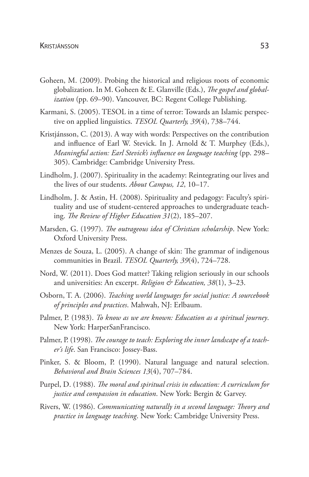- Goheen, M. (2009). Probing the historical and religious roots of economic globalization. In M. Goheen & E. Glanville (Eds.), *The gospel and globalization* (pp. 69–90). Vancouver, BC: Regent College Publishing.
- Karmani, S. (2005). TESOL in a time of terror: Towards an Islamic perspective on applied linguistics. *TESOL Quarterly, 39*(4), 738–744.
- Kristjánsson, C. (2013). A way with words: Perspectives on the contribution and influence of Earl W. Stevick. In J. Arnold & T. Murphey (Eds.), *Meaningful action: Earl Stevick's influence on language teaching* (pp. 298– 305). Cambridge: Cambridge University Press.
- Lindholm, J. (2007). Spirituality in the academy: Reintegrating our lives and the lives of our students. *About Campus, 12*, 10–17.
- Lindholm, J. & Astin, H. (2008). Spirituality and pedagogy: Faculty's spirituality and use of student-centered approaches to undergraduate teaching. *The Review of Higher Education 31*(2), 185–207.
- Marsden, G. (1997). *The outrageous idea of Christian scholarship*. New York: Oxford University Press.
- Menzes de Souza, L. (2005). A change of skin: The grammar of indigenous communities in Brazil. *TESOL Quarterly, 39*(4), 724–728.
- Nord, W. (2011). Does God matter? Taking religion seriously in our schools and universities: An excerpt. *Religion & Education, 38*(1), 3–23.
- Osborn, T. A. (2006). *Teaching world languages for social justice: A sourcebook of principles and practices*. Mahwah, NJ: Erlbaum.
- Palmer, P. (1983). *To know as we are known: Education as a spiritual journey*. New York: HarperSanFrancisco.
- Palmer, P. (1998). *The courage to teach: Exploring the inner landscape of a teacher's life*. San Francisco: Jossey-Bass.
- Pinker, S. & Bloom, P. (1990). Natural language and natural selection. *Behavioral and Brain Sciences 13*(4), 707–784.
- Purpel, D. (1988). *The moral and spiritual crisis in education: A curriculum for justice and compassion in education*. New York: Bergin & Garvey.
- Rivers, W. (1986). *Communicating naturally in a second language: Theory and practice in language teaching*. New York: Cambridge University Press.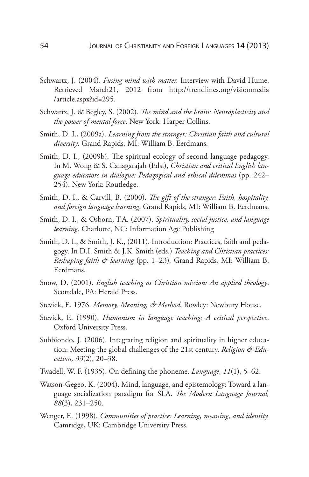- Schwartz, J. (2004). *Fusing mind with matter.* Interview with David Hume. Retrieved March21, 2012 from http://trendlines.org/visionmedia /article.aspx?id=295.
- Schwartz, J. & Begley, S. (2002). *The mind and the brain: Neuroplasticity and the power of mental force*. New York: Harper Collins.
- Smith, D. I., (2009a). *Learning from the stranger: Christian faith and cultural diversity*. Grand Rapids, MI: William B. Eerdmans.
- Smith, D. I., (2009b). The spiritual ecology of second language pedagogy. In M. Wong & S. Canagarajah (Eds.), *Christian and critical English language educators in dialogue: Pedagogical and ethical dilemmas* (pp. 242– 254). New York: Routledge.
- Smith, D. I., & Carvill, B. (2000). *The gift of the stranger: Faith, hospitality, and foreign language learning*. Grand Rapids, MI: William B. Eerdmans.
- Smith, D. I., & Osborn, T.A. (2007). *Spirituality, social justice, and language learning*. Charlotte, NC: Information Age Publishing
- Smith, D. I., & Smith, J. K., (2011). Introduction: Practices, faith and pedagogy. In D.I. Smith & J.K. Smith (eds.) *Teaching and Christian practices: Reshaping faith & learning* (pp. 1–23)*.* Grand Rapids, MI: William B. Eerdmans.
- Snow, D. (2001). *English teaching as Christian mission: An applied theology*. Scottdale, PA: Herald Press.
- Stevick, E. 1976. *Memory, Meaning, & Method*, Rowley: Newbury House.
- Stevick, E. (1990). *Humanism in language teaching: A critical perspective*. Oxford University Press.
- Subbiondo, J. (2006). Integrating religion and spirituality in higher education: Meeting the global challenges of the 21st century. *Religion & Education, 33*(2), 20–38.
- Twadell, W. F. (1935). On defining the phoneme. *Language, 11*(1), 5–62.
- Watson-Gegeo, K. (2004). Mind, language, and epistemology: Toward a language socialization paradigm for SLA. *The Modern Language Journal, 88*(3), 231–250.
- Wenger, E. (1998). *Communities of practice: Learning, meaning, and identity.*  Camridge, UK: Cambridge University Press.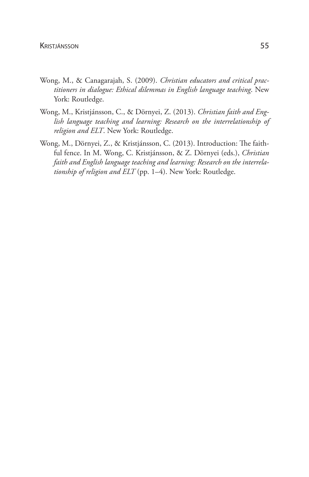- Wong, M., & Canagarajah, S. (2009). *Christian educators and critical practitioners in dialogue: Ethical dilemmas in English language teaching*. New York: Routledge.
- Wong, M., Kristjánsson, C., & Dörnyei, Z. (2013). *Christian faith and English language teaching and learning: Research on the interrelationship of religion and ELT*. New York: Routledge.
- Wong, M., Dörnyei, Z., & Kristjánsson, C. (2013). Introduction: The faithful fence. In M. Wong, C. Kristjánsson, & Z. Dörnyei (eds.), *Christian faith and English language teaching and learning: Research on the interrelationship of religion and ELT* (pp. 1–4). New York: Routledge.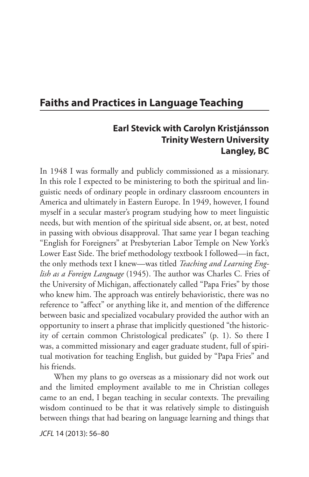## **Faiths and Practices in Language Teaching**

## **Earl Stevick with Carolyn Kristjánsson Trinity Western University Langley, BC**

In 1948 I was formally and publicly commissioned as a missionary. In this role I expected to be ministering to both the spiritual and linguistic needs of ordinary people in ordinary classroom encounters in America and ultimately in Eastern Europe. In 1949, however, I found myself in a secular master's program studying how to meet linguistic needs, but with mention of the spiritual side absent, or, at best, noted in passing with obvious disapproval. That same year I began teaching "English for Foreigners" at Presbyterian Labor Temple on New York's Lower East Side. The brief methodology textbook I followed—in fact, the only methods text I knew—was titled *Teaching and Learning English as a Foreign Language* (1945). The author was Charles C. Fries of the University of Michigan, affectionately called "Papa Fries" by those who knew him. The approach was entirely behavioristic, there was no reference to "affect" or anything like it, and mention of the difference between basic and specialized vocabulary provided the author with an opportunity to insert a phrase that implicitly questioned "the historicity of certain common Christological predicates" (p. 1). So there I was, a committed missionary and eager graduate student, full of spiritual motivation for teaching English, but guided by "Papa Fries" and his friends.

When my plans to go overseas as a missionary did not work out and the limited employment available to me in Christian colleges came to an end, I began teaching in secular contexts. The prevailing wisdom continued to be that it was relatively simple to distinguish between things that had bearing on language learning and things that

*JCFL* 14 (2013): 56–80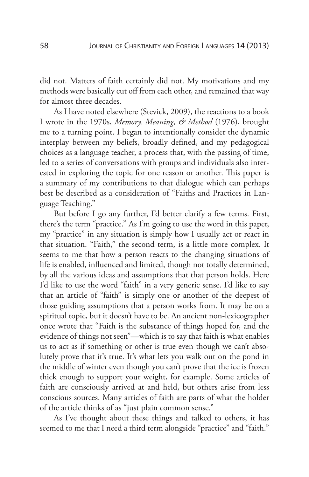did not. Matters of faith certainly did not. My motivations and my methods were basically cut off from each other, and remained that way for almost three decades.

As I have noted elsewhere (Stevick, 2009), the reactions to a book I wrote in the 1970s, *Memory, Meaning, & Method* (1976), brought me to a turning point. I began to intentionally consider the dynamic interplay between my beliefs, broadly defined, and my pedagogical choices as a language teacher, a process that, with the passing of time, led to a series of conversations with groups and individuals also interested in exploring the topic for one reason or another. This paper is a summary of my contributions to that dialogue which can perhaps best be described as a consideration of "Faiths and Practices in Language Teaching."

But before I go any further, I'd better clarify a few terms. First, there's the term "practice." As I'm going to use the word in this paper, my "practice" in any situation is simply how I usually act or react in that situation. "Faith," the second term, is a little more complex. It seems to me that how a person reacts to the changing situations of life is enabled, influenced and limited, though not totally determined, by all the various ideas and assumptions that that person holds. Here I'd like to use the word "faith" in a very generic sense. I'd like to say that an article of "faith" is simply one or another of the deepest of those guiding assumptions that a person works from. It may be on a spiritual topic, but it doesn't have to be. An ancient non-lexicographer once wrote that "Faith is the substance of things hoped for, and the evidence of things not seen"—which is to say that faith is what enables us to act as if something or other is true even though we can't absolutely prove that it's true. It's what lets you walk out on the pond in the middle of winter even though you can't prove that the ice is frozen thick enough to support your weight, for example. Some articles of faith are consciously arrived at and held, but others arise from less conscious sources. Many articles of faith are parts of what the holder of the article thinks of as "just plain common sense."

As I've thought about these things and talked to others, it has seemed to me that I need a third term alongside "practice" and "faith."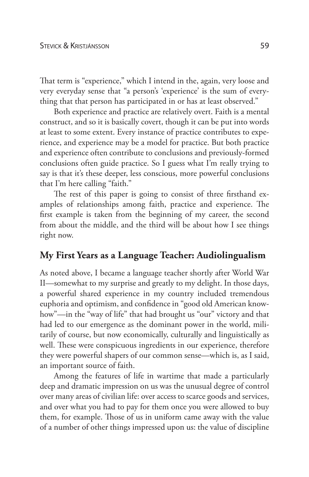That term is "experience," which I intend in the, again, very loose and very everyday sense that "a person's 'experience' is the sum of everything that that person has participated in or has at least observed."

Both experience and practice are relatively overt. Faith is a mental construct, and so it is basically covert, though it can be put into words at least to some extent. Every instance of practice contributes to experience, and experience may be a model for practice. But both practice and experience often contribute to conclusions and previously-formed conclusions often guide practice. So I guess what I'm really trying to say is that it's these deeper, less conscious, more powerful conclusions that I'm here calling "faith."

The rest of this paper is going to consist of three firsthand examples of relationships among faith, practice and experience. The first example is taken from the beginning of my career, the second from about the middle, and the third will be about how I see things right now.

## **My First Years as a Language Teacher: Audiolingualism**

As noted above, I became a language teacher shortly after World War II—somewhat to my surprise and greatly to my delight. In those days, a powerful shared experience in my country included tremendous euphoria and optimism, and confidence in "good old American knowhow"—in the "way of life" that had brought us "our" victory and that had led to our emergence as the dominant power in the world, militarily of course, but now economically, culturally and linguistically as well. These were conspicuous ingredients in our experience, therefore they were powerful shapers of our common sense—which is, as I said, an important source of faith.

Among the features of life in wartime that made a particularly deep and dramatic impression on us was the unusual degree of control over many areas of civilian life: over access to scarce goods and services, and over what you had to pay for them once you were allowed to buy them, for example. Those of us in uniform came away with the value of a number of other things impressed upon us: the value of discipline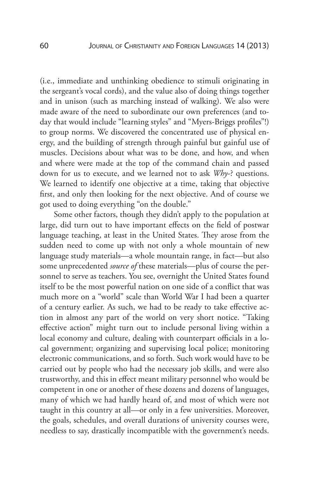(i.e., immediate and unthinking obedience to stimuli originating in the sergeant's vocal cords), and the value also of doing things together and in unison (such as marching instead of walking). We also were made aware of the need to subordinate our own preferences (and today that would include "learning styles" and "Myers-Briggs profiles"!) to group norms. We discovered the concentrated use of physical energy, and the building of strength through painful but gainful use of muscles. Decisions about what was to be done, and how, and when and where were made at the top of the command chain and passed down for us to execute, and we learned not to ask *Why*-? questions. We learned to identify one objective at a time, taking that objective first, and only then looking for the next objective. And of course we got used to doing everything "on the double."

Some other factors, though they didn't apply to the population at large, did turn out to have important effects on the field of postwar language teaching, at least in the United States. They arose from the sudden need to come up with not only a whole mountain of new language study materials—a whole mountain range, in fact—but also some unprecedented *source of* these materials—plus of course the personnel to serve as teachers. You see, overnight the United States found itself to be the most powerful nation on one side of a conflict that was much more on a "world" scale than World War I had been a quarter of a century earlier. As such, we had to be ready to take effective action in almost any part of the world on very short notice. "Taking effective action" might turn out to include personal living within a local economy and culture, dealing with counterpart officials in a local government; organizing and supervising local police; monitoring electronic communications, and so forth. Such work would have to be carried out by people who had the necessary job skills, and were also trustworthy, and this in effect meant military personnel who would be competent in one or another of these dozens and dozens of languages, many of which we had hardly heard of, and most of which were not taught in this country at all—or only in a few universities. Moreover, the goals, schedules, and overall durations of university courses were, needless to say, drastically incompatible with the government's needs.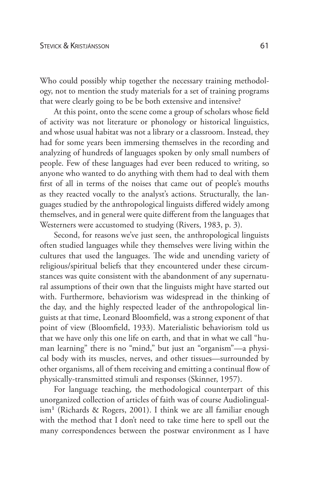Who could possibly whip together the necessary training methodology, not to mention the study materials for a set of training programs that were clearly going to be be both extensive and intensive?

At this point, onto the scene come a group of scholars whose field of activity was not literature or phonology or historical linguistics, and whose usual habitat was not a library or a classroom. Instead, they had for some years been immersing themselves in the recording and analyzing of hundreds of languages spoken by only small numbers of people. Few of these languages had ever been reduced to writing, so anyone who wanted to do anything with them had to deal with them first of all in terms of the noises that came out of people's mouths as they reacted vocally to the analyst's actions. Structurally, the languages studied by the anthropological linguists differed widely among themselves, and in general were quite different from the languages that Westerners were accustomed to studying (Rivers, 1983, p. 3).

Second, for reasons we've just seen, the anthropological linguists often studied languages while they themselves were living within the cultures that used the languages. The wide and unending variety of religious/spiritual beliefs that they encountered under these circumstances was quite consistent with the abandonment of any supernatural assumptions of their own that the linguists might have started out with. Furthermore, behaviorism was widespread in the thinking of the day, and the highly respected leader of the anthropological linguists at that time, Leonard Bloomfield, was a strong exponent of that point of view (Bloomfield, 1933). Materialistic behaviorism told us that we have only this one life on earth, and that in what we call "human learning" there is no "mind," but just an "organism"—a physical body with its muscles, nerves, and other tissues—surrounded by other organisms, all of them receiving and emitting a continual flow of physically-transmitted stimuli and responses (Skinner, 1957).

For language teaching, the methodological counterpart of this unorganized collection of articles of faith was of course Audiolingualism1 (Richards & Rogers, 2001). I think we are all familiar enough with the method that I don't need to take time here to spell out the many correspondences between the postwar environment as I have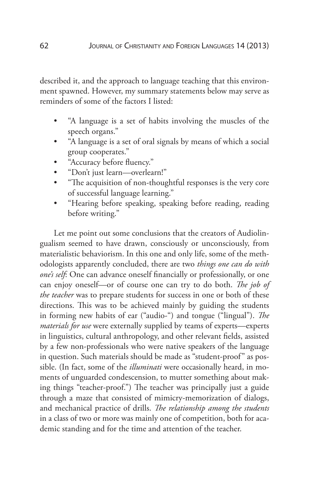described it, and the approach to language teaching that this environment spawned. However, my summary statements below may serve as reminders of some of the factors I listed:

- "A language is a set of habits involving the muscles of the speech organs."
- "A language is a set of oral signals by means of which a social group cooperates."
- "Accuracy before fluency."
- "Don't just learn—overlearn!"
- "The acquisition of non-thoughtful responses is the very core of successful language learning."
- "Hearing before speaking, speaking before reading, reading before writing."

Let me point out some conclusions that the creators of Audiolingualism seemed to have drawn, consciously or unconsciously, from materialistic behaviorism. In this one and only life, some of the methodologists apparently concluded, there are two *things one can do with one's self*: One can advance oneself financially or professionally, or one can enjoy oneself—or of course one can try to do both. *The job of the teacher* was to prepare students for success in one or both of these directions. This was to be achieved mainly by guiding the students in forming new habits of ear ("audio-") and tongue ("lingual"). *The materials for use* were externally supplied by teams of experts—experts in linguistics, cultural anthropology, and other relevant fields, assisted by a few non-professionals who were native speakers of the language in question. Such materials should be made as "student-proof" as possible. (In fact, some of the *illuminati* were occasionally heard, in moments of unguarded condescension, to mutter something about making things "teacher-proof.") The teacher was principally just a guide through a maze that consisted of mimicry-memorization of dialogs, and mechanical practice of drills. *The relationship among the students* in a class of two or more was mainly one of competition, both for academic standing and for the time and attention of the teacher.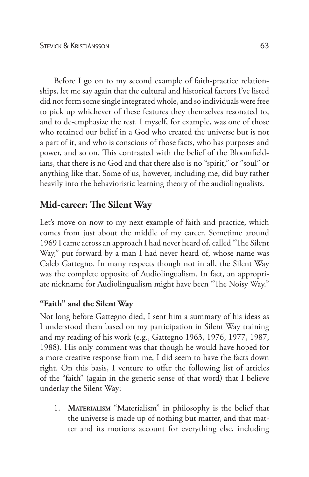Before I go on to my second example of faith-practice relationships, let me say again that the cultural and historical factors I've listed did not form some single integrated whole, and so individuals were free to pick up whichever of these features they themselves resonated to, and to de-emphasize the rest. I myself, for example, was one of those who retained our belief in a God who created the universe but is not a part of it, and who is conscious of those facts, who has purposes and power, and so on. This contrasted with the belief of the Bloomfieldians, that there is no God and that there also is no "spirit," or "soul" or anything like that. Some of us, however, including me, did buy rather heavily into the behavioristic learning theory of the audiolingualists.

## **Mid-career: The Silent Way**

Let's move on now to my next example of faith and practice, which comes from just about the middle of my career. Sometime around 1969 I came across an approach I had never heard of, called "The Silent Way," put forward by a man I had never heard of, whose name was Caleb Gattegno. In many respects though not in all, the Silent Way was the complete opposite of Audiolingualism. In fact, an appropriate nickname for Audiolingualism might have been "The Noisy Way."

### **"Faith" and the Silent Way**

Not long before Gattegno died, I sent him a summary of his ideas as I understood them based on my participation in Silent Way training and my reading of his work (e.g., Gattegno 1963, 1976, 1977, 1987, 1988). His only comment was that though he would have hoped for a more creative response from me, I did seem to have the facts down right. On this basis, I venture to offer the following list of articles of the "faith" (again in the generic sense of that word) that I believe underlay the Silent Way:

1. **Materialism** "Materialism" in philosophy is the belief that the universe is made up of nothing but matter, and that matter and its motions account for everything else, including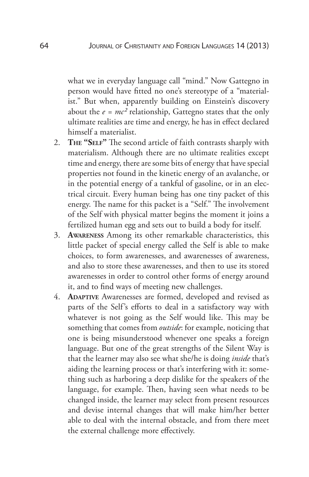what we in everyday language call "mind." Now Gattegno in person would have fitted no one's stereotype of a "materialist." But when, apparently building on Einstein's discovery about the  $e = mc^2$  relationship, Gattegno states that the only ultimate realities are time and energy, he has in effect declared himself a materialist.

- 2. **The "Self"** The second article of faith contrasts sharply with materialism. Although there are no ultimate realities except time and energy, there are some bits of energy that have special properties not found in the kinetic energy of an avalanche, or in the potential energy of a tankful of gasoline, or in an electrical circuit. Every human being has one tiny packet of this energy. The name for this packet is a "Self." The involvement of the Self with physical matter begins the moment it joins a fertilized human egg and sets out to build a body for itself.
- 3. **Awareness** Among its other remarkable characteristics, this little packet of special energy called the Self is able to make choices, to form awarenesses, and awarenesses of awareness, and also to store these awarenesses, and then to use its stored awarenesses in order to control other forms of energy around it, and to find ways of meeting new challenges.
- 4. **Adaptive** Awarenesses are formed, developed and revised as parts of the Self's efforts to deal in a satisfactory way with whatever is not going as the Self would like. This may be something that comes from *outside*: for example, noticing that one is being misunderstood whenever one speaks a foreign language. But one of the great strengths of the Silent Way is that the learner may also see what she/he is doing *inside* that's aiding the learning process or that's interfering with it: something such as harboring a deep dislike for the speakers of the language, for example. Then, having seen what needs to be changed inside, the learner may select from present resources and devise internal changes that will make him/her better able to deal with the internal obstacle, and from there meet the external challenge more effectively.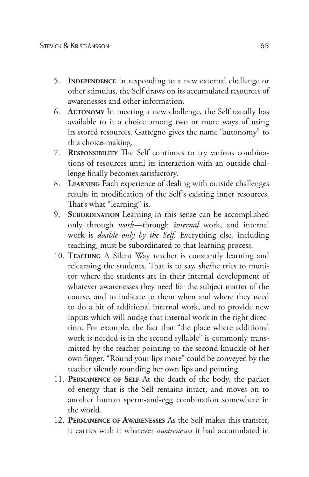- 5. **Independence** In responding to a new external challenge or other stimulus, the Self draws on its accumulated resources of awarenesses and other information.
- 6. **Autonomy** In meeting a new challenge, the Self usually has available to it a choice among two or more ways of using its stored resources. Gattegno gives the name "autonomy" to this choice-making.
- 7. **Responsibility** The Self continues to try various combinations of resources until its interaction with an outside challenge finally becomes satisfactory.
- 8. **Learning** Each experience of dealing with outside challenges results in modification of the Self's existing inner resources. That's what "learning" is.
- 9. **Subordination** Learning in this sense can be accomplished only through *work*—through *internal* work, and internal work is *doable only by the Self.* Everything else, including teaching, must be subordinated to that learning process.
- 10. **Teaching** A Silent Way teacher is constantly learning and relearning the students. That is to say, she/he tries to monitor where the students are in their internal development of whatever awarenesses they need for the subject matter of the course, and to indicate to them when and where they need to do a bit of additional internal work, and to provide new inputs which will nudge that internal work in the right direction. For example, the fact that "the place where additional work is needed is in the second syllable" is commonly transmitted by the teacher pointing to the second knuckle of her own finger. "Round your lips more" could be conveyed by the teacher silently rounding her own lips and pointing.
- 11. **Permanence of Self** At the death of the body, the packet of energy that is the Self remains intact, and moves on to another human sperm-and-egg combination somewhere in the world.
- 12. **Permanence of Awarenesses** As the Self makes this transfer, it carries with it whatever *awarenesses* it had accumulated in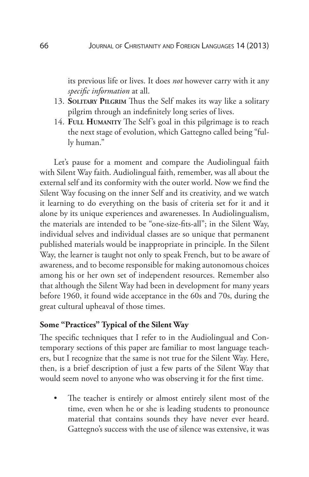its previous life or lives. It does *not* however carry with it any *specific information* at all.

- 13. **Solitary Pilgrim** Thus the Self makes its way like a solitary pilgrim through an indefinitely long series of lives.
- 14. FULL HUMANITY The Self's goal in this pilgrimage is to reach the next stage of evolution, which Gattegno called being "fully human."

Let's pause for a moment and compare the Audiolingual faith with Silent Way faith. Audiolingual faith, remember, was all about the external self and its conformity with the outer world. Now we find the Silent Way focusing on the inner Self and its creativity, and we watch it learning to do everything on the basis of criteria set for it and it alone by its unique experiences and awarenesses. In Audiolingualism, the materials are intended to be "one-size-fits-all"; in the Silent Way, individual selves and individual classes are so unique that permanent published materials would be inappropriate in principle. In the Silent Way, the learner is taught not only to speak French, but to be aware of awareness, and to become responsible for making autonomous choices among his or her own set of independent resources. Remember also that although the Silent Way had been in development for many years before 1960, it found wide acceptance in the 60s and 70s, during the great cultural upheaval of those times.

#### **Some "Practices" Typical of the Silent Way**

The specific techniques that I refer to in the Audiolingual and Contemporary sections of this paper are familiar to most language teachers, but I recognize that the same is not true for the Silent Way. Here, then, is a brief description of just a few parts of the Silent Way that would seem novel to anyone who was observing it for the first time.

• The teacher is entirely or almost entirely silent most of the time, even when he or she is leading students to pronounce material that contains sounds they have never ever heard. Gattegno's success with the use of silence was extensive, it was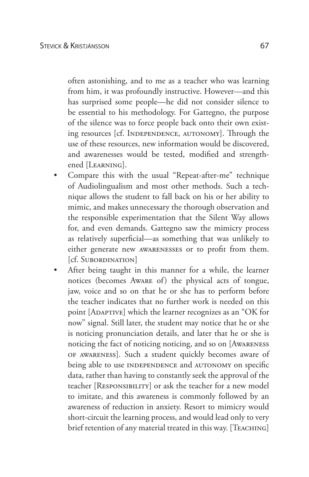often astonishing, and to me as a teacher who was learning from him, it was profoundly instructive. However—and this has surprised some people—he did not consider silence to be essential to his methodology. For Gattegno, the purpose of the silence was to force people back onto their own existing resources [cf. Independence, autonomy]. Through the use of these resources, new information would be discovered, and awarenesses would be tested, modified and strengthened [Learning].

- Compare this with the usual "Repeat-after-me" technique of Audiolingualism and most other methods. Such a technique allows the student to fall back on his or her ability to mimic, and makes unnecessary the thorough observation and the responsible experimentation that the Silent Way allows for, and even demands. Gattegno saw the mimicry process as relatively superficial—as something that was unlikely to either generate new awarenesses or to profit from them. [cf. Subordination]
- After being taught in this manner for a while, the learner notices (becomes Aware of) the physical acts of tongue, jaw, voice and so on that he or she has to perform before the teacher indicates that no further work is needed on this point [ADAPTIVE] which the learner recognizes as an "OK for now" signal. Still later, the student may notice that he or she is noticing pronunciation details, and later that he or she is noticing the fact of noticing noticing, and so on [Awareness of awareness]. Such a student quickly becomes aware of being able to use INDEPENDENCE and AUTONOMY on specific data, rather than having to constantly seek the approval of the teacher [Responsibility] or ask the teacher for a new model to imitate, and this awareness is commonly followed by an awareness of reduction in anxiety. Resort to mimicry would short-circuit the learning process, and would lead only to very brief retention of any material treated in this way. [TEACHING]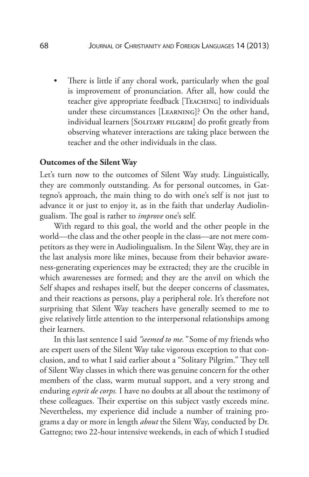• There is little if any choral work, particularly when the goal is improvement of pronunciation. After all, how could the teacher give appropriate feedback [Teaching] to individuals under these circumstances [Learning]? On the other hand, individual learners [SOLITARY PILGRIM] do profit greatly from observing whatever interactions are taking place between the teacher and the other individuals in the class.

### **Outcomes of the Silent Way**

Let's turn now to the outcomes of Silent Way study. Linguistically, they are commonly outstanding. As for personal outcomes, in Gattegno's approach, the main thing to do with one's self is not just to advance it or just to enjoy it, as in the faith that underlay Audiolingualism. The goal is rather to *improve* one's self.

With regard to this goal, the world and the other people in the world—the class and the other people in the class—are not mere competitors as they were in Audiolingualism. In the Silent Way, they are in the last analysis more like mines, because from their behavior awareness-generating experiences may be extracted; they are the crucible in which awarenesses are formed; and they are the anvil on which the Self shapes and reshapes itself, but the deeper concerns of classmates, and their reactions as persons, play a peripheral role. It's therefore not surprising that Silent Way teachers have generally seemed to me to give relatively little attention to the interpersonal relationships among their learners.

In this last sentence I said *"seemed to me."* Some of my friends who are expert users of the Silent Way take vigorous exception to that conclusion, and to what I said earlier about a "Solitary Pilgrim." They tell of Silent Way classes in which there was genuine concern for the other members of the class, warm mutual support, and a very strong and enduring *esprit de corps.* I have no doubts at all about the testimony of these colleagues. Their expertise on this subject vastly exceeds mine. Nevertheless, my experience did include a number of training programs a day or more in length *about* the Silent Way, conducted by Dr. Gattegno; two 22-hour intensive weekends, in each of which I studied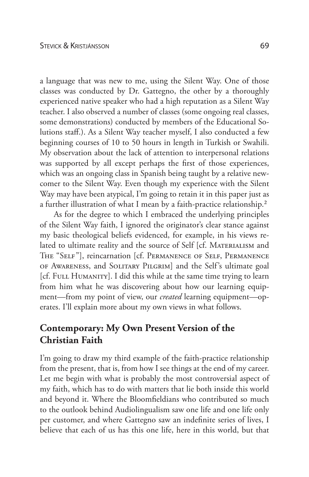a language that was new to me, using the Silent Way. One of those classes was conducted by Dr. Gattegno, the other by a thoroughly experienced native speaker who had a high reputation as a Silent Way teacher. I also observed a number of classes (some ongoing real classes, some demonstrations) conducted by members of the Educational Solutions staff.). As a Silent Way teacher myself, I also conducted a few beginning courses of 10 to 50 hours in length in Turkish or Swahili. My observation about the lack of attention to interpersonal relations was supported by all except perhaps the first of those experiences, which was an ongoing class in Spanish being taught by a relative newcomer to the Silent Way. Even though my experience with the Silent Way may have been atypical, I'm going to retain it in this paper just as a further illustration of what I mean by a faith-practice relationship.2

As for the degree to which I embraced the underlying principles of the Silent Way faith, I ignored the originator's clear stance against my basic theological beliefs evidenced, for example, in his views related to ultimate reality and the source of Self [cf. MATERIALISM and The "Self"], reincarnation [cf. Permanence of Self, Permanence of Awareness, and Solitary Pilgrim] and the Self's ultimate goal [cf. FULL HUMANITY]. I did this while at the same time trying to learn from him what he was discovering about how our learning equipment—from my point of view, our *created* learning equipment—operates. I'll explain more about my own views in what follows.

## **Contemporary: My Own Present Version of the Christian Faith**

I'm going to draw my third example of the faith-practice relationship from the present, that is, from how I see things at the end of my career. Let me begin with what is probably the most controversial aspect of my faith, which has to do with matters that lie both inside this world and beyond it. Where the Bloomfieldians who contributed so much to the outlook behind Audiolingualism saw one life and one life only per customer, and where Gattegno saw an indefinite series of lives, I believe that each of us has this one life, here in this world, but that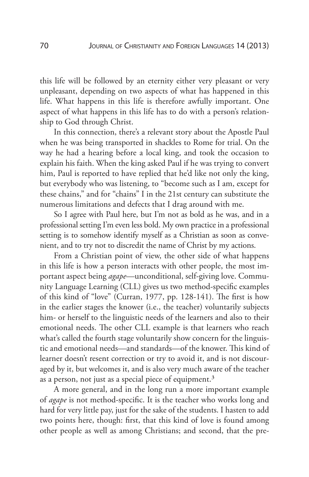this life will be followed by an eternity either very pleasant or very unpleasant, depending on two aspects of what has happened in this life. What happens in this life is therefore awfully important. One aspect of what happens in this life has to do with a person's relationship to God through Christ.

In this connection, there's a relevant story about the Apostle Paul when he was being transported in shackles to Rome for trial. On the way he had a hearing before a local king, and took the occasion to explain his faith. When the king asked Paul if he was trying to convert him, Paul is reported to have replied that he'd like not only the king, but everybody who was listening, to "become such as I am, except for these chains," and for "chains" I in the 21st century can substitute the numerous limitations and defects that I drag around with me.

So I agree with Paul here, but I'm not as bold as he was, and in a professional setting I'm even less bold. My own practice in a professional setting is to somehow identify myself as a Christian as soon as convenient, and to try not to discredit the name of Christ by my actions.

From a Christian point of view, the other side of what happens in this life is how a person interacts with other people, the most important aspect being *agape*—unconditional, self-giving love. Community Language Learning (CLL) gives us two method-specific examples of this kind of "love" (Curran, 1977, pp. 128-141). The first is how in the earlier stages the knower (i.e., the teacher) voluntarily subjects him- or herself to the linguistic needs of the learners and also to their emotional needs. The other CLL example is that learners who reach what's called the fourth stage voluntarily show concern for the linguistic and emotional needs—and standards—of the knower. This kind of learner doesn't resent correction or try to avoid it, and is not discouraged by it, but welcomes it, and is also very much aware of the teacher as a person, not just as a special piece of equipment.<sup>3</sup>

A more general, and in the long run a more important example of *agape* is not method-specific. It is the teacher who works long and hard for very little pay, just for the sake of the students. I hasten to add two points here, though: first, that this kind of love is found among other people as well as among Christians; and second, that the pre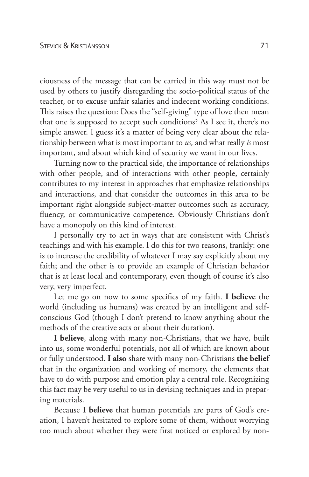ciousness of the message that can be carried in this way must not be used by others to justify disregarding the socio-political status of the teacher, or to excuse unfair salaries and indecent working conditions. This raises the question: Does the "self-giving" type of love then mean that one is supposed to accept such conditions? As I see it, there's no simple answer. I guess it's a matter of being very clear about the relationship between what is most important to *us,* and what really *is* most important, and about which kind of security we want in our lives.

Turning now to the practical side, the importance of relationships with other people, and of interactions with other people, certainly contributes to my interest in approaches that emphasize relationships and interactions, and that consider the outcomes in this area to be important right alongside subject-matter outcomes such as accuracy, fluency, or communicative competence. Obviously Christians don't have a monopoly on this kind of interest.

I personally try to act in ways that are consistent with Christ's teachings and with his example. I do this for two reasons, frankly: one is to increase the credibility of whatever I may say explicitly about my faith; and the other is to provide an example of Christian behavior that is at least local and contemporary, even though of course it's also very, very imperfect.

Let me go on now to some specifics of my faith. **I believe** the world (including us humans) was created by an intelligent and selfconscious God (though I don't pretend to know anything about the methods of the creative acts or about their duration).

**I believe**, along with many non-Christians, that we have, built into us, some wonderful potentials, not all of which are known about or fully understood. **I also** share with many non-Christians **the belief** that in the organization and working of memory, the elements that have to do with purpose and emotion play a central role. Recognizing this fact may be very useful to us in devising techniques and in preparing materials.

Because **I believe** that human potentials are parts of God's creation, I haven't hesitated to explore some of them, without worrying too much about whether they were first noticed or explored by non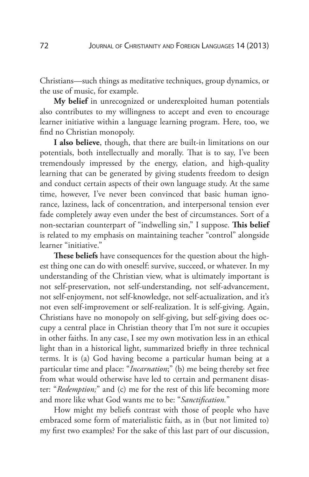Christians—such things as meditative techniques, group dynamics, or the use of music, for example.

**My belief** in unrecognized or underexploited human potentials also contributes to my willingness to accept and even to encourage learner initiative within a language learning program. Here, too, we find no Christian monopoly.

**I also believe**, though, that there are built-in limitations on our potentials, both intellectually and morally. That is to say, I've been tremendously impressed by the energy, elation, and high-quality learning that can be generated by giving students freedom to design and conduct certain aspects of their own language study. At the same time, however, I've never been convinced that basic human ignorance, laziness, lack of concentration, and interpersonal tension ever fade completely away even under the best of circumstances. Sort of a non-sectarian counterpart of "indwelling sin," I suppose. **This belief** is related to my emphasis on maintaining teacher "control" alongside learner "initiative."

**These beliefs** have consequences for the question about the highest thing one can do with oneself: survive, succeed, or whatever. In my understanding of the Christian view, what is ultimately important is not self-preservation, not self-understanding, not self-advancement, not self-enjoyment, not self-knowledge, not self-actualization, and it's not even self-improvement or self-realization. It is self-giving. Again, Christians have no monopoly on self-giving, but self-giving does occupy a central place in Christian theory that I'm not sure it occupies in other faiths. In any case, I see my own motivation less in an ethical light than in a historical light, summarized briefly in three technical terms. It is (a) God having become a particular human being at a particular time and place: "*Incarnation*;" (b) me being thereby set free from what would otherwise have led to certain and permanent disaster: "*Redemption;*" and (c) me for the rest of this life becoming more and more like what God wants me to be: "*Sanctification.*"

How might my beliefs contrast with those of people who have embraced some form of materialistic faith, as in (but not limited to) my first two examples? For the sake of this last part of our discussion,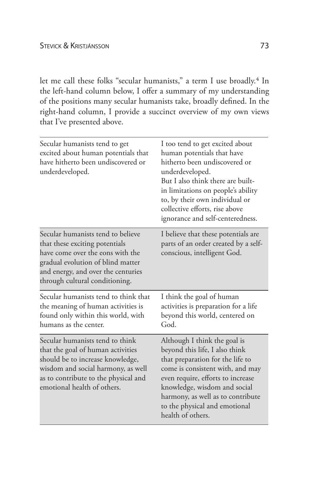let me call these folks "secular humanists," a term I use broadly.<sup>4</sup> In the left-hand column below, I offer a summary of my understanding of the positions many secular humanists take, broadly defined. In the right-hand column, I provide a succinct overview of my own views that I've presented above.

| Secular humanists tend to get<br>excited about human potentials that<br>have hitherto been undiscovered or<br>underdeveloped.                                                                                         | I too tend to get excited about<br>human potentials that have<br>hitherto been undiscovered or<br>underdeveloped.<br>But I also think there are built-<br>in limitations on people's ability<br>to, by their own individual or<br>collective efforts, rise above<br>ignorance and self-centeredness.   |
|-----------------------------------------------------------------------------------------------------------------------------------------------------------------------------------------------------------------------|--------------------------------------------------------------------------------------------------------------------------------------------------------------------------------------------------------------------------------------------------------------------------------------------------------|
| Secular humanists tend to believe<br>that these exciting potentials<br>have come over the eons with the<br>gradual evolution of blind matter<br>and energy, and over the centuries<br>through cultural conditioning.  | I believe that these potentials are<br>parts of an order created by a self-<br>conscious, intelligent God.                                                                                                                                                                                             |
| Secular humanists tend to think that<br>the meaning of human activities is<br>found only within this world, with<br>humans as the center.                                                                             | I think the goal of human<br>activities is preparation for a life<br>beyond this world, centered on<br>God.                                                                                                                                                                                            |
| Secular humanists tend to think<br>that the goal of human activities<br>should be to increase knowledge,<br>wisdom and social harmony, as well<br>as to contribute to the physical and<br>emotional health of others. | Although I think the goal is<br>beyond this life, I also think<br>that preparation for the life to<br>come is consistent with, and may<br>even require, efforts to increase<br>knowledge, wisdom and social<br>harmony, as well as to contribute<br>to the physical and emotional<br>health of others. |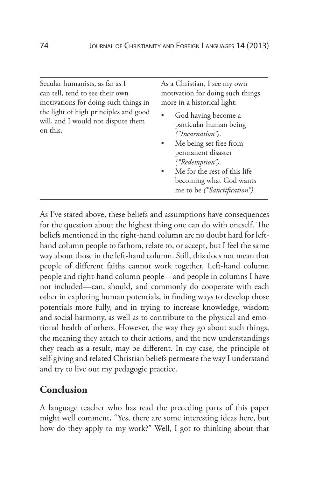Secular humanists, as far as I can tell, tend to see their own motivations for doing such things in the light of high principles and good will, and I would not dispute them on this.

As a Christian, I see my own motivation for doing such things more in a historical light:

- God having become a particular human being *("Incarnation").*
- Me being set free from permanent disaster *("Redemption").*
- Me for the rest of this life becoming what God wants me to be *("Sanctification")*.

As I've stated above, these beliefs and assumptions have consequences for the question about the highest thing one can do with oneself. The beliefs mentioned in the right-hand column are no doubt hard for lefthand column people to fathom, relate to, or accept, but I feel the same way about those in the left-hand column. Still, this does not mean that people of different faiths cannot work together. Left-hand column people and right-hand column people—and people in columns I have not included—can, should, and commonly do cooperate with each other in exploring human potentials, in finding ways to develop those potentials more fully, and in trying to increase knowledge, wisdom and social harmony, as well as to contribute to the physical and emotional health of others. However, the way they go about such things, the meaning they attach to their actions, and the new understandings they reach as a result, may be different. In my case, the principle of self-giving and related Christian beliefs permeate the way I understand and try to live out my pedagogic practice.

# **Conclusion**

A language teacher who has read the preceding parts of this paper might well comment, "Yes, there are some interesting ideas here, but how do they apply to my work?" Well, I got to thinking about that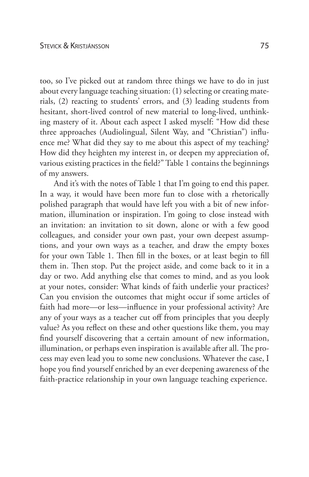too, so I've picked out at random three things we have to do in just about every language teaching situation: (1) selecting or creating materials, (2) reacting to students' errors, and (3) leading students from hesitant, short-lived control of new material to long-lived, unthinking mastery of it. About each aspect I asked myself: "How did these three approaches (Audiolingual, Silent Way, and "Christian") influence me? What did they say to me about this aspect of my teaching? How did they heighten my interest in, or deepen my appreciation of, various existing practices in the field?" Table 1 contains the beginnings of my answers.

And it's with the notes of Table 1 that I'm going to end this paper. In a way, it would have been more fun to close with a rhetorically polished paragraph that would have left you with a bit of new information, illumination or inspiration. I'm going to close instead with an invitation: an invitation to sit down, alone or with a few good colleagues, and consider your own past, your own deepest assumptions, and your own ways as a teacher, and draw the empty boxes for your own Table 1. Then fill in the boxes, or at least begin to fill them in. Then stop. Put the project aside, and come back to it in a day or two. Add anything else that comes to mind, and as you look at your notes, consider: What kinds of faith underlie your practices? Can you envision the outcomes that might occur if some articles of faith had more—or less—influence in your professional activity? Are any of your ways as a teacher cut off from principles that you deeply value? As you reflect on these and other questions like them, you may find yourself discovering that a certain amount of new information, illumination, or perhaps even inspiration is available after all. The process may even lead you to some new conclusions. Whatever the case, I hope you find yourself enriched by an ever deepening awareness of the faith-practice relationship in your own language teaching experience.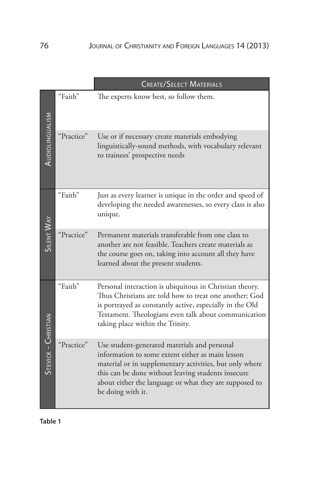|                     |            | <b>CREATE/SELECT MATERIALS</b>                                                                                                                                                                                                                                                                   |
|---------------------|------------|--------------------------------------------------------------------------------------------------------------------------------------------------------------------------------------------------------------------------------------------------------------------------------------------------|
|                     | "Faith"    | The experts know best, so follow them.                                                                                                                                                                                                                                                           |
| AUDIOLINGUALISM     | "Practice" | Use or if necessary create materials embodying<br>linguistically-sound methods, with vocabulary relevant<br>to trainees' prospective needs                                                                                                                                                       |
|                     | "Faith"    | Just as every learner is unique in the order and speed of<br>developing the needed awarenesses, so every class is also<br>unique.                                                                                                                                                                |
| <b>SILENT WAY</b>   | "Practice" | Permanent materials transferable from one class to<br>another are not feasible. Teachers create materials as<br>the course goes on, taking into account all they have<br>learned about the present students.                                                                                     |
|                     | "Faith"    | Personal interaction is ubiquitous in Christian theory.<br>Thus Christians are told how to treat one another; God<br>is portrayed as constantly active, especially in the Old<br>Testament. Theologians even talk about communication<br>taking place within the Trinity.                        |
| STEVICK - CHRISTIAN | "Practice" | Use student-generated materials and personal<br>information to some extent either as main lesson<br>material or in supplementary activities, but only where<br>this can be done without leaving students insecure<br>about either the language or what they are supposed to<br>be doing with it. |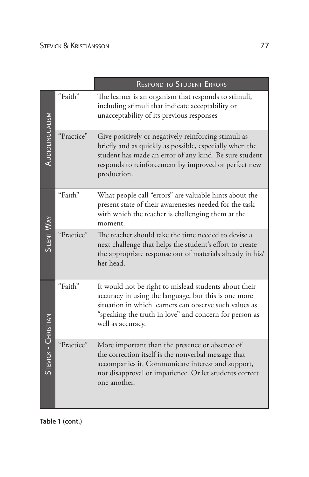|                        |            | <b>RESPOND TO STUDENT ERRORS</b>                                                                                                                                                                                                                       |  |
|------------------------|------------|--------------------------------------------------------------------------------------------------------------------------------------------------------------------------------------------------------------------------------------------------------|--|
|                        | "Faith"    | The learner is an organism that responds to stimuli,<br>including stimuli that indicate acceptability or<br>unacceptability of its previous responses                                                                                                  |  |
| <b>AUDIOLINGUALISM</b> | "Practice" | Give positively or negatively reinforcing stimuli as<br>briefly and as quickly as possible, especially when the<br>student has made an error of any kind. Be sure student<br>responds to reinforcement by improved or perfect new<br>production.       |  |
|                        | "Faith"    | What people call "errors" are valuable hints about the<br>present state of their awarenesses needed for the task<br>with which the teacher is challenging them at the<br>moment.                                                                       |  |
| SILENT WAY             | "Practice" | The teacher should take the time needed to devise a<br>next challenge that helps the student's effort to create<br>the appropriate response out of materials already in his/<br>her head.                                                              |  |
|                        | "Faith"    | It would not be right to mislead students about their<br>accuracy in using the language, but this is one more<br>situation in which learners can observe such values as<br>"speaking the truth in love" and concern for person as<br>well as accuracy. |  |
| STEVICK - CHRISTIAN    | "Practice" | More important than the presence or absence of<br>the correction itself is the nonverbal message that<br>accompanies it. Communicate interest and support,<br>not disapproval or impatience. Or let students correct<br>one another.                   |  |

**Table 1 (cont.)**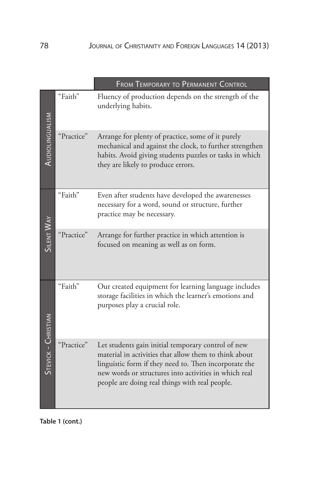|                     |            | FROM TEMPORARY TO PERMANENT CONTROL                                                                                                                                                                                                                                             |
|---------------------|------------|---------------------------------------------------------------------------------------------------------------------------------------------------------------------------------------------------------------------------------------------------------------------------------|
|                     | "Faith"    | Fluency of production depends on the strength of the<br>underlying habits.                                                                                                                                                                                                      |
| AUDIOLINGUALISM     | "Practice" | Arrange for plenty of practice, some of it purely<br>mechanical and against the clock, to further strengthen<br>habits. Avoid giving students puzzles or tasks in which<br>they are likely to produce errors.                                                                   |
|                     | "Faith"    | Even after students have developed the awarenesses<br>necessary for a word, sound or structure, further<br>practice may be necessary.                                                                                                                                           |
| <b>SILENT WAY</b>   | "Practice" | Arrange for further practice in which attention is<br>focused on meaning as well as on form.                                                                                                                                                                                    |
|                     | "Faith"    | Our created equipment for learning language includes<br>storage facilities in which the learner's emotions and<br>purposes play a crucial role.                                                                                                                                 |
| STEVICK - CHRISTIAN | "Practice" | Let students gain initial temporary control of new<br>material in activities that allow them to think about<br>linguistic form if they need to. Then incorporate the<br>new words or structures into activities in which real<br>people are doing real things with real people. |

**Table 1 (cont.)**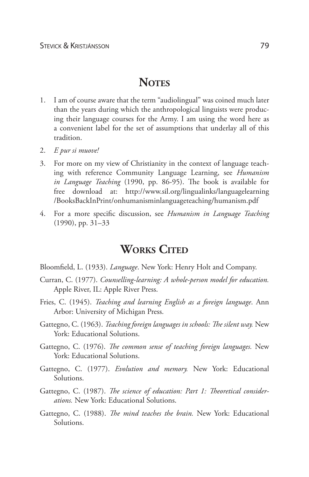# **NOTES**

- 1. I am of course aware that the term "audiolingual" was coined much later than the years during which the anthropological linguists were producing their language courses for the Army. I am using the word here as a convenient label for the set of assumptions that underlay all of this tradition.
- 2. *E pur si muove!*
- 3. For more on my view of Christianity in the context of language teaching with reference Community Language Learning, see *Humanism in Language Teaching* (1990, pp. 86-95). The book is available for free download at: http://www.sil.org/lingualinks/languagelearning /BooksBackInPrint/onhumanisminlanguageteaching/humanism.pdf
- 4. For a more specific discussion, see *Humanism in Language Teaching* (1990), pp. 31–33

# **WORKS CITED**

- Bloomfield, L. (1933). *Language*. New York: Henry Holt and Company.
- Curran, C. (1977). *Counselling-learning: A whole-person model for education.*  Apple River, IL: Apple River Press.
- Fries, C. (1945). *Teaching and learning English as a foreign language*. Ann Arbor: University of Michigan Press.
- Gattegno, C. (1963). *Teaching foreign languages in schools: The silent way.* New York: Educational Solutions.
- Gattegno, C. (1976). *The common sense of teaching foreign languages.* New York: Educational Solutions.
- Gattegno, C. (1977). *Evolution and memory.* New York: Educational Solutions.
- Gattegno, C. (1987). *The science of education: Part 1: Theoretical considerations.* New York: Educational Solutions.
- Gattegno, C. (1988). *The mind teaches the brain.* New York: Educational Solutions.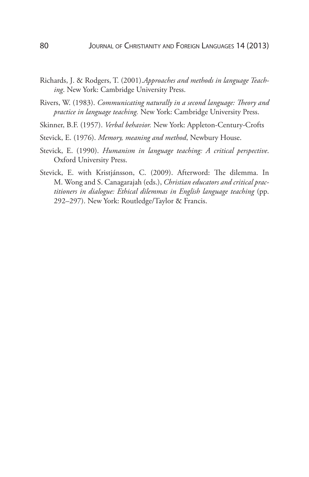- Richards, J. & Rodgers, T. (2001).*Approaches and methods in language Teaching*. New York: Cambridge University Press.
- Rivers, W. (1983). *Communicating naturally in a second language: Theory and practice in language teaching.* New York: Cambridge University Press.
- Skinner, B.F. (1957). *Verbal behavior.* New York: Appleton-Century-Crofts
- Stevick, E. (1976). *Memory, meaning and method*, Newbury House.
- Stevick, E. (1990). *Humanism in language teaching: A critical perspective*. Oxford University Press.
- Stevick, E. with Kristjánsson, C. (2009). Afterword: The dilemma. In M. Wong and S. Canagarajah (eds.), *Christian educators and critical practitioners in dialogue: Ethical dilemmas in English language teaching* (pp. 292–297). New York: Routledge/Taylor & Francis.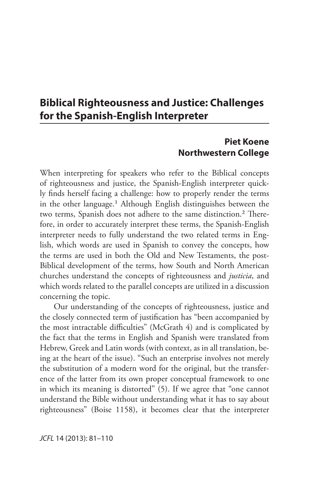# **Biblical Righteousness and Justice: Challenges for the Spanish-English Interpreter**

### **Piet Koene Northwestern College**

When interpreting for speakers who refer to the Biblical concepts of righteousness and justice, the Spanish-English interpreter quickly finds herself facing a challenge: how to properly render the terms in the other language.<sup>1</sup> Although English distinguishes between the two terms, Spanish does not adhere to the same distinction.<sup>2</sup> Therefore, in order to accurately interpret these terms, the Spanish-English interpreter needs to fully understand the two related terms in English, which words are used in Spanish to convey the concepts, how the terms are used in both the Old and New Testaments, the post-Biblical development of the terms, how South and North American churches understand the concepts of righteousness and *justicia*, and which words related to the parallel concepts are utilized in a discussion concerning the topic.

Our understanding of the concepts of righteousness, justice and the closely connected term of justification has "been accompanied by the most intractable difficulties" (McGrath 4) and is complicated by the fact that the terms in English and Spanish were translated from Hebrew, Greek and Latin words (with context, as in all translation, being at the heart of the issue). "Such an enterprise involves not merely the substitution of a modern word for the original, but the transference of the latter from its own proper conceptual framework to one in which its meaning is distorted" (5). If we agree that "one cannot understand the Bible without understanding what it has to say about righteousness" (Boise 1158), it becomes clear that the interpreter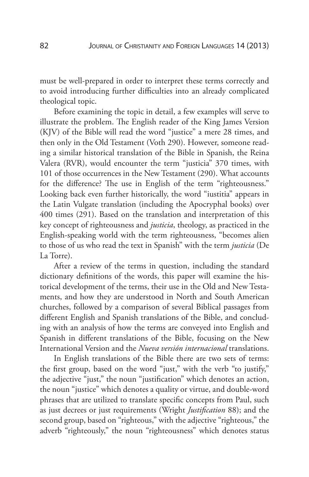must be well-prepared in order to interpret these terms correctly and to avoid introducing further difficulties into an already complicated theological topic.

Before examining the topic in detail, a few examples will serve to illustrate the problem. The English reader of the King James Version (KJV) of the Bible will read the word "justice" a mere 28 times, and then only in the Old Testament (Voth 290). However, someone reading a similar historical translation of the Bible in Spanish, the Reina Valera (RVR), would encounter the term "justicia" 370 times, with 101 of those occurrences in the New Testament (290). What accounts for the difference? The use in English of the term "righteousness." Looking back even further historically, the word "iustitia" appears in the Latin Vulgate translation (including the Apocryphal books) over 400 times (291). Based on the translation and interpretation of this key concept of righteousness and *justicia*, theology, as practiced in the English-speaking world with the term righteousness, "becomes alien to those of us who read the text in Spanish" with the term *justicia* (De La Torre).

After a review of the terms in question, including the standard dictionary definitions of the words, this paper will examine the historical development of the terms, their use in the Old and New Testaments, and how they are understood in North and South American churches, followed by a comparison of several Biblical passages from different English and Spanish translations of the Bible, and concluding with an analysis of how the terms are conveyed into English and Spanish in different translations of the Bible, focusing on the New International Version and the *Nueva versión internacional* translations.

In English translations of the Bible there are two sets of terms: the first group, based on the word "just," with the verb "to justify," the adjective "just," the noun "justification" which denotes an action, the noun "justice" which denotes a quality or virtue, and double-word phrases that are utilized to translate specific concepts from Paul, such as just decrees or just requirements (Wright *Justification* 88); and the second group, based on "righteous," with the adjective "righteous," the adverb "righteously," the noun "righteousness" which denotes status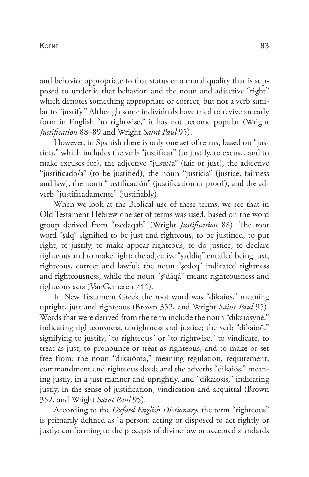#### Koene 83

and behavior appropriate to that status or a moral quality that is supposed to underlie that behavior, and the noun and adjective "right" which denotes something appropriate or correct, but not a verb similar to "justify." Although some individuals have tried to revive an early form in English "to rightwise," it has not become popular (Wright *Justification* 88–89 and Wright *Saint Paul* 95).

However, in Spanish there is only one set of terms, based on "justicia," which includes the verb "justificar" (to justify, to excuse, and to make excuses for), the adjective "justo/a" (fair or just), the adjective "justificado/a" (to be justified), the noun "justicia" (justice, fairness and law), the noun "justificación" (justification or proof), and the adverb "justificadamente" (justifiably).

When we look at the Biblical use of these terms, we see that in Old Testament Hebrew one set of terms was used, based on the word group derived from "tsedaqah" (Wright *Justification* 88). The root word "şdq" signified to be just and righteous, to be justified, to put right, to justify, to make appear righteous, to do justice, to declare righteous and to make right; the adjective "şaddîq" entailed being just, righteous, correct and lawful; the noun "şedeq" indicated rightness and righteousness, while the noun "şedāqâ" meant righteousness and righteous acts (VanGemeren 744).

In New Testament Greek the root word was "dikaios," meaning upright, just and righteous (Brown 352, and Wright *Saint Paul* 95). Words that were derived from the term include the noun "dikaiosynē," indicating righteousness, uprightness and justice; the verb "dikaioō," signifying to justify, "to righteous" or "to rightwise," to vindicate, to treat as just, to pronounce or treat as righteous, and to make or set free from; the noun "dikaiōma," meaning regulation, requirement, commandment and righteous deed; and the adverbs "dikaiōs," meaning justly, in a just manner and uprightly, and "dikaiōsis," indicating justly, in the sense of justification, vindication and acquittal (Brown 352, and Wright *Saint Paul* 95).

According to the *Oxford English Dictionary*, the term "righteous" is primarily defined as "a person: acting or disposed to act rightly or justly; conforming to the precepts of divine law or accepted standards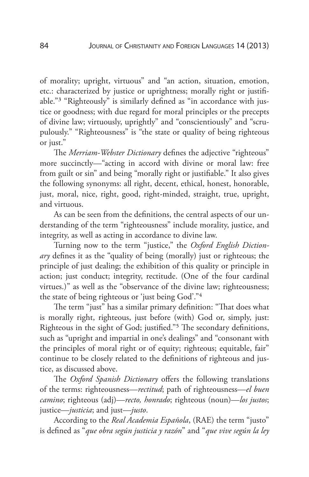of morality; upright, virtuous" and "an action, situation, emotion, etc.: characterized by justice or uprightness; morally right or justifiable."3 "Righteously" is similarly defined as "in accordance with justice or goodness; with due regard for moral principles or the precepts of divine law; virtuously, uprightly" and "conscientiously" and "scrupulously." "Righteousness" is "the state or quality of being righteous or just."

The *Merriam-Webster Dictionary* defines the adjective "righteous" more succinctly—"acting in accord with divine or moral law: free from guilt or sin" and being "morally right or justifiable." It also gives the following synonyms: all right, decent, ethical, honest, honorable, just, moral, nice, right, good, right-minded, straight, true, upright, and virtuous.

As can be seen from the definitions, the central aspects of our understanding of the term "righteousness" include morality, justice, and integrity, as well as acting in accordance to divine law.

Turning now to the term "justice," the *Oxford English Dictionary* defines it as the "quality of being (morally) just or righteous; the principle of just dealing; the exhibition of this quality or principle in action; just conduct; integrity, rectitude. (One of the four cardinal virtues.)" as well as the "observance of the divine law; righteousness; the state of being righteous or 'just being God'."4

The term "just" has a similar primary definition: "That does what is morally right, righteous, just before (with) God or, simply, just: Righteous in the sight of God; justified."5 The secondary definitions, such as "upright and impartial in one's dealings" and "consonant with the principles of moral right or of equity; righteous; equitable, fair" continue to be closely related to the definitions of righteous and justice, as discussed above.

The *Oxford Spanish Dictionary* offers the following translations of the terms: righteousness—*rectitud*; path of righteousness—*el buen camino*; righteous (adj)—*recto, honrado*; righteous (noun)—*los justos*; justice—*justicia*; and just—*justo*.

According to the *Real Academia Española*, (RAE) the term "justo" is defined as "*que obra según justicia y razón*" and "*que vive según la ley*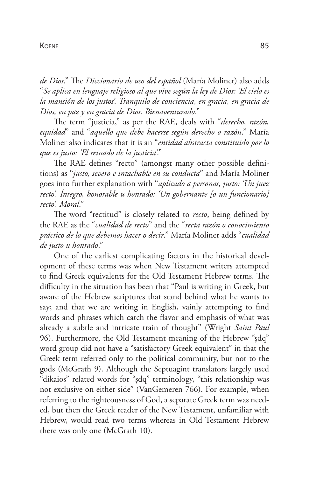#### Koene 85

*de Dios*." The *Diccionario de uso del español* (María Moliner) also adds "*Se aplica en lenguaje religioso al que vive según la ley de Dios: 'El cielo es la mansión de los justos'. Tranquilo de conciencia, en gracia, en gracia de Dios, en paz y en gracia de Dios. Bienaventurado*."

The term "justicia," as per the RAE, deals with "*derecho, razón, equidad*" and "*aquello que debe hacerse según derecho o razón*." María Moliner also indicates that it is an "*entidad abstracta constituido por lo que es justo: 'El reinado de la justicia'*."

The RAE defines "recto" (amongst many other possible definitions) as "*justo, severo e intachable en su conducta*" and María Moliner goes into further explanation with "*aplicado a personas, justo: 'Un juez recto'. Íntegro, honorable u honrado: 'Un gobernante [o un funcionario] recto'. Moral*."

The word "rectitud" is closely related to *recto*, being defined by the RAE as the "*cualidad de recto*" and the "*recta razón o conocimiento práctico de lo que debemos hacer o decir*." María Moliner adds "*cualidad de justo u honrado*."

One of the earliest complicating factors in the historical development of these terms was when New Testament writers attempted to find Greek equivalents for the Old Testament Hebrew terms. The difficulty in the situation has been that "Paul is writing in Greek, but aware of the Hebrew scriptures that stand behind what he wants to say; and that we are writing in English, vainly attempting to find words and phrases which catch the flavor and emphasis of what was already a subtle and intricate train of thought" (Wright *Saint Paul* 96). Furthermore, the Old Testament meaning of the Hebrew "şdq" word group did not have a "satisfactory Greek equivalent" in that the Greek term referred only to the political community, but not to the gods (McGrath 9). Although the Septuagint translators largely used "dikaios" related words for "şdq" terminology, "this relationship was not exclusive on either side" (VanGemeren 766). For example, when referring to the righteousness of God, a separate Greek term was needed, but then the Greek reader of the New Testament, unfamiliar with Hebrew, would read two terms whereas in Old Testament Hebrew there was only one (McGrath 10).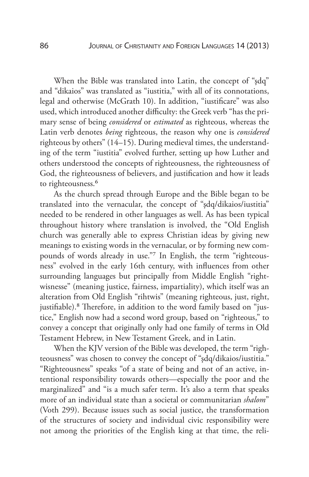When the Bible was translated into Latin, the concept of "şdq" and "dikaios" was translated as "iustitia," with all of its connotations, legal and otherwise (McGrath 10). In addition, "iustificare" was also used, which introduced another difficulty: the Greek verb "has the primary sense of being *considered* or *estimated* as righteous, whereas the Latin verb denotes *being* righteous, the reason why one is *considered* righteous by others" (14–15). During medieval times, the understanding of the term "iustitia" evolved further, setting up how Luther and others understood the concepts of righteousness, the righteousness of God, the righteousness of believers, and justification and how it leads to righteousness.<sup>6</sup>

As the church spread through Europe and the Bible began to be translated into the vernacular, the concept of "şdq/dikaios/iustitia" needed to be rendered in other languages as well. As has been typical throughout history where translation is involved, the "Old English church was generally able to express Christian ideas by giving new meanings to existing words in the vernacular, or by forming new compounds of words already in use."7 In English, the term "righteousness" evolved in the early 16th century, with influences from other surrounding languages but principally from Middle English "rightwisnesse" (meaning justice, fairness, impartiality), which itself was an alteration from Old English "rihtwis" (meaning righteous, just, right, justifiable).<sup>8</sup> Therefore, in addition to the word family based on "justice," English now had a second word group, based on "righteous," to convey a concept that originally only had one family of terms in Old Testament Hebrew, in New Testament Greek, and in Latin.

When the KJV version of the Bible was developed, the term "righteousness" was chosen to convey the concept of "şdq/dikaios/iustitia." "Righteousness" speaks "of a state of being and not of an active, intentional responsibility towards others—especially the poor and the marginalized" and "is a much safer term. It's also a term that speaks more of an individual state than a societal or communitarian *shalom*" (Voth 299). Because issues such as social justice, the transformation of the structures of society and individual civic responsibility were not among the priorities of the English king at that time, the reli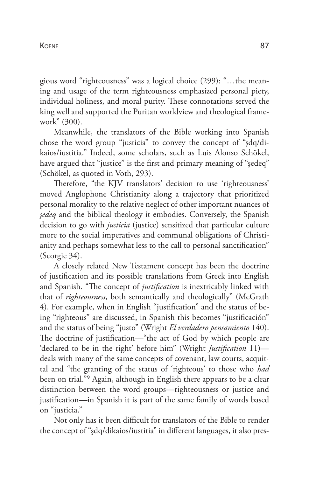gious word "righteousness" was a logical choice (299): "…the meaning and usage of the term righteousness emphasized personal piety, individual holiness, and moral purity. These connotations served the king well and supported the Puritan worldview and theological framework" (300).

Meanwhile, the translators of the Bible working into Spanish chose the word group "justicia" to convey the concept of "şdq/dikaios/iustitia." Indeed, some scholars, such as Luis Alonso Schökel, have argued that "justice" is the first and primary meaning of "sedeq" (Schökel, as quoted in Voth, 293).

Therefore, "the KJV translators' decision to use 'righteousness' moved Anglophone Christianity along a trajectory that prioritized personal morality to the relative neglect of other important nuances of *şedeq* and the biblical theology it embodies. Conversely, the Spanish decision to go with *justicia* (justice) sensitized that particular culture more to the social imperatives and communal obligations of Christianity and perhaps somewhat less to the call to personal sanctification" (Scorgie 34).

A closely related New Testament concept has been the doctrine of justification and its possible translations from Greek into English and Spanish. "The concept of *justification* is inextricably linked with that of *righteousness*, both semantically and theologically" (McGrath 4). For example, when in English "justification" and the status of being "righteous" are discussed, in Spanish this becomes "justificación" and the status of being "justo" (Wright *El verdadero pensamiento* 140). The doctrine of justification—"the act of God by which people are 'declared to be in the right' before him" (Wright *Justification* 11) deals with many of the same concepts of covenant, law courts, acquittal and "the granting of the status of 'righteous' to those who *had* been on trial."9 Again, although in English there appears to be a clear distinction between the word groups—righteousness or justice and justification—in Spanish it is part of the same family of words based on "justicia."

Not only has it been difficult for translators of the Bible to render the concept of "şdq/dikaios/iustitia" in different languages, it also pres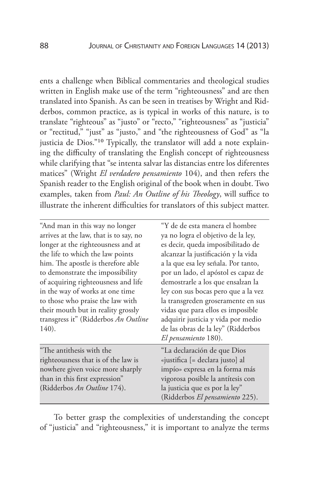ents a challenge when Biblical commentaries and theological studies written in English make use of the term "righteousness" and are then translated into Spanish. As can be seen in treatises by Wright and Ridderbos, common practice, as is typical in works of this nature, is to translate "righteous" as "justo" or "recto," "righteousness" as "justicia" or "rectitud," "just" as "justo," and "the righteousness of God" as "la justicia de Dios."10 Typically, the translator will add a note explaining the difficulty of translating the English concept of righteousness while clarifying that "se intenta salvar las distancias entre los diferentes matices" (Wright *El verdadero pensamiento* 104), and then refers the Spanish reader to the English original of the book when in doubt. Two examples, taken from *Paul: An Outline of his Theology*, will suffice to illustrate the inherent difficulties for translators of this subject matter.

| "And man in this way no longer<br>arrives at the law, that is to say, no<br>longer at the righteousness and at<br>the life to which the law points<br>him. The apostle is therefore able<br>to demonstrate the impossibility<br>of acquiring righteousness and life<br>in the way of works at one time<br>to those who praise the law with<br>their mouth but in reality grossly<br>transgress it" (Ridderbos An Outline<br>140). | "Y de de esta manera el hombre<br>ya no logra el objetivo de la ley,<br>es decir, queda imposibilitado de<br>alcanzar la justificación y la vida<br>a la que esa ley señala. Por tanto,<br>por un lado, el apóstol es capaz de<br>demostrarle a los que ensalzan la<br>ley con sus bocas pero que a la vez<br>la transgreden groseramente en sus<br>vidas que para ellos es imposible<br>adquirir justicia y vida por medio<br>de las obras de la ley" (Ridderbos |
|-----------------------------------------------------------------------------------------------------------------------------------------------------------------------------------------------------------------------------------------------------------------------------------------------------------------------------------------------------------------------------------------------------------------------------------|-------------------------------------------------------------------------------------------------------------------------------------------------------------------------------------------------------------------------------------------------------------------------------------------------------------------------------------------------------------------------------------------------------------------------------------------------------------------|
|                                                                                                                                                                                                                                                                                                                                                                                                                                   | El pensamiento 180).                                                                                                                                                                                                                                                                                                                                                                                                                                              |
| "The antithesis with the<br>righteousness that is of the law is<br>nowhere given voice more sharply<br>than in this first expression"<br>(Ridderbos An Outline 174).                                                                                                                                                                                                                                                              | "La declaración de que Dios<br>«justifica [= declara justo] al<br>impío» expresa en la forma más<br>vigorosa posible la antítesis con<br>la justicia que es por la ley"<br>(Ridderbos El pensamiento 225).                                                                                                                                                                                                                                                        |

To better grasp the complexities of understanding the concept of "justicia" and "righteousness," it is important to analyze the terms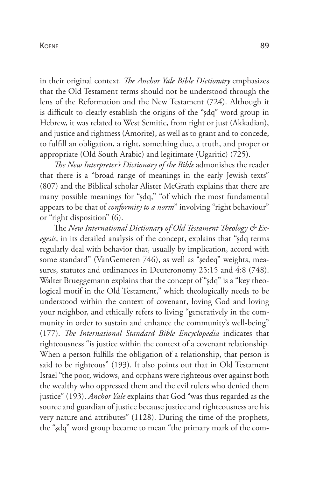#### Koene 89

in their original context. *The Anchor Yale Bible Dictionary* emphasizes that the Old Testament terms should not be understood through the lens of the Reformation and the New Testament (724). Although it is difficult to clearly establish the origins of the "şdq" word group in Hebrew, it was related to West Semitic, from right or just (Akkadian), and justice and rightness (Amorite), as well as to grant and to concede, to fulfill an obligation, a right, something due, a truth, and proper or appropriate (Old South Arabic) and legitimate (Ugaritic) (725).

*The New Interpreter's Dictionary of the Bible* admonishes the reader that there is a "broad range of meanings in the early Jewish texts" (807) and the Biblical scholar Alister McGrath explains that there are many possible meanings for "şdq," "of which the most fundamental appears to be that of *conformity to a norm*" involving "right behaviour" or "right disposition" (6).

The *New International Dictionary of Old Testament Theology & Exegesis*, in its detailed analysis of the concept, explains that "şdq terms regularly deal with behavior that, usually by implication, accord with some standard" (VanGemeren 746), as well as "şedeq" weights, measures, statutes and ordinances in Deuteronomy 25:15 and 4:8 (748). Walter Brueggemann explains that the concept of "şdq" is a "key theological motif in the Old Testament," which theologically needs to be understood within the context of covenant, loving God and loving your neighbor, and ethically refers to living "generatively in the community in order to sustain and enhance the community's well-being" (177). *The International Standard Bible Encyclopedia* indicates that righteousness "is justice within the context of a covenant relationship. When a person fulfills the obligation of a relationship, that person is said to be righteous" (193). It also points out that in Old Testament Israel "the poor, widows, and orphans were righteous over against both the wealthy who oppressed them and the evil rulers who denied them justice" (193). *Anchor Yale* explains that God "was thus regarded as the source and guardian of justice because justice and righteousness are his very nature and attributes" (1128). During the time of the prophets, the "şdq" word group became to mean "the primary mark of the com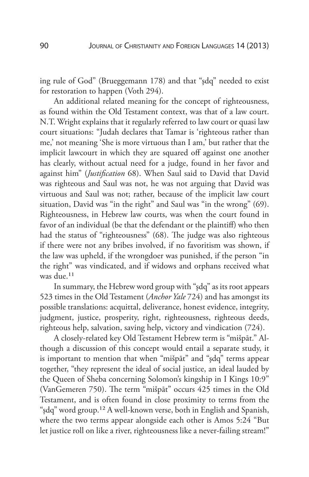ing rule of God" (Brueggemann 178) and that "şdq" needed to exist for restoration to happen (Voth 294).

An additional related meaning for the concept of righteousness, as found within the Old Testament context, was that of a law court. N.T. Wright explains that it regularly referred to law court or quasi law court situations: "Judah declares that Tamar is 'righteous rather than me,' not meaning 'She is more virtuous than I am,' but rather that the implicit lawcourt in which they are squared off against one another has clearly, without actual need for a judge, found in her favor and against him" (*Justification* 68). When Saul said to David that David was righteous and Saul was not, he was not arguing that David was virtuous and Saul was not; rather, because of the implicit law court situation, David was "in the right" and Saul was "in the wrong" (69). Righteousness, in Hebrew law courts, was when the court found in favor of an individual (be that the defendant or the plaintiff) who then had the status of "righteousness" (68). The judge was also righteous if there were not any bribes involved, if no favoritism was shown, if the law was upheld, if the wrongdoer was punished, if the person "in the right" was vindicated, and if widows and orphans received what was due.11

In summary, the Hebrew word group with "şdq" as its root appears 523 times in the Old Testament (*Anchor Yale* 724) and has amongst its possible translations: acquittal, deliverance, honest evidence, integrity, judgment, justice, prosperity, right, righteousness, righteous deeds, righteous help, salvation, saving help, victory and vindication (724).

A closely-related key Old Testament Hebrew term is "mišpāt." Although a discussion of this concept would entail a separate study, it is important to mention that when "mišpāt" and "şdq" terms appear together, "they represent the ideal of social justice, an ideal lauded by the Queen of Sheba concerning Solomon's kingship in I Kings 10:9" (VanGemeren 750). The term "mišpāt" occurs 425 times in the Old Testament, and is often found in close proximity to terms from the "şdq" word group.12 A well-known verse, both in English and Spanish, where the two terms appear alongside each other is Amos 5:24 "But let justice roll on like a river, righteousness like a never-failing stream!"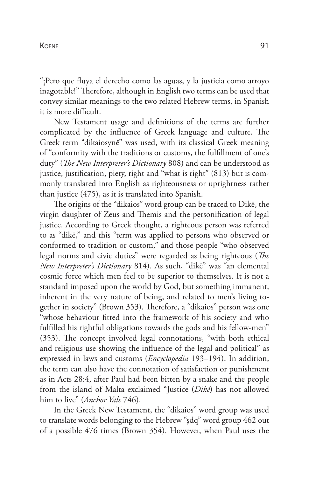"¡Pero que fluya el derecho como las aguas, y la justicia como arroyo inagotable!" Therefore, although in English two terms can be used that convey similar meanings to the two related Hebrew terms, in Spanish it is more difficult.

New Testament usage and definitions of the terms are further complicated by the influence of Greek language and culture. The Greek term "dikaiosynē" was used, with its classical Greek meaning of "conformity with the traditions or customs, the fulfillment of one's duty" (*The New Interpreter's Dictionary* 808) and can be understood as justice, justification, piety, right and "what is right" (813) but is commonly translated into English as righteousness or uprightness rather than justice (475), as it is translated into Spanish.

The origins of the "dikaios" word group can be traced to Dikē, the virgin daughter of Zeus and Themis and the personification of legal justice. According to Greek thought, a righteous person was referred to as "dikē," and this "term was applied to persons who observed or conformed to tradition or custom," and those people "who observed legal norms and civic duties" were regarded as being righteous (*The New Interpreter's Dictionary* 814). As such, "dikē" was "an elemental cosmic force which men feel to be superior to themselves. It is not a standard imposed upon the world by God, but something immanent, inherent in the very nature of being, and related to men's living together in society" (Brown 353). Therefore, a "dikaios" person was one "whose behaviour fitted into the framework of his society and who fulfilled his rightful obligations towards the gods and his fellow-men" (353). The concept involved legal connotations, "with both ethical and religious use showing the influence of the legal and political" as expressed in laws and customs (*Encyclopedia* 193–194). In addition, the term can also have the connotation of satisfaction or punishment as in Acts 28:4, after Paul had been bitten by a snake and the people from the island of Malta exclaimed "Justice (*Dikē*) has not allowed him to live" (*Anchor Yale* 746).

In the Greek New Testament, the "dikaios" word group was used to translate words belonging to the Hebrew "şdq" word group 462 out of a possible 476 times (Brown 354). However, when Paul uses the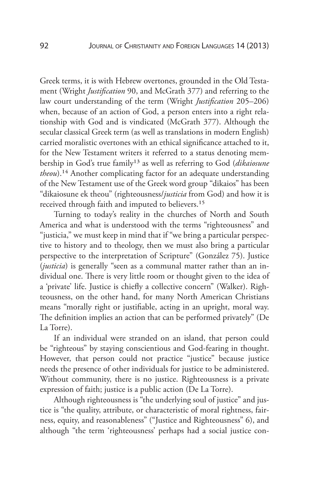Greek terms, it is with Hebrew overtones, grounded in the Old Testament (Wright *Justification* 90, and McGrath 377) and referring to the law court understanding of the term (Wright *Justification* 205–206) when, because of an action of God, a person enters into a right relationship with God and is vindicated (McGrath 377). Although the secular classical Greek term (as well as translations in modern English) carried moralistic overtones with an ethical significance attached to it, for the New Testament writers it referred to a status denoting membership in God's true family13 as well as referring to God (*dikaiosune theou*).<sup>14</sup> Another complicating factor for an adequate understanding of the New Testament use of the Greek word group "dikaios" has been "dikaiosune ek theou" (righteousness/*justicia* from God) and how it is received through faith and imputed to believers.15

Turning to today's reality in the churches of North and South America and what is understood with the terms "righteousness" and "justicia," we must keep in mind that if "we bring a particular perspective to history and to theology, then we must also bring a particular perspective to the interpretation of Scripture" (González 75). Justice (*justicia*) is generally "seen as a communal matter rather than an individual one. There is very little room or thought given to the idea of a 'private' life. Justice is chiefly a collective concern" (Walker). Righteousness, on the other hand, for many North American Christians means "morally right or justifiable, acting in an upright, moral way. The definition implies an action that can be performed privately" (De La Torre).

If an individual were stranded on an island, that person could be "righteous" by staying conscientious and God-fearing in thought. However, that person could not practice "justice" because justice needs the presence of other individuals for justice to be administered. Without community, there is no justice. Righteousness is a private expression of faith; justice is a public action (De La Torre).

Although righteousness is "the underlying soul of justice" and justice is "the quality, attribute, or characteristic of moral rightness, fairness, equity, and reasonableness" ("Justice and Righteousness" 6), and although "the term 'righteousness' perhaps had a social justice con-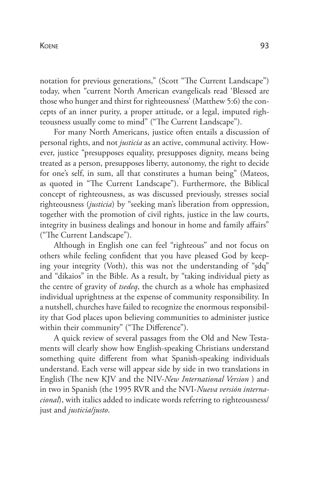notation for previous generations," (Scott "The Current Landscape") today, when "current North American evangelicals read 'Blessed are those who hunger and thirst for righteousness' (Matthew 5:6) the concepts of an inner purity, a proper attitude, or a legal, imputed righteousness usually come to mind" ("The Current Landscape").

For many North Americans, justice often entails a discussion of personal rights, and not *justicia* as an active, communal activity. However, justice "presupposes equality, presupposes dignity, means being treated as a person, presupposes liberty, autonomy, the right to decide for one's self, in sum, all that constitutes a human being" (Mateos, as quoted in "The Current Landscape"). Furthermore, the Biblical concept of righteousness, as was discussed previously, stresses social righteousness (*justicia*) by "seeking man's liberation from oppression, together with the promotion of civil rights, justice in the law courts, integrity in business dealings and honour in home and family affairs" ("The Current Landscape").

Although in English one can feel "righteous" and not focus on others while feeling confident that you have pleased God by keeping your integrity (Voth), this was not the understanding of "şdq" and "dikaios" in the Bible. As a result, by "taking individual piety as the centre of gravity of *tsedeq*, the church as a whole has emphasized individual uprightness at the expense of community responsibility. In a nutshell, churches have failed to recognize the enormous responsibility that God places upon believing communities to administer justice within their community" ("The Difference").

A quick review of several passages from the Old and New Testaments will clearly show how English-speaking Christians understand something quite different from what Spanish-speaking individuals understand. Each verse will appear side by side in two translations in English (The new KJV and the NIV-*New International Version* ) and in two in Spanish (the 1995 RVR and the NVI-*Nueva versión internacional*), with italics added to indicate words referring to righteousness/ just and *justicia/justo*.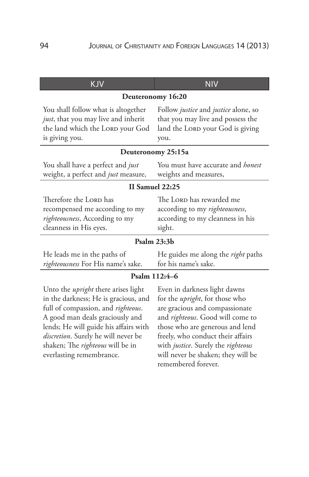| <b>KJV</b>                                                                                                                                                  | <b>NIV</b>                                                                                                                                   |  |  |  |
|-------------------------------------------------------------------------------------------------------------------------------------------------------------|----------------------------------------------------------------------------------------------------------------------------------------------|--|--|--|
| Deuteronomy 16:20                                                                                                                                           |                                                                                                                                              |  |  |  |
| You shall follow what is altogether<br>just, that you may live and inherit<br>the land which the LORD your God<br>is giving you.                            | Follow <i>justice</i> and <i>justice</i> alone, so<br>that you may live and possess the<br>land the LORD your God is giving<br>you.          |  |  |  |
|                                                                                                                                                             | Deuteronomy 25:15a                                                                                                                           |  |  |  |
| You shall have a perfect and <i>just</i><br>weight, a perfect and just measure,                                                                             | You must have accurate and honest<br>weights and measures,                                                                                   |  |  |  |
|                                                                                                                                                             | <b>II Samuel 22:25</b>                                                                                                                       |  |  |  |
| Therefore the LORD has<br>recompensed me according to my<br>righteousness, According to my<br>cleanness in His eyes.                                        | The LORD has rewarded me<br>according to my righteousness,<br>according to my cleanness in his<br>sight.                                     |  |  |  |
| Psalm 23:3b                                                                                                                                                 |                                                                                                                                              |  |  |  |
| He leads me in the paths of<br>righteousness For His name's sake.                                                                                           | He guides me along the right paths<br>for his name's sake.                                                                                   |  |  |  |
| Psalm 112:4-6                                                                                                                                               |                                                                                                                                              |  |  |  |
| Unto the <i>upright</i> there arises light<br>in the darkness; He is gracious, and<br>full of compassion, and righteous.<br>A good man deals graciously and | Even in darkness light dawns<br>for the <i>upright</i> , for those who<br>are gracious and compassionate<br>and righteous. Good will come to |  |  |  |

A good man deals graciously and lends; He will guide his affairs with *discretion*. Surely he will never be shaken; The *righteous* will be in everlasting remembrance.

and *righteous*. Good will come to those who are generous and lend freely, who conduct their affairs with *justice*. Surely the *righteous* will never be shaken; they will be remembered forever.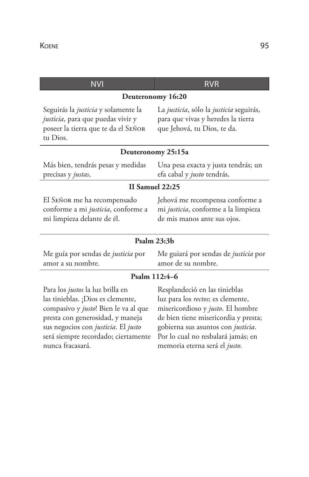| <b>NVI</b>                                                                                                                                                                                                                                          | <b>RVR</b>                                                                                                                                                                                                                                                   |  |  |  |  |
|-----------------------------------------------------------------------------------------------------------------------------------------------------------------------------------------------------------------------------------------------------|--------------------------------------------------------------------------------------------------------------------------------------------------------------------------------------------------------------------------------------------------------------|--|--|--|--|
| Deuteronomy 16:20                                                                                                                                                                                                                                   |                                                                                                                                                                                                                                                              |  |  |  |  |
| Seguirás la justicia y solamente la<br>justicia, para que puedas vivir y<br>poseer la tierra que te da el SEÑOR<br>tu Dios.                                                                                                                         | La justicia, sólo la justicia seguirás,<br>para que vivas y heredes la tierra<br>que Jehová, tu Dios, te da.                                                                                                                                                 |  |  |  |  |
|                                                                                                                                                                                                                                                     | Deuteronomy 25:15a                                                                                                                                                                                                                                           |  |  |  |  |
| Más bien, tendrás pesas y medidas<br>precisas y justas,                                                                                                                                                                                             | Una pesa exacta y justa tendrás; un<br>efa cabal y justo tendrás,                                                                                                                                                                                            |  |  |  |  |
| <b>II Samuel 22:25</b>                                                                                                                                                                                                                              |                                                                                                                                                                                                                                                              |  |  |  |  |
| El SEÑOR me ha recompensado<br>conforme a mi justicia, conforme a<br>mi limpieza delante de él.                                                                                                                                                     | Jehová me recompensa conforme a<br>mi justicia, conforme a la limpieza<br>de mis manos ante sus ojos.                                                                                                                                                        |  |  |  |  |
| Psalm 23:3b                                                                                                                                                                                                                                         |                                                                                                                                                                                                                                                              |  |  |  |  |
| Me guía por sendas de justicia por<br>amor a su nombre.                                                                                                                                                                                             | Me guiará por sendas de justicia por<br>amor de su nombre.                                                                                                                                                                                                   |  |  |  |  |
|                                                                                                                                                                                                                                                     | Psalm 112:4-6                                                                                                                                                                                                                                                |  |  |  |  |
| Para los justos la luz brilla en<br>las tinieblas. ¡Dios es clemente,<br>compasivo y justo! Bien le va al que<br>presta con generosidad, y maneja<br>sus negocios con justicia. El justo<br>será siempre recordado; ciertamente<br>nunca fracasará. | Resplandeció en las tinieblas<br>luz para los rectos; es clemente,<br>misericordioso y justo. El hombre<br>de bien tiene misericordia y presta;<br>gobierna sus asuntos con justicia.<br>Por lo cual no resbalará jamás; en<br>memoria eterna será el justo. |  |  |  |  |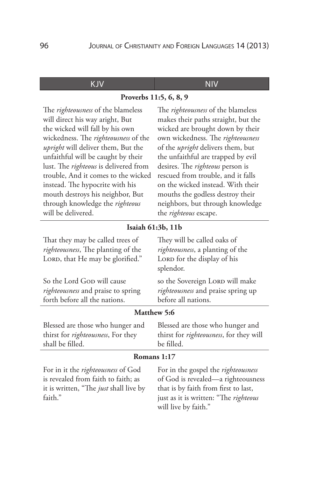| KJV                                                                                                                                                                                                                                                                                                                                                                                                                                                               | NIV                                                                                                                                                                                                                                                                                                                                                                                                                                                                |  |  |  |
|-------------------------------------------------------------------------------------------------------------------------------------------------------------------------------------------------------------------------------------------------------------------------------------------------------------------------------------------------------------------------------------------------------------------------------------------------------------------|--------------------------------------------------------------------------------------------------------------------------------------------------------------------------------------------------------------------------------------------------------------------------------------------------------------------------------------------------------------------------------------------------------------------------------------------------------------------|--|--|--|
| Proverbs 11:5, 6, 8, 9                                                                                                                                                                                                                                                                                                                                                                                                                                            |                                                                                                                                                                                                                                                                                                                                                                                                                                                                    |  |  |  |
| The <i>righteousness</i> of the blameless<br>will direct his way aright, But<br>the wicked will fall by his own<br>wickedness. The righteousness of the<br><i>upright</i> will deliver them, But the<br>unfaithful will be caught by their<br>lust. The <i>righteous</i> is delivered from<br>trouble, And it comes to the wicked<br>instead. The hypocrite with his<br>mouth destroys his neighbor, But<br>through knowledge the righteous<br>will be delivered. | The righteousness of the blameless<br>makes their paths straight, but the<br>wicked are brought down by their<br>own wickedness. The righteousness<br>of the <i>upright</i> delivers them, but<br>the unfaithful are trapped by evil<br>desires. The <i>righteous</i> person is<br>rescued from trouble, and it falls<br>on the wicked instead. With their<br>mouths the godless destroy their<br>neighbors, but through knowledge<br>the <i>righteous</i> escape. |  |  |  |
| Isaiah 61:3b, 11b                                                                                                                                                                                                                                                                                                                                                                                                                                                 |                                                                                                                                                                                                                                                                                                                                                                                                                                                                    |  |  |  |
| That they may be called trees of<br>righteousness, The planting of the<br>LORD, that He may be glorified."                                                                                                                                                                                                                                                                                                                                                        | They will be called oaks of<br><i>righteousness</i> , a planting of the<br>LORD for the display of his<br>splendor.                                                                                                                                                                                                                                                                                                                                                |  |  |  |
| So the Lord Gop will cause<br><i>righteousness</i> and praise to spring                                                                                                                                                                                                                                                                                                                                                                                           | so the Sovereign LORD will make<br><i>righteousness</i> and praise spring up                                                                                                                                                                                                                                                                                                                                                                                       |  |  |  |

**Matthew 5:6**

before all nations.

Blessed are those who hunger and thirst for *righteousness*, For they shall be filled.

forth before all the nations.

Blessed are those who hunger and thirst for *righteousness*, for they will be filled.

#### **Romans 1:17**

For in it the *righteousness* of God is revealed from faith to faith; as it is written, "The *just* shall live by faith."

For in the gospel the *righteousness* of God is revealed—a righteousness that is by faith from first to last, just as it is written: "The *righteous* will live by faith."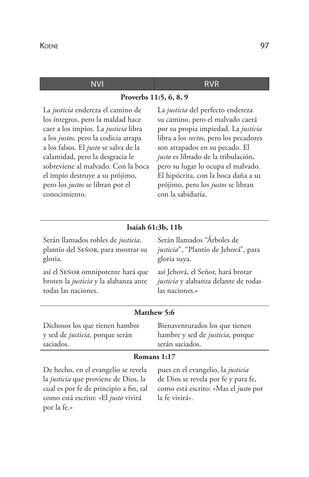#### NVI R

**Proverbs 11:5, 6, 8, 9**

La *justicia* endereza el camino de los íntegros, pero la maldad hace caer a los impíos. La *justicia* libra a los *justos*, pero la codicia atrapa a los falsos. El *justo* se salva de la calamidad, pero la desgracia le sobreviene al malvado. Con la boca el impío destruye a su prójimo, pero los *justos* se libran por el conocimiento.

La *justicia* del perfecto endereza su camino, pero el malvado caerá por su propia impiedad. La *justicia* libra a los *rectos*, pero los pecadores son atrapados en su pecado. El *justo* es librado de la tribulación, pero su lugar lo ocupa el malvado. El hipócrita, con la boca daña a su prójimo, pero los *justos* se libran con la sabiduría.

#### **Isaiah 61:3b, 11b**

Serán llamados robles de *justicia*, plantío del Señor, para mostrar su gloria.

así el Señor omnipotente hará que broten la *justicia* y la alabanza ante todas las naciones.

Serán llamados "Árboles de *justicia*", "Plantío de Jehová", para gloria suya.

así Jehová, el Señor, hará brotar *justicia* y alabanza delante de todas las naciones.»

#### **Matthew 5:6**

Dichosos los que tienen hambre y sed de *justicia*, porque serán saciados.

Bienaventurados los que tienen hambre y sed de *justicia*, porque serán saciados.

#### **Romans 1:17**

De hecho, en el evangelio se revela la *justicia* que proviene de Dios, la cual es por fe de principio a fin, tal como está escrito: «El *justo* vivirá por la fe.»

pues en el evangelio, la *justicia* de Dios se revela por fe y para fe, como está escrito: «Mas el *justo* por la fe vivirá».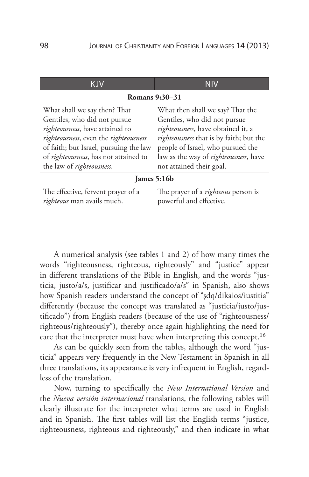| K IV                                                                                                                                                                                                                                                     |                                                                                                                                                                                                                                                             |  |  |  |
|----------------------------------------------------------------------------------------------------------------------------------------------------------------------------------------------------------------------------------------------------------|-------------------------------------------------------------------------------------------------------------------------------------------------------------------------------------------------------------------------------------------------------------|--|--|--|
| <b>Romans</b> 9:30–31                                                                                                                                                                                                                                    |                                                                                                                                                                                                                                                             |  |  |  |
| What shall we say then? That<br>Gentiles, who did not pursue<br>righteousness, have attained to<br>righteousness, even the righteousness<br>of faith; but Israel, pursuing the law<br>of righteousness, has not attained to<br>the law of righteousness. | What then shall we say? That the<br>Gentiles, who did not pursue<br>righteousness, have obtained it, a<br>righteousness that is by faith; but the<br>people of Israel, who pursued the<br>law as the way of righteousness, have<br>not attained their goal. |  |  |  |
| James 5:16b                                                                                                                                                                                                                                              |                                                                                                                                                                                                                                                             |  |  |  |
| The effective, fervent prayer of a<br>righteous man avails much.                                                                                                                                                                                         | The prayer of a <i>righteous</i> person is<br>powerful and effective.                                                                                                                                                                                       |  |  |  |

A numerical analysis (see tables 1 and 2) of how many times the words "righteousness, righteous, righteously" and "justice" appear in different translations of the Bible in English, and the words "justicia, justo/a/s, justificar and justificado/a/s" in Spanish, also shows how Spanish readers understand the concept of "şdq/dikaios/iustitia" differently (because the concept was translated as "justicia/justo/justificado") from English readers (because of the use of "righteousness/ righteous/righteously"), thereby once again highlighting the need for care that the interpreter must have when interpreting this concept.<sup>16</sup>

As can be quickly seen from the tables, although the word "justicia" appears very frequently in the New Testament in Spanish in all three translations, its appearance is very infrequent in English, regardless of the translation.

Now, turning to specifically the *New International Version* and the *Nueva versión internacional* translations, the following tables will clearly illustrate for the interpreter what terms are used in English and in Spanish. The first tables will list the English terms "justice, righteousness, righteous and righteously," and then indicate in what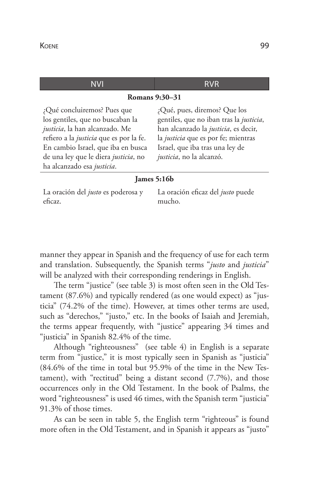eficaz.

| NVI                                                                                                                                                                                                                                                      | RVR                                                                                                                                                                                                                   |  |  |  |
|----------------------------------------------------------------------------------------------------------------------------------------------------------------------------------------------------------------------------------------------------------|-----------------------------------------------------------------------------------------------------------------------------------------------------------------------------------------------------------------------|--|--|--|
| Romans 9:30–31                                                                                                                                                                                                                                           |                                                                                                                                                                                                                       |  |  |  |
| ¿Qué concluiremos? Pues que<br>los gentiles, que no buscaban la<br>justicia, la han alcanzado. Me<br>refiero a la justicia que es por la fe.<br>En cambio Israel, que iba en busca<br>de una ley que le diera justicia, no<br>ha alcanzado esa justicia. | ¿Qué, pues, diremos? Que los<br>gentiles, que no iban tras la justicia,<br>han alcanzado la justicia, es decir,<br>la justicia que es por fe; mientras<br>Israel, que iba tras una ley de<br>justicia, no la alcanzó. |  |  |  |
| James $5:16b$                                                                                                                                                                                                                                            |                                                                                                                                                                                                                       |  |  |  |
| La oración del justo es poderosa y                                                                                                                                                                                                                       | La oración eficaz del justo puede                                                                                                                                                                                     |  |  |  |

manner they appear in Spanish and the frequency of use for each term and translation. Subsequently, the Spanish terms "*justo* and *justicia*" will be analyzed with their corresponding renderings in English.

mucho.

The term "justice" (see table 3) is most often seen in the Old Testament (87.6%) and typically rendered (as one would expect) as "justicia" (74.2% of the time). However, at times other terms are used, such as "derechos," "justo," etc. In the books of Isaiah and Jeremiah, the terms appear frequently, with "justice" appearing 34 times and "justicia" in Spanish 82.4% of the time.

Although "righteousness" (see table 4) in English is a separate term from "justice," it is most typically seen in Spanish as "justicia" (84.6% of the time in total but 95.9% of the time in the New Testament), with "rectitud" being a distant second (7.7%), and those occurrences only in the Old Testament. In the book of Psalms, the word "righteousness" is used 46 times, with the Spanish term "justicia" 91.3% of those times.

As can be seen in table 5, the English term "righteous" is found more often in the Old Testament, and in Spanish it appears as "justo"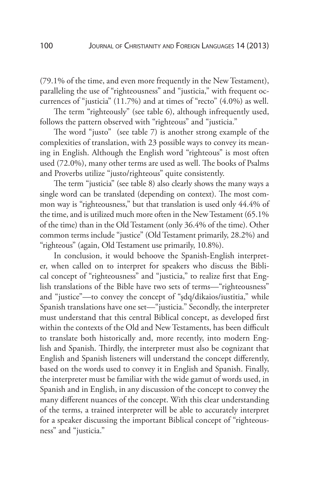(79.1% of the time, and even more frequently in the New Testament), paralleling the use of "righteousness" and "justicia," with frequent occurrences of "justicia" (11.7%) and at times of "recto" (4.0%) as well.

The term "righteously" (see table 6), although infrequently used, follows the pattern observed with "righteous" and "justicia."

The word "justo" (see table 7) is another strong example of the complexities of translation, with 23 possible ways to convey its meaning in English. Although the English word "righteous" is most often used (72.0%), many other terms are used as well. The books of Psalms and Proverbs utilize "justo/righteous" quite consistently.

The term "justicia" (see table 8) also clearly shows the many ways a single word can be translated (depending on context). The most common way is "righteousness," but that translation is used only 44.4% of the time, and is utilized much more often in the New Testament (65.1% of the time) than in the Old Testament (only 36.4% of the time). Other common terms include "justice" (Old Testament primarily, 28.2%) and "righteous" (again, Old Testament use primarily, 10.8%).

In conclusion, it would behoove the Spanish-English interpreter, when called on to interpret for speakers who discuss the Biblical concept of "righteousness" and "justicia," to realize first that English translations of the Bible have two sets of terms—"righteousness" and "justice"—to convey the concept of "şdq/dikaios/iustitia," while Spanish translations have one set—"justicia." Secondly, the interpreter must understand that this central Biblical concept, as developed first within the contexts of the Old and New Testaments, has been difficult to translate both historically and, more recently, into modern English and Spanish. Thirdly, the interpreter must also be cognizant that English and Spanish listeners will understand the concept differently, based on the words used to convey it in English and Spanish. Finally, the interpreter must be familiar with the wide gamut of words used, in Spanish and in English, in any discussion of the concept to convey the many different nuances of the concept. With this clear understanding of the terms, a trained interpreter will be able to accurately interpret for a speaker discussing the important Biblical concept of "righteousness" and "justicia."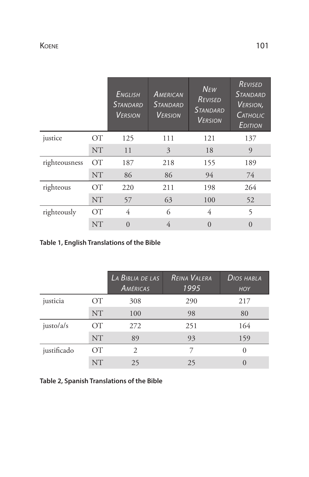|               |                 | <b>ENGLISH</b><br><b>STANDARD</b><br><b>VERSION</b> | AMERICAN<br><b>STANDARD</b><br><b>VERSION</b> | <b>NEW</b><br>REVISED<br><b>STANDARD</b><br><b>VERSION</b> | REVISED<br><b>STANDARD</b><br>VERSION,<br>CATHOLIC<br>EDITION |
|---------------|-----------------|-----------------------------------------------------|-----------------------------------------------|------------------------------------------------------------|---------------------------------------------------------------|
| justice       | <b>OT</b>       | 125                                                 | 111                                           | 121                                                        | 137                                                           |
|               | <b>NT</b>       | 11                                                  | 3                                             | 18                                                         | 9                                                             |
| righteousness | $\overline{OT}$ | 187                                                 | 218                                           | 155                                                        | 189                                                           |
|               | <b>NT</b>       | 86                                                  | 86                                            | 94                                                         | 74                                                            |
| righteous     | $\overline{OT}$ | 220                                                 | 211                                           | 198                                                        | 264                                                           |
|               | <b>NT</b>       | 57                                                  | 63                                            | 100                                                        | 52                                                            |
| righteously   | $\overline{OT}$ | 4                                                   | 6                                             | 4                                                          | 5                                                             |
|               | <b>NT</b>       | $\overline{0}$                                      | 4                                             | $\Omega$                                                   | $\Omega$                                                      |

**Table 1, English Translations of the Bible**

|             |           | LA BIBLIA DE LAS<br>AMÉRICAS | <b>REINA VALERA</b><br>1995 | DIOS HABLA<br><b>HOY</b> |
|-------------|-----------|------------------------------|-----------------------------|--------------------------|
| justicia    | ОТ        | 308                          | 290                         | 217                      |
|             | <b>NT</b> | 100                          | 98                          | 80                       |
| justo/a/s   | <b>OT</b> | 272                          | 251                         | 164                      |
|             | <b>NT</b> | 89                           | 93                          | 159                      |
| justificado | <b>OT</b> | $\mathcal{D}_{\cdot}$        |                             | $\Omega$                 |
|             | <b>NT</b> | 25                           | 25                          | $\left( \right)$         |

**Table 2, Spanish Translations of the Bible**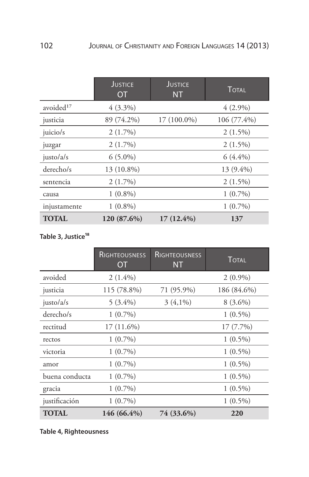|                       | <b>JUSTICE</b><br><b>OT</b> | <b>JUSTICE</b><br><b>NT</b> | <b>TOTAL</b> |
|-----------------------|-----------------------------|-----------------------------|--------------|
| avoided <sup>17</sup> | $4(3.3\%)$                  |                             | $4(2.9\%)$   |
| justicia              | 89 (74.2%)                  | $17(100.0\%)$               | 106 (77.4%)  |
| juicio/s              | $2(1.7\%)$                  |                             | $2(1.5\%)$   |
| juzgar                | $2(1.7\%)$                  |                             | $2(1.5\%)$   |
| justo/a/s             | $6(5.0\%)$                  |                             | $6(4.4\%)$   |
| derecho/s             | 13 (10.8%)                  |                             | $13(9.4\%)$  |
| sentencia             | $2(1.7\%)$                  |                             | $2(1.5\%)$   |
| causa                 | $1(0.8\%)$                  |                             | $1(0.7\%)$   |
| injustamente          | $1(0.8\%)$                  |                             | $1(0.7\%)$   |
| <b>TOTAL</b>          | 120 (87.6%)                 | $17(12.4\%)$                | 137          |

### Table 3, Justice<sup>18</sup>

|                | <b>RIGHTEOUSNESS</b><br>0T | RIGHTEOUSNESS<br><b>NT</b> | <b>TOTAL</b> |
|----------------|----------------------------|----------------------------|--------------|
| avoided        | $2(1.4\%)$                 |                            | $2(0.9\%)$   |
| justicia       | 115 (78.8%)                | 71 (95.9%)                 | 186 (84.6%)  |
| justo/a/s      | $5(3.4\%)$                 | $3(4,1\%)$                 | $8(3.6\%)$   |
| derecho/s      | $1(0.7\%)$                 |                            | $1(0.5\%)$   |
| rectitud       | $17(11.6\%)$               |                            | 17 (7.7%)    |
| rectos         | $1(0.7\%)$                 |                            | $1(0.5\%)$   |
| victoria       | $1(0.7\%)$                 |                            | $1(0.5\%)$   |
| amor           | $1(0.7\%)$                 |                            | $1(0.5\%)$   |
| buena conducta | $1(0.7\%)$                 |                            | $1(0.5\%)$   |
| gracia         | $1(0.7\%)$                 |                            | $1(0.5\%)$   |
| justificación  | $1(0.7\%)$                 |                            | $1(0.5\%)$   |
| <b>TOTAL</b>   | $146(66.4\%)$              | 74 (33.6%)                 | 220          |

### **Table 4, Righteousness**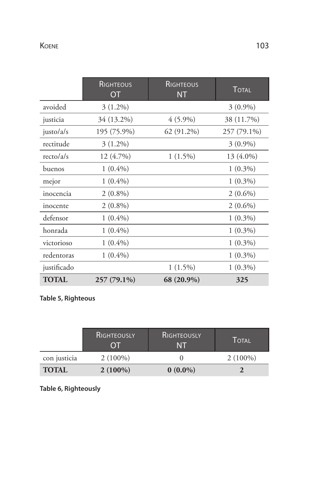|              | <b>RIGHTEOUS</b><br><b>OT</b> | RIGHTEOUS<br><b>NT</b> | <b>TOTAL</b> |
|--------------|-------------------------------|------------------------|--------------|
| avoided      | $3(1.2\%)$                    |                        | $3(0.9\%)$   |
| justicia     | 34 (13.2%)                    | $4(5.9\%)$             | 38 (11.7%)   |
| justo/a/s    | 195 (75.9%)                   | 62 (91.2%)             | 257 (79.1%)  |
| rectitude    | $3(1.2\%)$                    |                        | $3(0.9\%)$   |
| recto/a/s    | 12 (4.7%)                     | $1(1.5\%)$             | 13 (4.0%)    |
| buenos       | $1(0.4\%)$                    |                        | $1(0.3\%)$   |
| mejor        | $1(0.4\%)$                    |                        | $1(0.3\%)$   |
| inocencia    | $2(0.8\%)$                    |                        | $2(0.6\%)$   |
| inocente     | $2(0.8\%)$                    |                        | $2(0.6\%)$   |
| defensor     | $1(0.4\%)$                    |                        | $1(0.3\%)$   |
| honrada      | $1(0.4\%)$                    |                        | $1(0.3\%)$   |
| victorioso   | $1(0.4\%)$                    |                        | $1(0.3\%)$   |
| redentoras   | $1(0.4\%)$                    |                        | $1(0.3\%)$   |
| justificado  |                               | $1(1.5\%)$             | $1(0.3\%)$   |
| <b>TOTAL</b> | 257 (79.1%)                   | 68 (20.9%)             | 325          |

### **Table 5, Righteous**

|              | <b>RIGHTEOUSLY</b><br>OT | <b>RIGHTEOUSLY</b><br>NT | TOTAL      |
|--------------|--------------------------|--------------------------|------------|
| con justicia | $2(100\%)$               |                          | $2(100\%)$ |
| <b>TOTAL</b> | $2(100\%)$               | $0(0.0\%)$               |            |

### **Table 6, Righteously**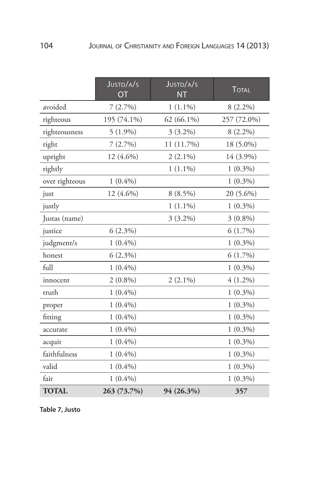|                | JUSTO/A/S<br><b>OT</b> | JUSTO/A/S<br><b>NT</b> | <b>TOTAL</b> |
|----------------|------------------------|------------------------|--------------|
| avoided        | 7(2.7%)                | $1(1.1\%)$             | $8(2.2\%)$   |
| righteous      | 195 (74.1%)            | 62 (66.1%)             | 257 (72.0%)  |
| righteousness  | $5(1.9\%)$             | $3(3.2\%)$             | $8(2.2\%)$   |
| right          | 7(2.7%)                | 11 (11.7%)             | 18 (5.0%)    |
| upright        | 12 (4.6%)              | $2(2.1\%)$             | 14 (3.9%)    |
| rightly        |                        | $1(1.1\%)$             | $1(0.3\%)$   |
| over righteous | $1(0.4\%)$             |                        | $1(0.3\%)$   |
| just           | 12 (4.6%)              | $8(8.5\%)$             | 20 (5.6%)    |
| justly         |                        | $1(1.1\%)$             | $1(0.3\%)$   |
| Justas (name)  |                        | $3(3.2\%)$             | $3(0.8\%)$   |
| justice        | $6(2.3\%)$             |                        | $6(1.7\%)$   |
| judgment/s     | $1(0.4\%)$             |                        | $1(0.3\%)$   |
| honest         | $6(2.3\%)$             |                        | $6(1.7\%)$   |
| $fu$ ll        | $1(0.4\%)$             |                        | $1(0.3\%)$   |
| innocent       | $2(0.8\%)$             | $2(2.1\%)$             | $4(1.2\%)$   |
| truth          | $1(0.4\%)$             |                        | $1(0.3\%)$   |
| proper         | $1(0.4\%)$             |                        | $1(0.3\%)$   |
| fitting        | $1(0.4\%)$             |                        | $1(0.3\%)$   |
| accurate       | $1(0.4\%)$             |                        | $1(0.3\%)$   |
| acquit         | $1(0.4\%)$             |                        | $1(0.3\%)$   |
| faithfulness   | $1(0.4\%)$             |                        | $1(0.3\%)$   |
| valid          | $1(0.4\%)$             |                        | $1(0.3\%)$   |
| fair           | $1(0.4\%)$             |                        | $1(0.3\%)$   |
| <b>TOTAL</b>   | 263 (73.7%)            | 94 (26.3%)             | 357          |

**Table 7, Justo**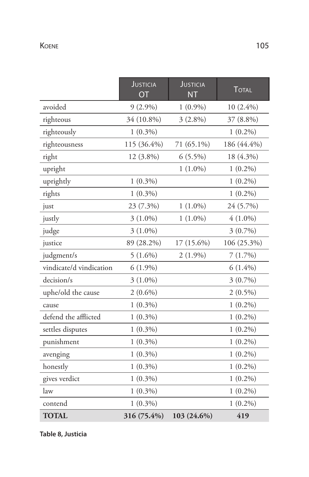|                         | <b>JUSTICIA</b><br>OT | <b>JUSTICIA</b><br><b>NT</b> | <b>TOTAL</b> |
|-------------------------|-----------------------|------------------------------|--------------|
| avoided                 | $9(2.9\%)$            | $1(0.9\%)$                   | $10(2.4\%)$  |
| righteous               | 34 (10.8%)            | $3(2.8\%)$                   | 37 (8.8%)    |
| righteously             | $1(0.3\%)$            |                              | $1(0.2\%)$   |
| righteousness           | 115 (36.4%)           | 71 (65.1%)                   | 186 (44.4%)  |
| right                   | 12 (3.8%)             | $6(5.5\%)$                   | 18 (4.3%)    |
| upright                 |                       | $1(1.0\%)$                   | $1(0.2\%)$   |
| uprightly               | $1(0.3\%)$            |                              | $1(0.2\%)$   |
| rights                  | $1(0.3\%)$            |                              | $1(0.2\%)$   |
| just                    | 23 (7.3%)             | $1(1.0\%)$                   | 24 (5.7%)    |
| justly                  | $3(1.0\%)$            | $1(1.0\%)$                   | $4(1.0\%)$   |
| judge                   | $3(1.0\%)$            |                              | $3(0.7\%)$   |
| justice                 | 89 (28.2%)            | 17 (15.6%)                   | 106 (25.3%)  |
| judgment/s              | $5(1.6\%)$            | $2(1.9\%)$                   | 7(1.7%)      |
| vindicate/d vindication | $6(1.9\%)$            |                              | $6(1.4\%)$   |
| decision/s              | $3(1.0\%)$            |                              | $3(0.7\%)$   |
| uphe/old the cause      | $2(0.6\%)$            |                              | $2(0.5\%)$   |
| cause                   | $1(0.3\%)$            |                              | $1(0.2\%)$   |
| defend the afflicted    | $1(0.3\%)$            |                              | $1(0.2\%)$   |
| settles disputes        | $1(0.3\%)$            |                              | $1(0.2\%)$   |
| punishment              | $1(0.3\%)$            |                              | $1(0.2\%)$   |
| avenging                | $1(0.3\%)$            |                              | $1(0.2\%)$   |
| honestly                | $1(0.3\%)$            |                              | $1(0.2\%)$   |
| gives verdict           | $1(0.3\%)$            |                              | $1(0.2\%)$   |
| law                     | $1(0.3\%)$            |                              | $1(0.2\%)$   |
| contend                 | $1(0.3\%)$            |                              | $1(0.2\%)$   |
| <b>TOTAL</b>            | 316 (75.4%)           | 103 (24.6%)                  | 419          |

**Table 8, Justicia**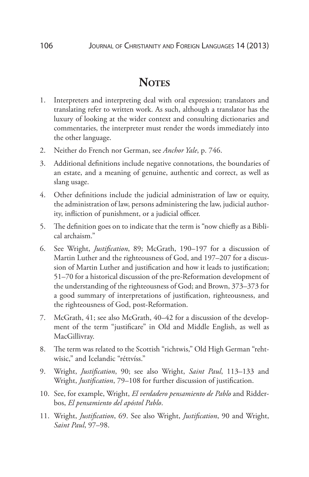# **Notes**

- 1. Interpreters and interpreting deal with oral expression; translators and translating refer to written work. As such, although a translator has the luxury of looking at the wider context and consulting dictionaries and commentaries, the interpreter must render the words immediately into the other language.
- 2. Neither do French nor German, see *Anchor Yale*, p. 746.
- 3. Additional definitions include negative connotations, the boundaries of an estate, and a meaning of genuine, authentic and correct, as well as slang usage.
- 4. Other definitions include the judicial administration of law or equity, the administration of law, persons administering the law, judicial authority, infliction of punishment, or a judicial officer.
- 5. The definition goes on to indicate that the term is "now chiefly as a Biblical archaism."
- 6. See Wright, *Justification*, 89; McGrath, 190–197 for a discussion of Martin Luther and the righteousness of God, and 197–207 for a discussion of Martin Luther and justification and how it leads to justification; 51–70 for a historical discussion of the pre-Reformation development of the understanding of the righteousness of God; and Brown, 373–373 for a good summary of interpretations of justification, righteousness, and the righteousness of God, post-Reformation.
- 7. McGrath, 41; see also McGrath, 40–42 for a discussion of the development of the term "justificare" in Old and Middle English, as well as MacGillivray.
- 8. The term was related to the Scottish "richtwis," Old High German "rehtwīsic," and Icelandic "réttvíss."
- 9. Wright, *Justification*, 90; see also Wright, *Saint Paul*, 113–133 and Wright, *Justification*, 79–108 for further discussion of justification.
- 10. See, for example, Wright, *El verdadero pensamiento de Pablo* and Ridderbos, *El pensamiento del apóstol Pablo*.
- 11. Wright, *Justification*, 69. See also Wright, *Justification*, 90 and Wright, *Saint Paul*, 97–98.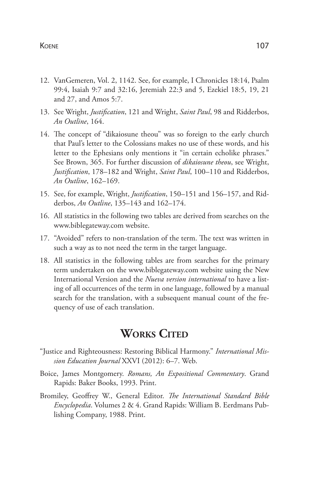#### Koene 107

- 12. VanGemeren, Vol. 2, 1142. See, for example, I Chronicles 18:14, Psalm 99:4, Isaiah 9:7 and 32:16, Jeremiah 22:3 and 5, Ezekiel 18:5, 19, 21 and 27, and Amos 5:7.
- 13. See Wright, *Justification*, 121 and Wright, *Saint Paul*, 98 and Ridderbos, *An Outline*, 164.
- 14. The concept of "dikaiosune theou" was so foreign to the early church that Paul's letter to the Colossians makes no use of these words, and his letter to the Ephesians only mentions it "in certain echolike phrases." See Brown, 365. For further discussion of *dikaiosune theou*, see Wright, *Justification*, 178–182 and Wright, *Saint Paul*, 100–110 and Ridderbos, *An Outline*, 162–169.
- 15. See, for example, Wright, *Justification*, 150–151 and 156–157, and Ridderbos, *An Outline*, 135–143 and 162–174.
- 16. All statistics in the following two tables are derived from searches on the www.biblegateway.com website.
- 17. "Avoided" refers to non-translation of the term. The text was written in such a way as to not need the term in the target language.
- 18. All statistics in the following tables are from searches for the primary term undertaken on the www.biblegateway.com website using the New International Version and the *Nueva version international* to have a listing of all occurrences of the term in one language, followed by a manual search for the translation, with a subsequent manual count of the frequency of use of each translation.

## **WORKS CITED**

- "Justice and Righteousness: Restoring Biblical Harmony." *International Mission Education Journal* XXVI (2012): 6–7. Web.
- Boice, James Montgomery. *Romans, An Expositional Commentary*. Grand Rapids: Baker Books, 1993. Print.
- Bromiley, Geoffrey W., General Editor. *The International Standard Bible Encyclopedia*. Volumes 2 & 4. Grand Rapids: William B. Eerdmans Publishing Company, 1988. Print.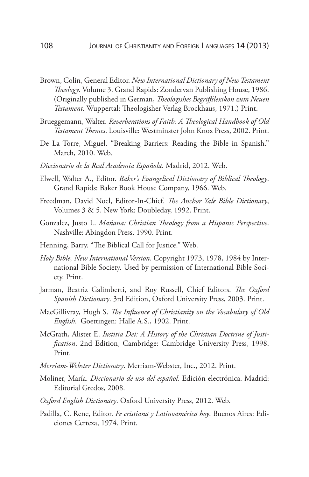- Brown, Colin, General Editor. *New International Dictionary of New Testament Theology*. Volume 3. Grand Rapids: Zondervan Publishing House, 1986. (Originally published in German, *Theologishes Begriffslexikon zum Neuen Testament*. Wuppertal: Theologisher Verlag Brockhaus, 1971.) Print.
- Brueggemann, Walter. *Reverberations of Faith: A Theological Handbook of Old Testament Themes*. Louisville: Westminster John Knox Press, 2002. Print.
- De La Torre, Miguel. "Breaking Barriers: Reading the Bible in Spanish." March, 2010. Web.
- *Diccionario de la Real Academia Española*. Madrid, 2012. Web.
- Elwell, Walter A., Editor. *Baker's Evangelical Dictionary of Biblical Theology*. Grand Rapids: Baker Book House Company, 1966. Web.
- Freedman, David Noel, Editor-In-Chief. *The Anchor Yale Bible Dictionary*, Volumes 3 & 5. New York: Doubleday, 1992. Print.
- Gonzalez, Justo L. *Mañana: Christian Theology from a Hispanic Perspective*. Nashville: Abingdon Press, 1990. Print.
- Henning, Barry. "The Biblical Call for Justice." Web.
- *Holy Bible, New International Version*. Copyright 1973, 1978, 1984 by International Bible Society. Used by permission of International Bible Society. Print.
- Jarman, Beatriz Galimberti, and Roy Russell, Chief Editors. *The Oxford Spanish Dictionary*. 3rd Edition, Oxford University Press, 2003. Print.
- MacGillivray, Hugh S. *The Influence of Christianity on the Vocabulary of Old English*. Goettingen: Halle A.S., 1902. Print.
- McGrath, Alister E. *Iustitia Dei: A History of the Christian Doctrine of Justification*. 2nd Edition, Cambridge: Cambridge University Press, 1998. Print.
- *Merriam-Webster Dictionary*. Merriam-Webster, Inc., 2012. Print.
- Moliner, María. *Diccionario de uso del español*. Edición electrónica. Madrid: Editorial Gredos, 2008.
- *Oxford English Dictionary*. Oxford University Press, 2012. Web.
- Padilla, C. Rene, Editor. *Fe cristiana y Latinoamérica hoy*. Buenos Aires: Ediciones Certeza, 1974. Print.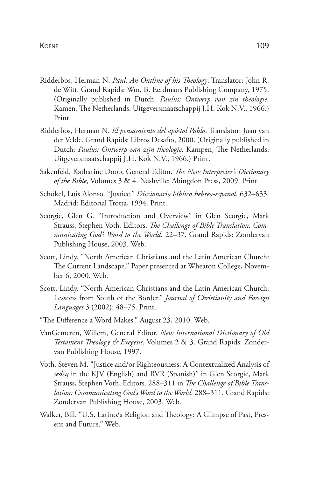- Ridderbos, Herman N. *Paul: An Outline of his Theology*. Translator: John R. de Witt. Grand Rapids: Wm. B. Eerdmans Publishing Company, 1975. (Originally published in Dutch: *Paulus: Ontwerp van zin theologie*. Kamen, The Netherlands: Uitgeversmaatschappij J.H. Kok N.V., 1966.) Print.
- Ridderbos, Herman N. *El pensamiento del apóstol Pablo*. Translator: Juan van der Velde. Grand Rapids: Libros Desafío, 2000. (Originally published in Dutch: *Paulus: Ontwerp van zijn theologie*. Kampen, The Netherlands: Uitgeversmaatschappij J.H. Kok N.V., 1966.) Print.
- Sakenfeld, Katharine Doob, General Editor. *The New Interpreter's Dictionary of the Bible*, Volumes 3 & 4. Nashville: Abingdon Press, 2009. Print.
- Schökel, Luis Alonso. "Justice." *Diccionario bíblico hebreo-español*. 632–633. Madrid: Editorial Trotta, 1994. Print.
- Scorgie, Glen G. "Introduction and Overview" in Glen Scorgie, Mark Strauss, Stephen Voth, Editors. *The Challenge of Bible Translation: Communicating God's Word to the World*. 22–37. Grand Rapids: Zondervan Publishing House, 2003. Web.
- Scott, Lindy. "North American Christians and the Latin American Church: The Current Landscape." Paper presented at Wheaton College, November 6, 2000. Web.
- Scott, Lindy. "North American Christians and the Latin American Church: Lessons from South of the Border." *Journal of Christianity and Foreign Languages* 3 (2002): 48–75. Print.
- "The Difference a Word Makes." August 23, 2010. Web.
- VanGemeren, Willem, General Editor. *New International Dictionary of Old Testament Theology & Exegesis*. Volumes 2 & 3. Grand Rapids: Zondervan Publishing House, 1997.
- Voth, Steven M. "Justice and/or Righteousness: A Contextualized Analysis of *sedeq* in the KJV (English) and RVR (Spanish)" in Glen Scorgie, Mark Strauss, Stephen Voth, Editors. 288–311 in *The Challenge of Bible Translation: Communicating God's Word to the World*. 288–311. Grand Rapids: Zondervan Publishing House, 2003. Web.
- Walker, Bill. "U.S. Latino/a Religion and Theology: A Glimpse of Past, Present and Future." Web.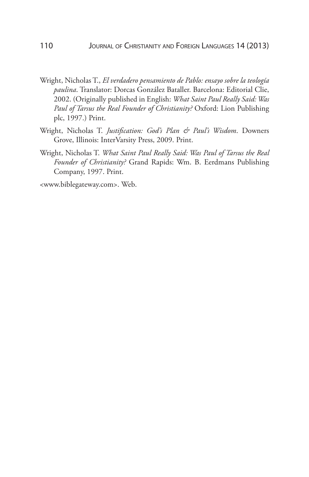- Wright, Nicholas T., *El verdadero pensamiento de Pablo: ensayo sobre la teología paulina*. Translator: Dorcas González Bataller. Barcelona: Editorial Clie, 2002. (Originally published in English: *What Saint Paul Really Said: Was Paul of Tarsus the Real Founder of Christianity?* Oxford: Lion Publishing plc, 1997.) Print.
- Wright, Nicholas T. *Justification: God's Plan & Paul's Wisdom*. Downers Grove, Illinois: InterVarsity Press, 2009. Print.
- Wright, Nicholas T. *What Saint Paul Really Said: Was Paul of Tarsus the Real Founder of Christianity?* Grand Rapids: Wm. B. Eerdmans Publishing Company, 1997. Print.

<www.biblegateway.com>. Web.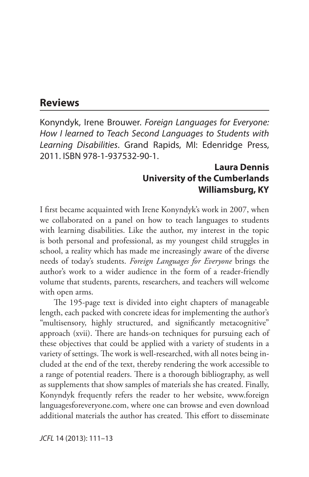#### **Reviews**

Konyndyk, Irene Brouwer. *Foreign Languages for Everyone: How I learned to Teach Second Languages to Students with Learning Disabilities*. Grand Rapids, MI: Edenridge Press, 2011. ISBN 978-1-937532-90-1.

#### **Laura Dennis University of the Cumberlands Williamsburg, KY**

I first became acquainted with Irene Konyndyk's work in 2007, when we collaborated on a panel on how to teach languages to students with learning disabilities. Like the author, my interest in the topic is both personal and professional, as my youngest child struggles in school, a reality which has made me increasingly aware of the diverse needs of today's students. *Foreign Languages for Everyone* brings the author's work to a wider audience in the form of a reader-friendly volume that students, parents, researchers, and teachers will welcome with open arms.

The 195-page text is divided into eight chapters of manageable length, each packed with concrete ideas for implementing the author's "multisensory, highly structured, and significantly metacognitive" approach (xvii). There are hands-on techniques for pursuing each of these objectives that could be applied with a variety of students in a variety of settings. The work is well-researched, with all notes being included at the end of the text, thereby rendering the work accessible to a range of potential readers. There is a thorough bibliography, as well as supplements that show samples of materials she has created. Finally, Konyndyk frequently refers the reader to her website, www.foreign languagesforeveryone.com, where one can browse and even download additional materials the author has created. This effort to disseminate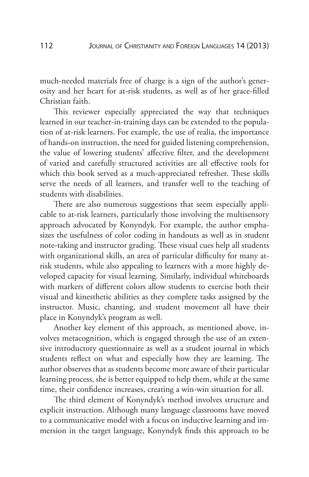much-needed materials free of charge is a sign of the author's generosity and her heart for at-risk students, as well as of her grace-filled Christian faith.

This reviewer especially appreciated the way that techniques learned in our teacher-in-training days can be extended to the population of at-risk learners. For example, the use of realia, the importance of hands-on instruction, the need for guided listening comprehension, the value of lowering students' affective filter, and the development of varied and carefully structured activities are all effective tools for which this book served as a much-appreciated refresher. These skills serve the needs of all learners, and transfer well to the teaching of students with disabilities.

There are also numerous suggestions that seem especially applicable to at-risk learners, particularly those involving the multisensory approach advocated by Konyndyk. For example, the author emphasizes the usefulness of color coding in handouts as well as in student note-taking and instructor grading. These visual cues help all students with organizational skills, an area of particular difficulty for many atrisk students, while also appealing to learners with a more highly developed capacity for visual learning. Similarly, individual whiteboards with markers of different colors allow students to exercise both their visual and kinesthetic abilities as they complete tasks assigned by the instructor. Music, chanting, and student movement all have their place in Konyndyk's program as well.

Another key element of this approach, as mentioned above, involves metacognition, which is engaged through the use of an extensive introductory questionnaire as well as a student journal in which students reflect on what and especially how they are learning. The author observes that as students become more aware of their particular learning process, she is better equipped to help them, while at the same time, their confidence increases, creating a win-win situation for all.

The third element of Konyndyk's method involves structure and explicit instruction. Although many language classrooms have moved to a communicative model with a focus on inductive learning and immersion in the target language, Konyndyk finds this approach to be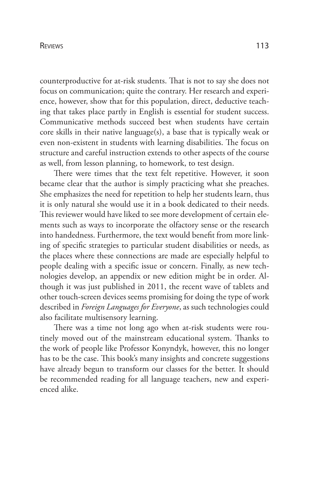#### **REVIEWS**

counterproductive for at-risk students. That is not to say she does not focus on communication; quite the contrary. Her research and experience, however, show that for this population, direct, deductive teaching that takes place partly in English is essential for student success. Communicative methods succeed best when students have certain core skills in their native language(s), a base that is typically weak or even non-existent in students with learning disabilities. The focus on structure and careful instruction extends to other aspects of the course as well, from lesson planning, to homework, to test design.

There were times that the text felt repetitive. However, it soon became clear that the author is simply practicing what she preaches. She emphasizes the need for repetition to help her students learn, thus it is only natural she would use it in a book dedicated to their needs. This reviewer would have liked to see more development of certain elements such as ways to incorporate the olfactory sense or the research into handedness. Furthermore, the text would benefit from more linking of specific strategies to particular student disabilities or needs, as the places where these connections are made are especially helpful to people dealing with a specific issue or concern. Finally, as new technologies develop, an appendix or new edition might be in order. Although it was just published in 2011, the recent wave of tablets and other touch-screen devices seems promising for doing the type of work described in *Foreign Languages for Everyone*, as such technologies could also facilitate multisensory learning.

There was a time not long ago when at-risk students were routinely moved out of the mainstream educational system. Thanks to the work of people like Professor Konyndyk, however, this no longer has to be the case. This book's many insights and concrete suggestions have already begun to transform our classes for the better. It should be recommended reading for all language teachers, new and experienced alike.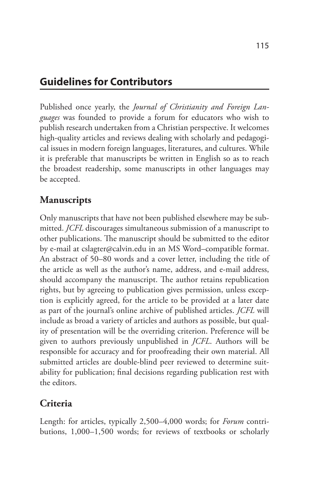# **Guidelines for Contributors**

Published once yearly, the *Journal of Christianity and Foreign Languages* was founded to provide a forum for educators who wish to publish research undertaken from a Christian perspective. It welcomes high-quality articles and reviews dealing with scholarly and pedagogical issues in modern foreign languages, literatures, and cultures. While it is preferable that manuscripts be written in English so as to reach the broadest readership, some manuscripts in other languages may be accepted.

# **Manuscripts**

Only manuscripts that have not been published elsewhere may be submitted. *JCFL* discourages simultaneous submission of a manuscript to other publications. The manuscript should be submitted to the editor by e-mail at cslagter@calvin.edu in an MS Word–compatible format. An abstract of 50–80 words and a cover letter, including the title of the article as well as the author's name, address, and e-mail address, should accompany the manuscript. The author retains republication rights, but by agreeing to publication gives permission, unless exception is explicitly agreed, for the article to be provided at a later date as part of the journal's online archive of published articles. *JCFL* will include as broad a variety of articles and authors as possible, but quality of presentation will be the overriding criterion. Preference will be given to authors previously unpublished in *JCFL*. Authors will be responsible for accuracy and for proofreading their own material. All submitted articles are double-blind peer reviewed to determine suitability for publication; final decisions regarding publication rest with the editors.

# **Criteria**

Length: for articles, typically 2,500–4,000 words; for *Forum* contributions, 1,000–1,500 words; for reviews of textbooks or scholarly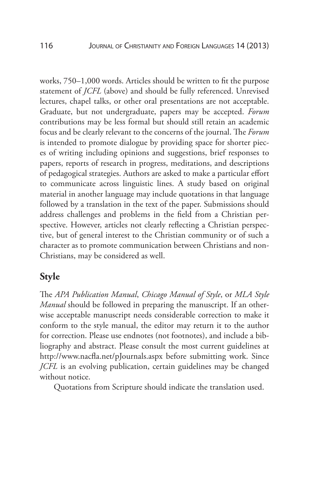works, 750–1,000 words. Articles should be written to fit the purpose statement of *JCFL* (above) and should be fully referenced. Unrevised lectures, chapel talks, or other oral presentations are not acceptable. Graduate, but not undergraduate, papers may be accepted. *Forum* contributions may be less formal but should still retain an academic focus and be clearly relevant to the concerns of the journal. The *Forum* is intended to promote dialogue by providing space for shorter pieces of writing including opinions and suggestions, brief responses to papers, reports of research in progress, meditations, and descriptions of pedagogical strategies. Authors are asked to make a particular effort to communicate across linguistic lines. A study based on original material in another language may include quotations in that language followed by a translation in the text of the paper. Submissions should address challenges and problems in the field from a Christian perspective. However, articles not clearly reflecting a Christian perspective, but of general interest to the Christian community or of such a character as to promote communication between Christians and non-Christians, may be considered as well.

#### **Style**

The *APA Publication Manual*, *Chicago Manual of Style*, or *MLA Style Manual* should be followed in preparing the manuscript. If an otherwise acceptable manuscript needs considerable correction to make it conform to the style manual, the editor may return it to the author for correction. Please use endnotes (not footnotes), and include a bibliography and abstract. Please consult the most current guidelines at http://www.nacfla.net/pJournals.aspx before submitting work. Since *JCFL* is an evolving publication, certain guidelines may be changed without notice.

Quotations from Scripture should indicate the translation used.